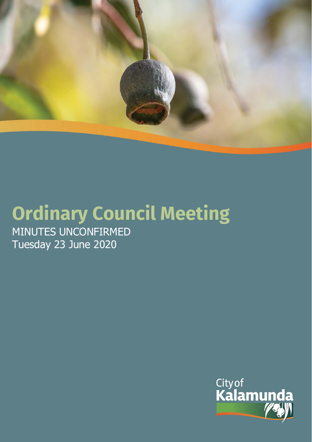

# **Ordinary Council Meeting** MINUTES UNCONFIRMED

Tuesday 23 June 2020

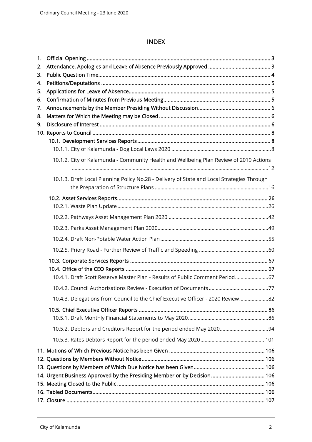# INDEX

| 1.       |                                                                                            |     |
|----------|--------------------------------------------------------------------------------------------|-----|
| 2.       |                                                                                            |     |
| 3.       |                                                                                            |     |
| 4.       |                                                                                            |     |
| 5.       |                                                                                            |     |
| 6.       |                                                                                            |     |
| 7.       |                                                                                            |     |
| 8.<br>9. |                                                                                            |     |
|          |                                                                                            |     |
|          |                                                                                            |     |
|          |                                                                                            |     |
|          | 10.1.2. City of Kalamunda - Community Health and Wellbeing Plan Review of 2019 Actions     |     |
|          | 10.1.3. Draft Local Planning Policy No.28 - Delivery of State and Local Strategies Through |     |
|          |                                                                                            |     |
|          |                                                                                            |     |
|          |                                                                                            |     |
|          |                                                                                            |     |
|          |                                                                                            |     |
|          |                                                                                            |     |
|          |                                                                                            |     |
|          |                                                                                            |     |
|          | 10.4.1. Draft Scott Reserve Master Plan - Results of Public Comment Period 67              |     |
|          | 10.4.2. Council Authorisations Review - Execution of Documents.                            | .77 |
|          | 10.4.3. Delegations from Council to the Chief Executive Officer - 2020 Review 82           |     |
|          |                                                                                            |     |
|          |                                                                                            |     |
|          |                                                                                            |     |
|          |                                                                                            |     |
|          |                                                                                            |     |
|          |                                                                                            |     |
|          |                                                                                            |     |
|          | 14. Urgent Business Approved by the Presiding Member or by Decision 106                    |     |
|          |                                                                                            |     |
|          |                                                                                            |     |
|          |                                                                                            |     |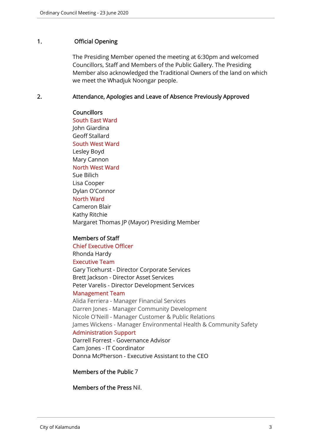## 1. Official Opening

The Presiding Member opened the meeting at 6:30pm and welcomed Councillors, Staff and Members of the Public Gallery. The Presiding Member also acknowledged the Traditional Owners of the land on which we meet the Whadjuk Noongar people.

## 2. Attendance, Apologies and Leave of Absence Previously Approved

## **Councillors**

South East Ward John Giardina Geoff Stallard South West Ward Lesley Boyd Mary Cannon North West Ward

Sue Bilich Lisa Cooper Dylan O'Connor

# North Ward

Cameron Blair Kathy Ritchie Margaret Thomas JP (Mayor) Presiding Member

# Members of Staff

Chief Executive Officer

Rhonda Hardy

# Executive Team

Gary Ticehurst - Director Corporate Services Brett Jackson - Director Asset Services Peter Varelis - Director Development Services

## Management Team

Alida Ferriera - Manager Financial Services Darren Jones - Manager Community Development Nicole O'Neill - Manager Customer & Public Relations James Wickens - Manager Environmental Health & Community Safety Administration Support

Darrell Forrest - Governance Advisor Cam Jones - IT Coordinator Donna McPherson - Executive Assistant to the CEO

## Members of the Public 7

Members of the Press Nil.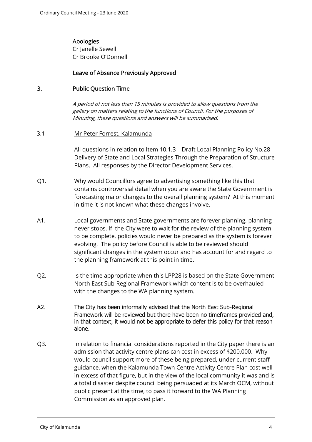# Apologies

Cr Janelle Sewell Cr Brooke O'Donnell

# Leave of Absence Previously Approved

# 3. Public Question Time

A period of not less than 15 minutes is provided to allow questions from the gallery on matters relating to the functions of Council. For the purposes of Minuting, these questions and answers will be summarised.

# 3.1 Mr Peter Forrest, Kalamunda

All questions in relation to Item 10.1.3 – Draft Local Planning Policy No.28 - Delivery of State and Local Strategies Through the Preparation of Structure Plans. All responses by the Director Development Services.

- Q1. Why would Councillors agree to advertising something like this that contains controversial detail when you are aware the State Government is forecasting major changes to the overall planning system? At this moment in time it is not known what these changes involve.
- A1. Local governments and State governments are forever planning, planning never stops. If the City were to wait for the review of the planning system to be complete, policies would never be prepared as the system is forever evolving. The policy before Council is able to be reviewed should significant changes in the system occur and has account for and regard to the planning framework at this point in time.
- Q2. Is the time appropriate when this LPP28 is based on the State Government North East Sub-Regional Framework which content is to be overhauled with the changes to the WA planning system.
- A2. The City has been informally advised that the North East Sub-Regional Framework will be reviewed but there have been no timeframes provided and, in that context, it would not be appropriate to defer this policy for that reason alone.
- Q3. In relation to financial considerations reported in the City paper there is an admission that activity centre plans can cost in excess of \$200,000. Why would council support more of these being prepared, under current staff guidance, when the Kalamunda Town Centre Activity Centre Plan cost well in excess of that figure, but in the view of the local community it was and is a total disaster despite council being persuaded at its March OCM, without public present at the time, to pass it forward to the WA Planning Commission as an approved plan.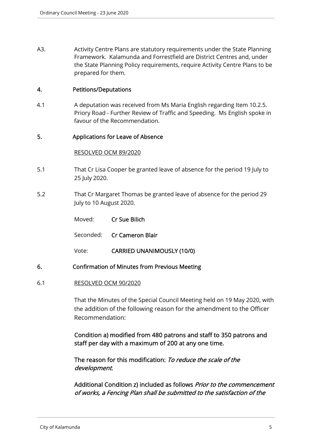A3. Activity Centre Plans are statutory requirements under the State Planning Framework. Kalamunda and Forrestfield are District Centres and, under the State Planning Policy requirements, require Activity Centre Plans to be prepared for them.

## 4. Petitions/Deputations

4.1 A deputation was received from Ms Maria English regarding Item 10.2.5. Priory Road - Further Review of Traffic and Speeding. Ms English spoke in favour of the Recommendation.

## 5. Applications for Leave of Absence

## RESOLVED OCM 89/2020

- 5.1 That Cr Lisa Cooper be granted leave of absence for the period 19 July to 25 July 2020.
- 5.2 That Cr Margaret Thomas be granted leave of absence for the period 29 July to 10 August 2020.

Moved: Cr Sue Bilich

- Seconded: Cr Cameron Blair
- Vote: CARRIED UNANIMOUSLY (10/0)
- 6. Confirmation of Minutes from Previous Meeting

## 6.1 RESOLVED OCM 90/2020

That the Minutes of the Special Council Meeting held on 19 May 2020, with the addition of the following reason for the amendment to the Officer Recommendation:

Condition a) modified from 480 patrons and staff to 350 patrons and staff per day with a maximum of 200 at any one time.

The reason for this modification: To reduce the scale of the development.

Additional Condition z) included as follows *Prior to the commencement* of works, a Fencing Plan shall be submitted to the satisfaction of the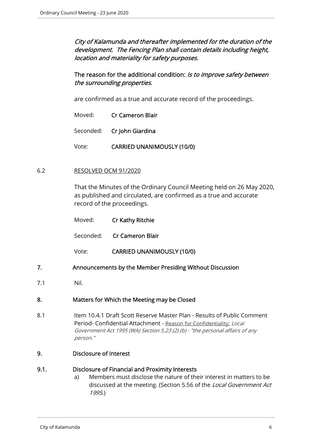City of Kalamunda and thereafter implemented for the duration of the development. The Fencing Plan shall contain details including height, location and materiality for safety purposes.

# The reason for the additional condition: Is to improve safety between the surrounding properties.

are confirmed as a true and accurate record of the proceedings.

- Moved: Cr Cameron Blair
- Seconded: Cr John Giardina
- Vote: CARRIED UNANIMOUSLY (10/0)

# 6.2 RESOLVED OCM 91/2020

That the Minutes of the Ordinary Council Meeting held on 26 May 2020, as published and circulated, are confirmed as a true and accurate record of the proceedings.

| Moved: | Cr Kathy Ritchie                  |
|--------|-----------------------------------|
|        | Seconded: Cr Cameron Blair        |
| Vote:  | <b>CARRIED UNANIMOUSLY (10/0)</b> |

# 7. Announcements by the Member Presiding Without Discussion

7.1 Nil.

# 8. Matters for Which the Meeting may be Closed

- 8.1 Item 10.4.1 Draft Scott Reserve Master Plan Results of Public Comment Period- Confidential Attachment - Reason for Confidentiality: Local Government Act 1995 (WA) Section 5.23 (2) (b) - "the personal affairs of any person."
- 9. Disclosure of Interest

# 9.1. Disclosure of Financial and Proximity Interests

a) Members must disclose the nature of their interest in matters to be discussed at the meeting. (Section 5.56 of the Local Government Act 1995.)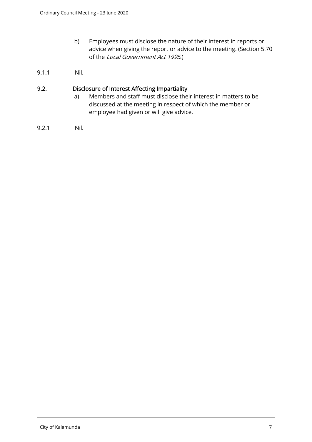- b) Employees must disclose the nature of their interest in reports or advice when giving the report or advice to the meeting. (Section 5.70 of the Local Government Act 1995.)
- 9.1.1 Nil.

# 9.2. Disclosure of Interest Affecting Impartiality

- a) Members and staff must disclose their interest in matters to be discussed at the meeting in respect of which the member or employee had given or will give advice.
- 9.2.1 Nil.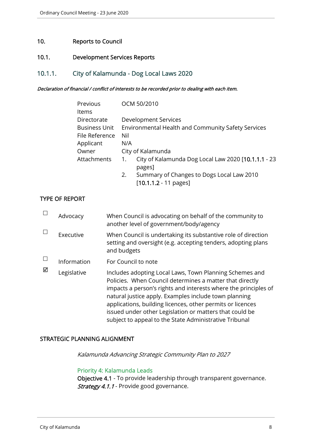# 10. Reports to Council

# 10.1. Development Services Reports

# 10.1.1. City of Kalamunda - Dog Local Laws 2020

#### Declaration of financial / conflict of interests to be recorded prior to dealing with each item.

| Previous             | OCM 50/2010                                                         |
|----------------------|---------------------------------------------------------------------|
| Items                |                                                                     |
| Directorate          | Development Services                                                |
| <b>Business Unit</b> | Environmental Health and Community Safety Services                  |
| File Reference       | Nil                                                                 |
| Applicant            | N/A                                                                 |
| Owner                | City of Kalamunda                                                   |
| Attachments          | City of Kalamunda Dog Local Law 2020 [10.1.1.1 - 23<br>1.<br>pages] |
|                      | Summary of Changes to Dogs Local Law 2010<br>2.                     |
|                      | $[10.1.1.2 - 11 \text{ pages}]$                                     |

# TYPE OF REPORT

|   | Advocacy    | When Council is advocating on behalf of the community to<br>another level of government/body/agency                                                                                                                                                                                                                                                                                                                                |
|---|-------------|------------------------------------------------------------------------------------------------------------------------------------------------------------------------------------------------------------------------------------------------------------------------------------------------------------------------------------------------------------------------------------------------------------------------------------|
|   | Executive   | When Council is undertaking its substantive role of direction<br>setting and oversight (e.g. accepting tenders, adopting plans<br>and budgets                                                                                                                                                                                                                                                                                      |
|   | Information | For Council to note                                                                                                                                                                                                                                                                                                                                                                                                                |
| ☑ | Legislative | Includes adopting Local Laws, Town Planning Schemes and<br>Policies. When Council determines a matter that directly<br>impacts a person's rights and interests where the principles of<br>natural justice apply. Examples include town planning<br>applications, building licences, other permits or licences<br>issued under other Legislation or matters that could be<br>subject to appeal to the State Administrative Tribunal |

## STRATEGIC PLANNING ALIGNMENT

Kalamunda Advancing Strategic Community Plan to 2027

## Priority 4: Kalamunda Leads

Objective 4.1 - To provide leadership through transparent governance. Strategy 4.1.1 - Provide good governance.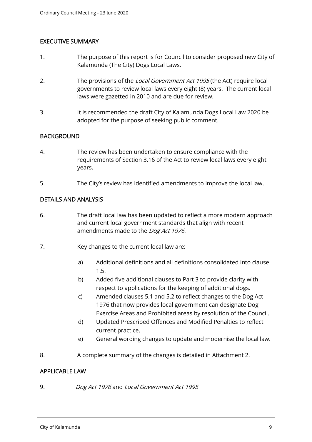# EXECUTIVE SUMMARY

- 1. The purpose of this report is for Council to consider proposed new City of Kalamunda (The City) Dogs Local Laws.
- 2. The provisions of the Local Government Act 1995 (the Act) require local governments to review local laws every eight (8) years. The current local laws were gazetted in 2010 and are due for review.
- 3. It is recommended the draft City of Kalamunda Dogs Local Law 2020 be adopted for the purpose of seeking public comment.

## **BACKGROUND**

- 4. The review has been undertaken to ensure compliance with the requirements of Section 3.16 of the Act to review local laws every eight years.
- 5. The City's review has identified amendments to improve the local law.

# DETAILS AND ANALYSIS

- 6. The draft local law has been updated to reflect a more modern approach and current local government standards that align with recent amendments made to the Dog Act 1976.
- 7. Key changes to the current local law are:
	- a) Additional definitions and all definitions consolidated into clause 1.5.
	- b) Added five additional clauses to Part 3 to provide clarity with respect to applications for the keeping of additional dogs.
	- c) Amended clauses 5.1 and 5.2 to reflect changes to the Dog Act 1976 that now provides local government can designate Dog Exercise Areas and Prohibited areas by resolution of the Council.
	- d) Updated Prescribed Offences and Modified Penalties to reflect current practice.
	- e) General wording changes to update and modernise the local law.
- 8. A complete summary of the changes is detailed in Attachment 2.

## APPLICABLE LAW

9. Dog Act 1976 and Local Government Act 1995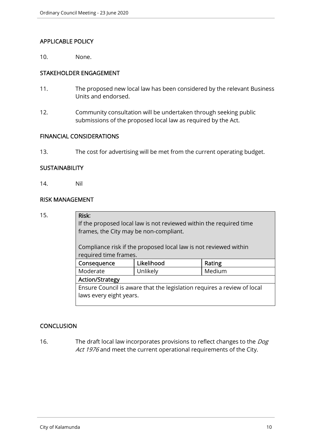# APPLICABLE POLICY

10. None.

## STAKEHOLDER ENGAGEMENT

- 11. The proposed new local law has been considered by the relevant Business Units and endorsed.
- 12. Community consultation will be undertaken through seeking public submissions of the proposed local law as required by the Act.

## FINANCIAL CONSIDERATIONS

13. The cost for advertising will be met from the current operating budget.

## **SUSTAINABILITY**

14. Nil

## RISK MANAGEMENT

15. Risk: If the proposed local law is not reviewed within the required time frames, the City may be non-compliant. Compliance risk if the proposed local law is not reviewed within required time frames. Consequence Likelihood Rating Moderate | Unlikely | Medium Action/Strategy Ensure Council is aware that the legislation requires a review of local laws every eight years.

# CONCLUSION

16. The draft local law incorporates provisions to reflect changes to the *Dog* Act 1976 and meet the current operational requirements of the City.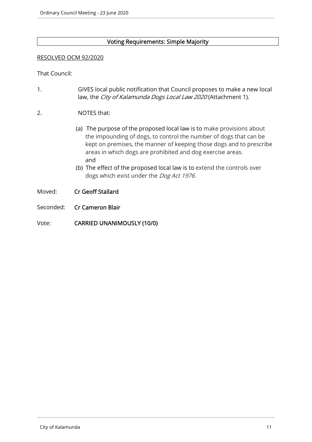# Voting Requirements: Simple Majority

## RESOLVED OCM 92/2020

## That Council:

1. GIVES local public notification that Council proposes to make a new local law, the City of Kalamunda Dogs Local Law 2020 (Attachment 1).

# 2. NOTES that:

- (a) The purpose of the proposed local law is to make provisions about the impounding of dogs, to control the number of dogs that can be kept on premises, the manner of keeping those dogs and to prescribe areas in which dogs are prohibited and dog exercise areas. and
- (b) The effect of the proposed local law is to extend the controls over dogs which exist under the *Dog Act 1976.*
- Moved: Cr Geoff Stallard
- Seconded: Cr Cameron Blair
- Vote: CARRIED UNANIMOUSLY (10/0)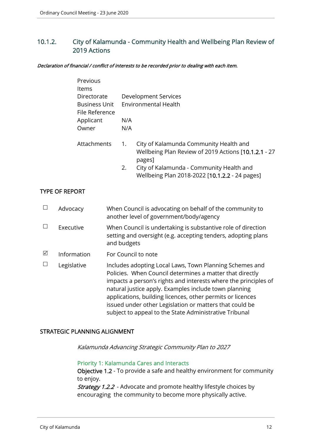# 10.1.2. City of Kalamunda - Community Health and Wellbeing Plan Review of 2019 Actions

#### Declaration of financial / conflict of interests to be recorded prior to dealing with each item.

| Previous                               |     |                                                      |
|----------------------------------------|-----|------------------------------------------------------|
| Items                                  |     |                                                      |
| Directorate                            |     | <b>Development Services</b>                          |
| <b>Business Unit</b><br>File Reference |     | <b>Environmental Health</b>                          |
| Applicant                              | N/A |                                                      |
| Owner                                  | N/A |                                                      |
| Attachments                            | 1.  | City of Kalamunda Community Health and               |
|                                        |     | Wellbeing Plan Review of 2019 Actions [10.1.2.1 - 27 |
|                                        |     | pages]                                               |
|                                        | 2.  | City of Kalamunda - Community Health and             |
|                                        |     | Wellbeing Plan 2018-2022 [10.1.2.2 - 24 pages]       |

## TYPE OF REPORT

|   | Advocacy    | When Council is advocating on behalf of the community to<br>another level of government/body/agency                                                                                                                                                                                                                                                                                                                                |
|---|-------------|------------------------------------------------------------------------------------------------------------------------------------------------------------------------------------------------------------------------------------------------------------------------------------------------------------------------------------------------------------------------------------------------------------------------------------|
|   | Executive   | When Council is undertaking is substantive role of direction<br>setting and oversight (e.g. accepting tenders, adopting plans<br>and budgets                                                                                                                                                                                                                                                                                       |
| ☑ | Information | For Council to note                                                                                                                                                                                                                                                                                                                                                                                                                |
|   | Legislative | Includes adopting Local Laws, Town Planning Schemes and<br>Policies. When Council determines a matter that directly<br>impacts a person's rights and interests where the principles of<br>natural justice apply. Examples include town planning<br>applications, building licences, other permits or licences<br>issued under other Legislation or matters that could be<br>subject to appeal to the State Administrative Tribunal |

# STRATEGIC PLANNING ALIGNMENT

Kalamunda Advancing Strategic Community Plan to 2027

## Priority 1: Kalamunda Cares and Interacts

Objective 1.2 - To provide a safe and healthy environment for community to enjoy.

**Strategy 1.2.2** - Advocate and promote healthy lifestyle choices by encouraging the community to become more physically active.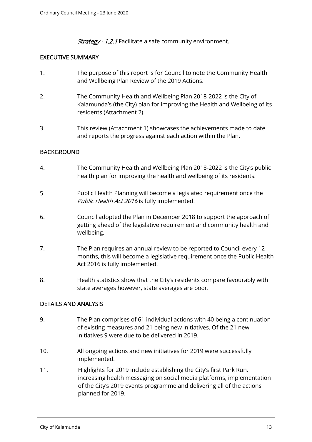Strategy - 1.2.1 Facilitate a safe community environment.

# EXECUTIVE SUMMARY

- 1. The purpose of this report is for Council to note the Community Health and Wellbeing Plan Review of the 2019 Actions.
- 2. The Community Health and Wellbeing Plan 2018-2022 is the City of Kalamunda's (the City) plan for improving the Health and Wellbeing of its residents (Attachment 2).
- 3. This review (Attachment 1) showcases the achievements made to date and reports the progress against each action within the Plan.

# **BACKGROUND**

- 4. The Community Health and Wellbeing Plan 2018-2022 is the City's public health plan for improving the health and wellbeing of its residents.
- 5. Public Health Planning will become a legislated requirement once the Public Health Act 2016 is fully implemented.
- 6. Council adopted the Plan in December 2018 to support the approach of getting ahead of the legislative requirement and community health and wellbeing.
- 7. The Plan requires an annual review to be reported to Council every 12 months, this will become a legislative requirement once the Public Health Act 2016 is fully implemented.
- 8. Health statistics show that the City's residents compare favourably with state averages however, state averages are poor.

# DETAILS AND ANALYSIS

- 9. The Plan comprises of 61 individual actions with 40 being a continuation of existing measures and 21 being new initiatives. Of the 21 new initiatives 9 were due to be delivered in 2019.
- 10. All ongoing actions and new initiatives for 2019 were successfully implemented.
- 11. Highlights for 2019 include establishing the City's first Park Run, increasing health messaging on social media platforms, implementation of the City's 2019 events programme and delivering all of the actions planned for 2019.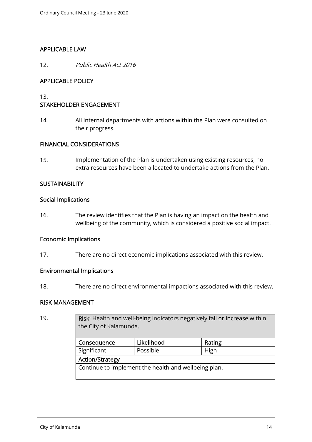# APPLICABLE LAW

12. Public Health Act 2016

## APPLICABLE POLICY

13.

# STAKEHOLDER ENGAGEMENT

14. All internal departments with actions within the Plan were consulted on their progress.

## FINANCIAL CONSIDERATIONS

15. Implementation of the Plan is undertaken using existing resources, no extra resources have been allocated to undertake actions from the Plan.

## **SUSTAINABILITY**

## Social Implications

16. The review identifies that the Plan is having an impact on the health and wellbeing of the community, which is considered a positive social impact.

## Economic Implications

17. There are no direct economic implications associated with this review.

# Environmental Implications

18. There are no direct environmental impactions associated with this review.

## RISK MANAGEMENT

| 19. | Risk: Health and well-being indicators negatively fall or increase within<br>the City of Kalamunda. |            |        |  |  |
|-----|-----------------------------------------------------------------------------------------------------|------------|--------|--|--|
|     | Consequence                                                                                         | Likelihood | Rating |  |  |
|     | Significant                                                                                         | Possible   | High   |  |  |
|     | <b>Action/Strategy</b>                                                                              |            |        |  |  |
|     | Continue to implement the health and wellbeing plan.                                                |            |        |  |  |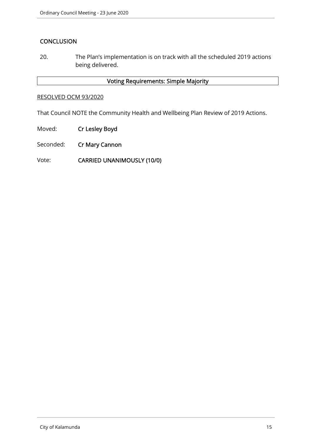# **CONCLUSION**

20. The Plan's implementation is on track with all the scheduled 2019 actions being delivered.

# Voting Requirements: Simple Majority

#### RESOLVED OCM 93/2020

That Council NOTE the Community Health and Wellbeing Plan Review of 2019 Actions.

Moved: Cr Lesley Boyd

Seconded: Cr Mary Cannon

Vote: CARRIED UNANIMOUSLY (10/0)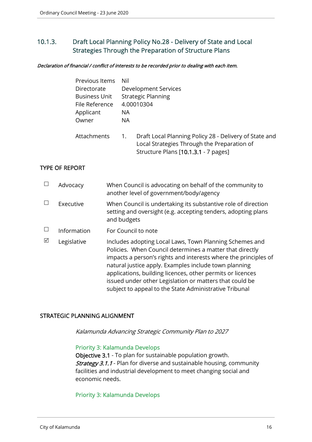# 10.1.3. Draft Local Planning Policy No.28 - Delivery of State and Local Strategies Through the Preparation of Structure Plans

#### Declaration of financial / conflict of interests to be recorded prior to dealing with each item.

| Previous Items       | Nil                                                                                                                                                 |
|----------------------|-----------------------------------------------------------------------------------------------------------------------------------------------------|
| Directorate          | Development Services                                                                                                                                |
| <b>Business Unit</b> | <b>Strategic Planning</b>                                                                                                                           |
| File Reference       | 4.00010304                                                                                                                                          |
| Applicant            | NА                                                                                                                                                  |
| Owner                | NA.                                                                                                                                                 |
| Attachments          | Draft Local Planning Policy 28 - Delivery of State and<br>1.<br>Local Strategies Through the Preparation of<br>Structure Plans [10.1.3.1 - 7 pages] |

# TYPE OF REPORT

|   | Advocacy    | When Council is advocating on behalf of the community to<br>another level of government/body/agency                                                                                                                                                                                                                                                                                                                                |
|---|-------------|------------------------------------------------------------------------------------------------------------------------------------------------------------------------------------------------------------------------------------------------------------------------------------------------------------------------------------------------------------------------------------------------------------------------------------|
|   | Executive   | When Council is undertaking its substantive role of direction<br>setting and oversight (e.g. accepting tenders, adopting plans<br>and budgets                                                                                                                                                                                                                                                                                      |
|   | Information | For Council to note                                                                                                                                                                                                                                                                                                                                                                                                                |
| ⊠ | Legislative | Includes adopting Local Laws, Town Planning Schemes and<br>Policies. When Council determines a matter that directly<br>impacts a person's rights and interests where the principles of<br>natural justice apply. Examples include town planning<br>applications, building licences, other permits or licences<br>issued under other Legislation or matters that could be<br>subject to appeal to the State Administrative Tribunal |

# STRATEGIC PLANNING ALIGNMENT

Kalamunda Advancing Strategic Community Plan to 2027

## Priority 3: Kalamunda Develops

Objective 3.1 - To plan for sustainable population growth. **Strategy 3.1.1** - Plan for diverse and sustainable housing, community facilities and industrial development to meet changing social and economic needs.

## Priority 3: Kalamunda Develops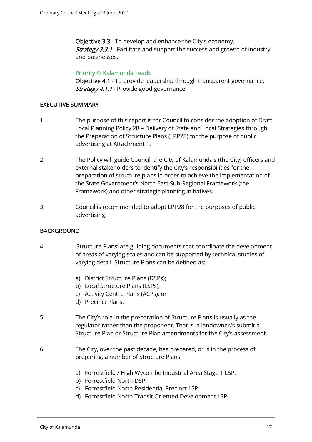Objective 3.3 - To develop and enhance the City's economy. **Strategy 3.3.1** - Facilitate and support the success and growth of industry and businesses.

# Priority 4: Kalamunda Leads

Objective 4.1 - To provide leadership through transparent governance. Strategy 4.1.1 - Provide good governance.

# EXECUTIVE SUMMARY

- 1. The purpose of this report is for Council to consider the adoption of Draft Local Planning Policy 28 – Delivery of State and Local Strategies through the Preparation of Structure Plans (LPP28) for the purpose of public advertising at Attachment 1.
- 2. The Policy will guide Council, the City of Kalamunda's (the City) officers and external stakeholders to identify the City's responsibilities for the preparation of structure plans in order to achieve the implementation of the State Government's North East Sub-Regional Framework (the Framework) and other strategic planning initiatives.
- 3. Council is recommended to adopt LPP28 for the purposes of public advertising.

# BACKGROUND

- 4. 'Structure Plans' are guiding documents that coordinate the development of areas of varying scales and can be supported by technical studies of varying detail. Structure Plans can be defined as:
	- a) District Structure Plans (DSPs);
	- b) Local Structure Plans (LSPs);
	- c) Activity Centre Plans (ACPs); or
	- d) Precinct Plans.
- 5. The City's role in the preparation of Structure Plans is usually as the regulator rather than the proponent. That is, a landowner/s submit a Structure Plan or Structure Plan amendments for the City's assessment.
- 6. The City, over the past decade, has prepared, or is in the process of preparing, a number of Structure Plans:
	- a) Forrestfield / High Wycombe Industrial Area Stage 1 LSP.
	- b) Forrestfield North DSP.
	- c) Forrestfield North Residential Precinct LSP.
	- d) Forrestfield North Transit Oriented Development LSP.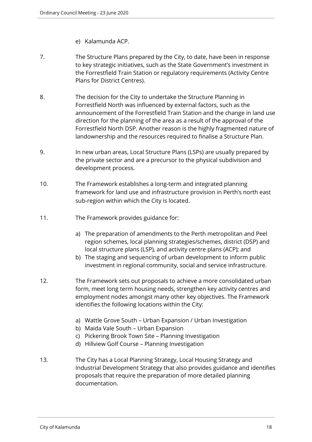- e) Kalamunda ACP.
- 7. The Structure Plans prepared by the City, to date, have been in response to key strategic initiatives, such as the State Government's investment in the Forrestfield Train Station or regulatory requirements (Activity Centre Plans for District Centres).
- 8. The decision for the City to undertake the Structure Planning in Forrestfield North was influenced by external factors, such as the announcement of the Forrestfield Train Station and the change in land use direction for the planning of the area as a result of the approval of the Forrestfield North DSP. Another reason is the highly fragmented nature of landownership and the resources required to finalise a Structure Plan.
- 9. In new urban areas, Local Structure Plans (LSPs) are usually prepared by the private sector and are a precursor to the physical subdivision and development process.
- 10. The Framework establishes a long-term and integrated planning framework for land use and infrastructure provision in Perth's north east sub-region within which the City is located.
- 11. The Framework provides guidance for:
	- a) The preparation of amendments to the Perth metropolitan and Peel region schemes, local planning strategies/schemes, district (DSP) and local structure plans (LSP), and activity centre plans (ACP); and
	- b) The staging and sequencing of urban development to inform public investment in regional community, social and service infrastructure.
- 12. The Framework sets out proposals to achieve a more consolidated urban form, meet long term housing needs, strengthen key activity centres and employment nodes amongst many other key objectives. The Framework identifies the following locations within the City:
	- a) Wattle Grove South Urban Expansion / Urban Investigation
	- b) Maida Vale South Urban Expansion
	- c) Pickering Brook Town Site Planning Investigation
	- d) Hillview Golf Course Planning Investigation
- 13. The City has a Local Planning Strategy, Local Housing Strategy and Industrial Development Strategy that also provides guidance and identifies proposals that require the preparation of more detailed planning documentation.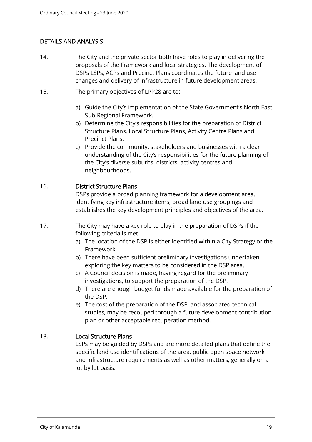# DETAILS AND ANALYSIS

- 14. The City and the private sector both have roles to play in delivering the proposals of the Framework and local strategies. The development of DSPs LSPs, ACPs and Precinct Plans coordinates the future land use changes and delivery of infrastructure in future development areas.
- 15. The primary objectives of LPP28 are to:
	- a) Guide the City's implementation of the State Government's North East Sub-Regional Framework.
	- b) Determine the City's responsibilities for the preparation of District Structure Plans, Local Structure Plans, Activity Centre Plans and Precinct Plans.
	- c) Provide the community, stakeholders and businesses with a clear understanding of the City's responsibilities for the future planning of the City's diverse suburbs, districts, activity centres and neighbourhoods.

# 16. District Structure Plans

DSPs provide a broad planning framework for a development area, identifying key infrastructure items, broad land use groupings and establishes the key development principles and objectives of the area.

- 17. The City may have a key role to play in the preparation of DSPs if the following criteria is met:
	- a) The location of the DSP is either identified within a City Strategy or the Framework.
	- b) There have been sufficient preliminary investigations undertaken exploring the key matters to be considered in the DSP area.
	- c) A Council decision is made, having regard for the preliminary investigations, to support the preparation of the DSP.
	- d) There are enough budget funds made available for the preparation of the DSP.
	- e) The cost of the preparation of the DSP, and associated technical studies, may be recouped through a future development contribution plan or other acceptable recuperation method.

# 18. Local Structure Plans

LSPs may be guided by DSPs and are more detailed plans that define the specific land use identifications of the area, public open space network and infrastructure requirements as well as other matters, generally on a lot by lot basis.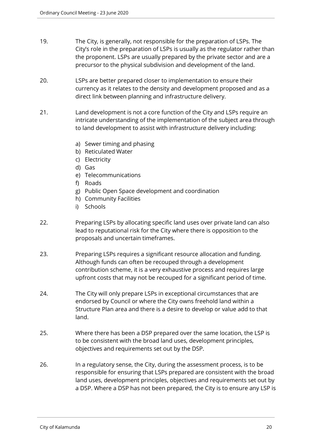- 19. The City, is generally, not responsible for the preparation of LSPs. The City's role in the preparation of LSPs is usually as the regulator rather than the proponent. LSPs are usually prepared by the private sector and are a precursor to the physical subdivision and development of the land.
- 20. LSPs are better prepared closer to implementation to ensure their currency as it relates to the density and development proposed and as a direct link between planning and infrastructure delivery.
- 21. Land development is not a core function of the City and LSPs require an intricate understanding of the implementation of the subject area through to land development to assist with infrastructure delivery including:
	- a) Sewer timing and phasing
	- b) Reticulated Water
	- c) Electricity
	- d) Gas
	- e) Telecommunications
	- f) Roads
	- g) Public Open Space development and coordination
	- h) Community Facilities
	- i) Schools
- 22. Preparing LSPs by allocating specific land uses over private land can also lead to reputational risk for the City where there is opposition to the proposals and uncertain timeframes.
- 23. Preparing LSPs requires a significant resource allocation and funding. Although funds can often be recouped through a development contribution scheme, it is a very exhaustive process and requires large upfront costs that may not be recouped for a significant period of time.
- 24. The City will only prepare LSPs in exceptional circumstances that are endorsed by Council or where the City owns freehold land within a Structure Plan area and there is a desire to develop or value add to that land.
- 25. Where there has been a DSP prepared over the same location, the LSP is to be consistent with the broad land uses, development principles, objectives and requirements set out by the DSP.
- 26. In a regulatory sense, the City, during the assessment process, is to be responsible for ensuring that LSPs prepared are consistent with the broad land uses, development principles, objectives and requirements set out by a DSP. Where a DSP has not been prepared, the City is to ensure any LSP is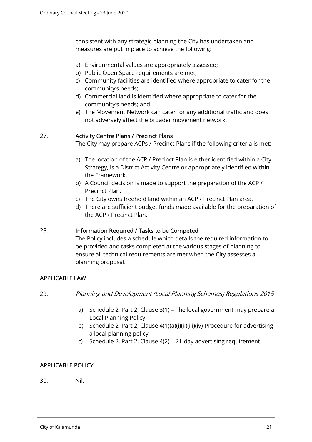consistent with any strategic planning the City has undertaken and measures are put in place to achieve the following:

- a) Environmental values are appropriately assessed;
- b) Public Open Space requirements are met;
- c) Community facilities are identified where appropriate to cater for the community's needs;
- d) Commercial land is identified where appropriate to cater for the community's needs; and
- e) The Movement Network can cater for any additional traffic and does not adversely affect the broader movement network.

# 27. Activity Centre Plans / Precinct Plans

The City may prepare ACPs / Precinct Plans if the following criteria is met:

- a) The location of the ACP / Precinct Plan is either identified within a City Strategy, is a District Activity Centre or appropriately identified within the Framework.
- b) A Council decision is made to support the preparation of the ACP / Precinct Plan.
- c) The City owns freehold land within an ACP / Precinct Plan area.
- d) There are sufficient budget funds made available for the preparation of the ACP / Precinct Plan.

# 28. Information Required / Tasks to be Competed

The Policy includes a schedule which details the required information to be provided and tasks completed at the various stages of planning to ensure all technical requirements are met when the City assesses a planning proposal.

# APPLICABLE LAW

- 29. Planning and Development (Local Planning Schemes) Regulations 2015
	- a) Schedule 2, Part 2, Clause 3(1) The local government may prepare a Local Planning Policy
	- b) Schedule 2, Part 2, Clause 4(1)(a)(i)(ii)(iii)(iv)-Procedure for advertising a local planning policy
	- c) Schedule 2, Part 2, Clause 4(2) 21-day advertising requirement

# APPLICABLE POLICY

30. Nil.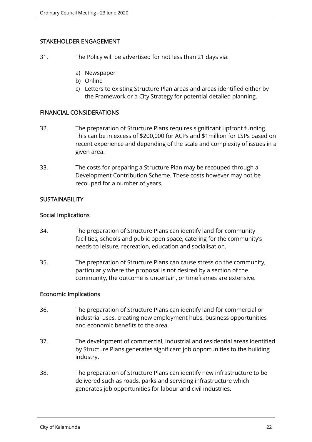# STAKEHOLDER ENGAGEMENT

- 31. The Policy will be advertised for not less than 21 days via:
	- a) Newspaper
	- b) Online
	- c) Letters to existing Structure Plan areas and areas identified either by the Framework or a City Strategy for potential detailed planning.

# FINANCIAL CONSIDERATIONS

- 32. The preparation of Structure Plans requires significant upfront funding. This can be in excess of \$200,000 for ACPs and \$1million for LSPs based on recent experience and depending of the scale and complexity of issues in a given area.
- 33. The costs for preparing a Structure Plan may be recouped through a Development Contribution Scheme. These costs however may not be recouped for a number of years.

# SUSTAINABILITY

## Social Implications

- 34. The preparation of Structure Plans can identify land for community facilities, schools and public open space, catering for the community's needs to leisure, recreation, education and socialisation.
- 35. The preparation of Structure Plans can cause stress on the community, particularly where the proposal is not desired by a section of the community, the outcome is uncertain, or timeframes are extensive.

# Economic Implications

- 36. The preparation of Structure Plans can identify land for commercial or industrial uses, creating new employment hubs, business opportunities and economic benefits to the area.
- 37. The development of commercial, industrial and residential areas identified by Structure Plans generates significant job opportunities to the building industry.
- 38. The preparation of Structure Plans can identify new infrastructure to be delivered such as roads, parks and servicing infrastructure which generates job opportunities for labour and civil industries.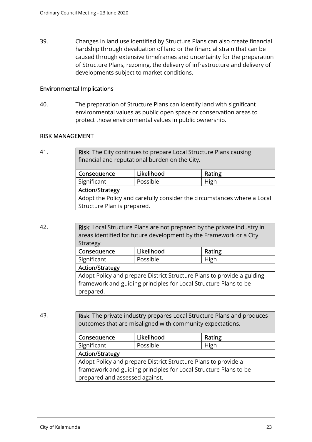39. Changes in land use identified by Structure Plans can also create financial hardship through devaluation of land or the financial strain that can be caused through extensive timeframes and uncertainty for the preparation of Structure Plans, rezoning, the delivery of infrastructure and delivery of developments subject to market conditions.

## Environmental Implications

40. The preparation of Structure Plans can identify land with significant environmental values as public open space or conservation areas to protect those environmental values in public ownership.

## RISK MANAGEMENT

41. **Risk:** The City continues to prepare Local Structure Plans causing financial and reputational burden on the City.

| Consequence                                                             | Likelihood | Rating |  |
|-------------------------------------------------------------------------|------------|--------|--|
| Significant                                                             | Possible   | High   |  |
| <b>Action/Strategy</b>                                                  |            |        |  |
| Adopt the Policy and carefully consider the circumstances where a Local |            |        |  |
| Structure Plan is prepared.                                             |            |        |  |

42. **Risk:** Local Structure Plans are not prepared by the private industry in areas identified for future development by the Framework or a City Strategy Consequence | Likelihood | Rating Significant | Possible | High Action/Strategy

Adopt Policy and prepare District Structure Plans to provide a guiding framework and guiding principles for Local Structure Plans to be prepared.

43. **Risk:** The private industry prepares Local Structure Plans and produces outcomes that are misaligned with community expectations.

| Consequence                                                      | Likelihood | Rating |  |  |
|------------------------------------------------------------------|------------|--------|--|--|
| Significant                                                      | Possible   | High   |  |  |
| <b>Action/Strategy</b>                                           |            |        |  |  |
| Adopt Policy and prepare District Structure Plans to provide a   |            |        |  |  |
| framework and guiding principles for Local Structure Plans to be |            |        |  |  |
| prepared and assessed against.                                   |            |        |  |  |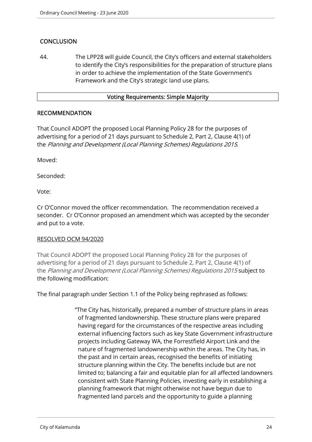# **CONCLUSION**

44. The LPP28 will guide Council, the City's officers and external stakeholders to identify the City's responsibilities for the preparation of structure plans in order to achieve the implementation of the State Government's Framework and the City's strategic land use plans.

## Voting Requirements: Simple Majority

## RECOMMENDATION

That Council ADOPT the proposed Local Planning Policy 28 for the purposes of advertising for a period of 21 days pursuant to Schedule 2, Part 2, Clause 4(1) of the Planning and Development (Local Planning Schemes) Regulations 2015.

Moved:

Seconded:

Vote:

Cr O'Connor moved the officer recommendation. The recommendation received a seconder. Cr O'Connor proposed an amendment which was accepted by the seconder and put to a vote.

## RESOLVED OCM 94/2020

That Council ADOPT the proposed Local Planning Policy 28 for the purposes of advertising for a period of 21 days pursuant to Schedule 2, Part 2, Clause 4(1) of the Planning and Development (Local Planning Schemes) Regulations 2015 subject to the following modification:

The final paragraph under Section 1.1 of the Policy being rephrased as follows:

"The City has, historically, prepared a number of structure plans in areas of fragmented landownership. These structure plans were prepared having regard for the circumstances of the respective areas including external influencing factors such as key State Government infrastructure projects including Gateway WA, the Forrestfield Airport Link and the nature of fragmented landownership within the areas. The City has, in the past and in certain areas, recognised the benefits of initiating structure planning within the City. The benefits include but are not limited to; balancing a fair and equitable plan for all affected landowners consistent with State Planning Policies, investing early in establishing a planning framework that might otherwise not have begun due to fragmented land parcels and the opportunity to guide a planning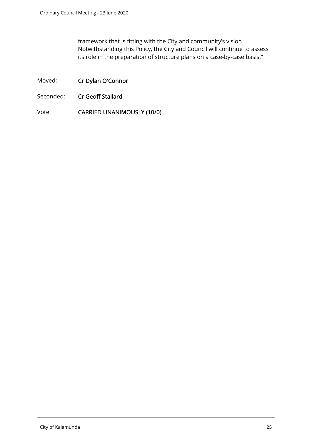framework that is fitting with the City and community's vision. Notwithstanding this Policy, the City and Council will continue to assess its role in the preparation of structure plans on a case-by-case basis."

- Moved: Cr Dylan O'Connor
- Seconded: Cr Geoff Stallard
- Vote: CARRIED UNANIMOUSLY (10/0)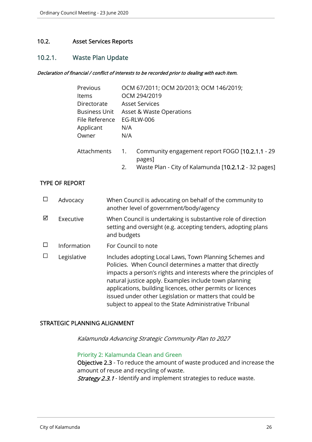# 10.2. Asset Services Reports

# 10.2.1. Waste Plan Update

#### Declaration of financial / conflict of interests to be recorded prior to dealing with each item.

| Previous             |                  | OCM 67/2011; OCM 20/2013; OCM 146/2019;                    |
|----------------------|------------------|------------------------------------------------------------|
| <b>Items</b>         |                  | OCM 294/2019                                               |
| Directorate          |                  | <b>Asset Services</b>                                      |
| <b>Business Unit</b> |                  | Asset & Waste Operations                                   |
| File Reference       |                  | <b>EG-RLW-006</b>                                          |
| Applicant            | N/A              |                                                            |
| Owner                | N/A              |                                                            |
| Attachments          | $\overline{1}$ . | Community engagement report FOGO [10.2.1.1 - 29]<br>pages] |

2. Waste Plan - City of Kalamunda [10.2.1.2 - 32 pages]

# TYPE OF REPORT

|   | Advocacy    | When Council is advocating on behalf of the community to<br>another level of government/body/agency                                                                                                                                                                                                                                                                                                                                |
|---|-------------|------------------------------------------------------------------------------------------------------------------------------------------------------------------------------------------------------------------------------------------------------------------------------------------------------------------------------------------------------------------------------------------------------------------------------------|
| ⊠ | Executive   | When Council is undertaking is substantive role of direction<br>setting and oversight (e.g. accepting tenders, adopting plans<br>and budgets                                                                                                                                                                                                                                                                                       |
|   | Information | For Council to note                                                                                                                                                                                                                                                                                                                                                                                                                |
|   | Legislative | Includes adopting Local Laws, Town Planning Schemes and<br>Policies. When Council determines a matter that directly<br>impacts a person's rights and interests where the principles of<br>natural justice apply. Examples include town planning<br>applications, building licences, other permits or licences<br>issued under other Legislation or matters that could be<br>subject to appeal to the State Administrative Tribunal |

## STRATEGIC PLANNING ALIGNMENT

Kalamunda Advancing Strategic Community Plan to 2027

# Priority 2: Kalamunda Clean and Green

Objective 2.3 - To reduce the amount of waste produced and increase the amount of reuse and recycling of waste. **Strategy 2.3.1** - Identify and implement strategies to reduce waste.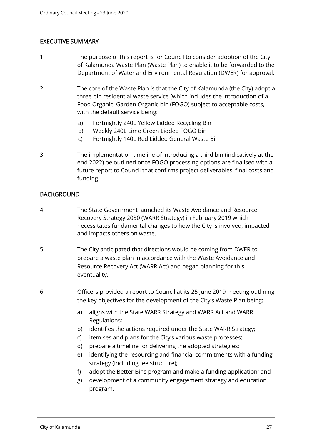# EXECUTIVE SUMMARY

- 1. The purpose of this report is for Council to consider adoption of the City of Kalamunda Waste Plan (Waste Plan) to enable it to be forwarded to the Department of Water and Environmental Regulation (DWER) for approval.
- 2. The core of the Waste Plan is that the City of Kalamunda (the City) adopt a three bin residential waste service (which includes the introduction of a Food Organic, Garden Organic bin (FOGO) subject to acceptable costs, with the default service being:
	- a) Fortnightly 240L Yellow Lidded Recycling Bin
	- b) Weekly 240L Lime Green Lidded FOGO Bin
	- c) Fortnightly 140L Red Lidded General Waste Bin
- 3. The implementation timeline of introducing a third bin (indicatively at the end 2022) be outlined once FOGO processing options are finalised with a future report to Council that confirms project deliverables, final costs and funding.

# **BACKGROUND**

- 4. The State Government launched its Waste Avoidance and Resource Recovery Strategy 2030 (WARR Strategy) in February 2019 which necessitates fundamental changes to how the City is involved, impacted and impacts others on waste.
- 5. The City anticipated that directions would be coming from DWER to prepare a waste plan in accordance with the Waste Avoidance and Resource Recovery Act (WARR Act) and began planning for this eventuality.
- 6. Officers provided a report to Council at its 25 June 2019 meeting outlining the key objectives for the development of the City's Waste Plan being:
	- a) aligns with the State WARR Strategy and WARR Act and WARR Regulations;
	- b) identifies the actions required under the State WARR Strategy;
	- c) itemises and plans for the City's various waste processes;
	- d) prepare a timeline for delivering the adopted strategies;
	- e) identifying the resourcing and financial commitments with a funding strategy (including fee structure);
	- f) adopt the Better Bins program and make a funding application; and
	- g) development of a community engagement strategy and education program.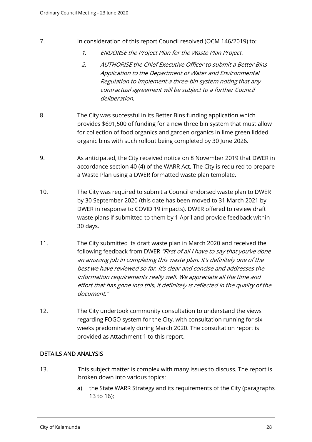- 7. In consideration of this report Council resolved (OCM 146/2019) to:
	- 1. ENDORSE the Project Plan for the Waste Plan Project.
	- 2. AUTHORISE the Chief Executive Officer to submit a Better Bins Application to the Department of Water and Environmental Regulation to implement a three-bin system noting that any contractual agreement will be subject to a further Council deliberation.
- 8. The City was successful in its Better Bins funding application which provides \$691,500 of funding for a new three bin system that must allow for collection of food organics and garden organics in lime green lidded organic bins with such rollout being completed by 30 June 2026.
- 9. As anticipated, the City received notice on 8 November 2019 that DWER in accordance section 40 (4) of the WARR Act. The City is required to prepare a Waste Plan using a DWER formatted waste plan template.
- 10. The City was required to submit a Council endorsed waste plan to DWER by 30 September 2020 (this date has been moved to 31 March 2021 by DWER in response to COVID 19 impacts). DWER offered to review draft waste plans if submitted to them by 1 April and provide feedback within 30 days.
- 11. The City submitted its draft waste plan in March 2020 and received the following feedback from DWER "First of all I have to say that you've done an amazing job in completing this waste plan. It's definitely one of the best we have reviewed so far. It's clear and concise and addresses the information requirements really well. We appreciate all the time and effort that has gone into this, it definitely is reflected in the quality of the document."
- 12. The City undertook community consultation to understand the views regarding FOGO system for the City, with consultation running for six weeks predominately during March 2020. The consultation report is provided as Attachment 1 to this report.

# DETAILS AND ANALYSIS

- 13. This subject matter is complex with many issues to discuss. The report is broken down into various topics:
	- a) the State WARR Strategy and its requirements of the City (paragraphs 13 to 16);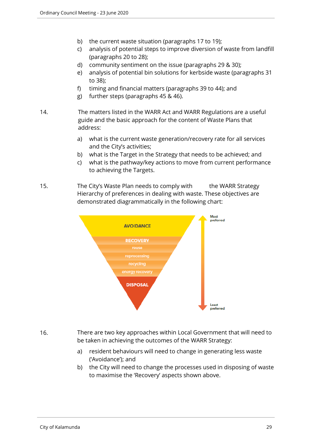- b) the current waste situation (paragraphs 17 to 19);
- c) analysis of potential steps to improve diversion of waste from landfill (paragraphs 20 to 28);
- d) community sentiment on the issue (paragraphs 29 & 30);
- e) analysis of potential bin solutions for kerbside waste (paragraphs 31 to 38);
- f) timing and financial matters (paragraphs 39 to 44); and
- g) further steps (paragraphs 45 & 46).
- 14. The matters listed in the WARR Act and WARR Regulations are a useful guide and the basic approach for the content of Waste Plans that address:
	- a) what is the current waste generation/recovery rate for all services and the City's activities;
	- b) what is the Target in the Strategy that needs to be achieved; and
	- c) what is the pathway/key actions to move from current performance to achieving the Targets.
- 15. The City's Waste Plan needs to comply with the WARR Strategy Hierarchy of preferences in dealing with waste. These objectives are demonstrated diagrammatically in the following chart:



16. There are two key approaches within Local Government that will need to be taken in achieving the outcomes of the WARR Strategy:

- a) resident behaviours will need to change in generating less waste ('Avoidance'); and
- b) the City will need to change the processes used in disposing of waste to maximise the 'Recovery' aspects shown above.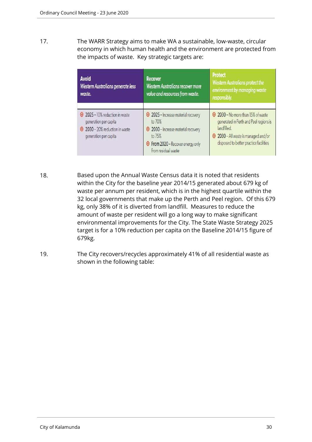17. The WARR Strategy aims to make WA a sustainable, low-waste, circular economy in which human health and the environment are protected from the impacts of waste. Key strategic targets are:

| Avoid<br>Western Australians generate less<br>waste.                                                             | <b>Recover</b><br><b>Western Australians recover more</b><br>value and resources from waste.                                                                  | <b>Protect</b><br><b>Western Australians protect the</b><br>environment by managing waste<br>responsibly.                                                                 |  |  |  |
|------------------------------------------------------------------------------------------------------------------|---------------------------------------------------------------------------------------------------------------------------------------------------------------|---------------------------------------------------------------------------------------------------------------------------------------------------------------------------|--|--|--|
| 2025 - 10% reduction in waste<br>generation per capita<br>2030 - 20% reduction in waste<br>generation per capita | 2025 - Increase material recovery<br>to 70%<br>2030 - Increase material recovery<br>to 75%<br><b>O</b> From 2020 - Recover energy only<br>from residual waste | 2030 - No more than 15% of waste<br>generated in Perth and Peel regions is<br>landfilled.<br>2030 - All waste is managed and/or<br>disposed to better practice facilities |  |  |  |

- 18. Based upon the Annual Waste Census data it is noted that residents within the City for the baseline year 2014/15 generated about 679 kg of waste per annum per resident, which is in the highest quartile within the 32 local governments that make up the Perth and Peel region. Of this 679 kg, only 38% of it is diverted from landfill. Measures to reduce the amount of waste per resident will go a long way to make significant environmental improvements for the City. The State Waste Strategy 2025 target is for a 10% reduction per capita on the Baseline 2014/15 figure of 679kg.
- 19. The City recovers/recycles approximately 41% of all residential waste as shown in the following table: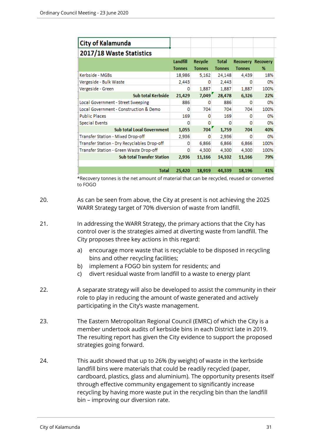| <b>City of Kalamunda</b>                    |               |               |               |               |                          |
|---------------------------------------------|---------------|---------------|---------------|---------------|--------------------------|
| 2017/18 Waste Statistics                    |               |               |               |               |                          |
|                                             | Landfill      | Recycle       | <b>Total</b>  |               | <b>Recovery Recovery</b> |
|                                             | <b>Tonnes</b> | <b>Tonnes</b> | <b>Tonnes</b> | <b>Tonnes</b> | %                        |
| Kerbside - MGBs                             | 18,986        | 5,162         | 24,148        | 4,439         | 18%                      |
| Vergeside - Bulk Waste                      | 2,443         | ٥             | 2,443         | o             | 0%                       |
| Vergeside - Green                           | ٥             | 1,887         | 1,887         | 1,887         | 100%                     |
| Sub total Kerbside                          | 21,429        | 7,049'        | 28,478        | 6,326         | 22%                      |
| Local Government - Street Sweeping          | 886           | ο             | 886           | 0             | 0%                       |
| Local Government - Construction & Demo      | o             | 704           | 704           | 704           | 100%                     |
| <b>Public Places</b>                        | 169           | o             | 169           | o             | 0%                       |
| <b>Special Events</b>                       | n             | Ω             | o             | o             | 0%                       |
| <b>Sub total Local Government</b>           | 1,055         | 704'          | 1,759         | 704           | 40%                      |
| Transfer Station - Mixed Drop-off           | 2.936         | ٥             | 2,936         | o             | 0%                       |
| Transfer Station - Dry Recyclables Drop-off | 0             | 6,866         | 6,866         | 6,866         | 100%                     |
| Transfer Station - Green Waste Drop-off     | o             | 4,300         | 4,300         | 4,300         | 100%                     |
| <b>Sub total Transfer Station</b>           | 2,936         | 11,166        | 14,102        | 11,166        | 79%                      |
|                                             |               |               |               |               |                          |
| <b>Total</b>                                | 25,420        | 18,919        | 44,339        | 18,196        | 41%                      |

\*Recovery tonnes is the net amount of material that can be recycled, reused or converted to FOGO

- 20. As can be seen from above, the City at present is not achieving the 2025 WARR Strategy target of 70% diversion of waste from landfill.
- 21. In addressing the WARR Strategy, the primary actions that the City has control over is the strategies aimed at diverting waste from landfill. The City proposes three key actions in this regard:
	- a) encourage more waste that is recyclable to be disposed in recycling bins and other recycling facilities;
	- b) implement a FOGO bin system for residents; and
	- c) divert residual waste from landfill to a waste to energy plant
- 22. A separate strategy will also be developed to assist the community in their role to play in reducing the amount of waste generated and actively participating in the City's waste management.
- 23. The Eastern Metropolitan Regional Council (EMRC) of which the City is a member undertook audits of kerbside bins in each District late in 2019. The resulting report has given the City evidence to support the proposed strategies going forward.
- 24. This audit showed that up to 26% (by weight) of waste in the kerbside landfill bins were materials that could be readily recycled (paper, cardboard, plastics, glass and aluminium). The opportunity presents itself through effective community engagement to significantly increase recycling by having more waste put in the recycling bin than the landfill bin – improving our diversion rate.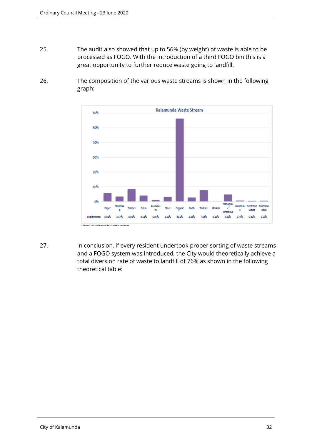- 25. The audit also showed that up to 56% (by weight) of waste is able to be processed as FOGO. With the introduction of a third FOGO bin this is a great opportunity to further reduce waste going to landfill.
- 26. The composition of the various waste streams is shown in the following graph:



27. In conclusion, if every resident undertook proper sorting of waste streams and a FOGO system was introduced, the City would theoretically achieve a total diversion rate of waste to landfill of 76% as shown in the following theoretical table: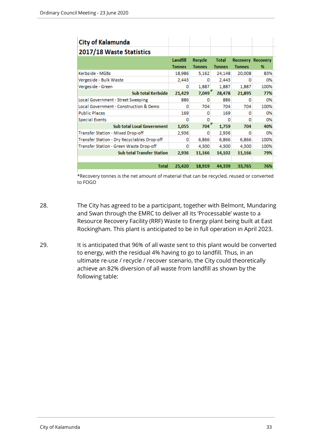| <b>City of Kalamunda</b>                    |                           |                          |                               |               |                               |
|---------------------------------------------|---------------------------|--------------------------|-------------------------------|---------------|-------------------------------|
| 2017/18 Waste Statistics                    |                           |                          |                               |               |                               |
|                                             | Landfill<br><b>Tonnes</b> | Recycle<br><b>Tonnes</b> | <b>Total</b><br><b>Tonnes</b> | <b>Tonnes</b> | <b>Recovery Recovery</b><br>% |
| Kerbside - MGBs                             | 18,986                    | 5,162                    | 24,148                        | 20,008        | 83%                           |
| Vergeside - Bulk Waste                      | 2,443                     | o                        | 2,443                         | o             | 0%                            |
| Vergeside - Green                           | 0                         | 1,887                    | 1,887                         | 1,887         | 100%                          |
| <b>Sub total Kerbside</b>                   | 21,429                    | 7,049'                   | 28,478                        | 21,895        | 77%                           |
| Local Government - Street Sweeping          | 886                       | o                        | 886                           | o             | 0%                            |
| Local Government - Construction & Demo      | ο                         | 704                      | 704                           | 704           | 100%                          |
| <b>Public Places</b>                        | 169                       | o                        | 169                           | o             | 0%                            |
| <b>Special Events</b>                       | o                         | o                        | o                             | o             | 0%                            |
| <b>Sub total Local Government</b>           | 1,055                     | 704'                     | 1,759                         | 704           | 40%                           |
| <b>Transfer Station - Mixed Drop-off</b>    | 2,936                     | o                        | 2,936                         | o             | 0%                            |
| Transfer Station - Dry Recyclables Drop-off | 0                         | 6,866                    | 6,866                         | 6,866         | 100%                          |
| Transfer Station - Green Waste Drop-off     | o                         | 4,300                    | 4,300                         | 4,300         | 100%                          |
| <b>Sub total Transfer Station</b>           | 2,936                     | 11,166                   | 14,102                        | 11,166        | 79%                           |
|                                             |                           |                          |                               |               |                               |
| <b>Total</b>                                | 25,420                    | 18,919                   | 44,339                        | 33,765        | 76%                           |

\*Recovery tonnes is the net amount of material that can be recycled, reused or converted to FOGO

- 28. The City has agreed to be a participant, together with Belmont, Mundaring and Swan through the EMRC to deliver all its 'Processable' waste to a Resource Recovery Facility (RRF) Waste to Energy plant being built at East Rockingham. This plant is anticipated to be in full operation in April 2023.
- 29. It is anticipated that 96% of all waste sent to this plant would be converted to energy, with the residual 4% having to go to landfill. Thus, in an ultimate re-use / recycle / recover scenario, the City could theoretically achieve an 82% diversion of all waste from landfill as shown by the following table: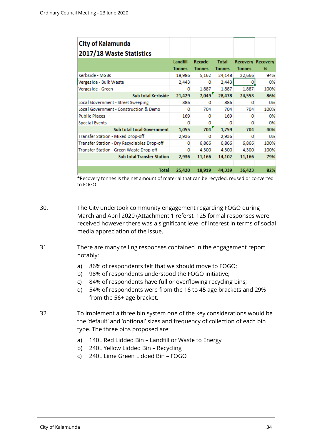| <b>City of Kalamunda</b>                    |               |               |               |               |                          |
|---------------------------------------------|---------------|---------------|---------------|---------------|--------------------------|
| 2017/18 Waste Statistics                    |               |               |               |               |                          |
|                                             | Landfill      | Recycle       | <b>Total</b>  |               | <b>Recovery Recovery</b> |
|                                             | <b>Tonnes</b> | <b>Tonnes</b> | <b>Tonnes</b> | <b>Tonnes</b> | %                        |
| Kerbside - MGBs                             | 18,986        | 5,162         | 24,148        | 22,666        | 94%                      |
| Vergeside - Bulk Waste                      | 2,443         | o             | 2,443         | 0             | 0%                       |
| Vergeside - Green                           | o             | 1,887         | 1,887         | 1,887         | 100%                     |
| <b>Sub total Kerbside</b>                   | 21,429        | 7,049'        | 28,478        | 24,553        | 86%                      |
| Local Government - Street Sweeping          | 886           | o             | 886           | 0             | 0%                       |
| Local Government - Construction & Demo      | o             | 704           | 704           | 704           | 100%                     |
| <b>Public Places</b>                        | 169           | o             | 169           | o             | 0%                       |
| <b>Special Events</b>                       | o             | o             | o             | o             | 0%                       |
| <b>Sub total Local Government</b>           | 1,055         | 704           | 1,759         | 704           | 40%                      |
| Transfer Station - Mixed Drop-off           | 2,936         | o             | 2,936         | o             | 0%                       |
| Transfer Station - Dry Recyclables Drop-off | 0             | 6,866         | 6,866         | 6,866         | 100%                     |
| Transfer Station - Green Waste Drop-off     | 0             | 4,300         | 4,300         | 4,300         | 100%                     |
| <b>Sub total Transfer Station</b>           | 2,936         | 11,166        | 14,102        | 11,166        | 79%                      |
|                                             |               |               |               |               |                          |
| <b>Total</b>                                | 25,420        | 18,919        | 44,339        | 36,423        | 82%                      |

\*Recovery tonnes is the net amount of material that can be recycled, reused or converted to FOGO

- 30. The City undertook community engagement regarding FOGO during March and April 2020 (Attachment 1 refers). 125 formal responses were received however there was a significant level of interest in terms of social media appreciation of the issue.
- 31. There are many telling responses contained in the engagement report notably:
	- a) 86% of respondents felt that we should move to FOGO;
	- b) 98% of respondents understood the FOGO initiative;
	- c) 84% of respondents have full or overflowing recycling bins;
	- d) 54% of respondents were from the 16 to 45 age brackets and 29% from the 56+ age bracket.
- 32. To implement a three bin system one of the key considerations would be the 'default' and 'optional' sizes and frequency of collection of each bin type. The three bins proposed are:
	- a) 140L Red Lidded Bin Landfill or Waste to Energy
	- b) 240L Yellow Lidded Bin Recycling
	- c) 240L Lime Green Lidded Bin FOGO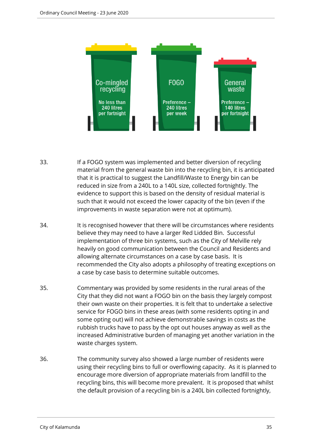

- 33. If a FOGO system was implemented and better diversion of recycling material from the general waste bin into the recycling bin, it is anticipated that it is practical to suggest the Landfill/Waste to Energy bin can be reduced in size from a 240L to a 140L size, collected fortnightly. The evidence to support this is based on the density of residual material is such that it would not exceed the lower capacity of the bin (even if the improvements in waste separation were not at optimum).
- 34. It is recognised however that there will be circumstances where residents believe they may need to have a larger Red Lidded Bin. Successful implementation of three bin systems, such as the City of Melville rely heavily on good communication between the Council and Residents and allowing alternate circumstances on a case by case basis. It is recommended the City also adopts a philosophy of treating exceptions on a case by case basis to determine suitable outcomes.
- 35. Commentary was provided by some residents in the rural areas of the City that they did not want a FOGO bin on the basis they largely compost their own waste on their properties. It is felt that to undertake a selective service for FOGO bins in these areas (with some residents opting in and some opting out) will not achieve demonstrable savings in costs as the rubbish trucks have to pass by the opt out houses anyway as well as the increased Administrative burden of managing yet another variation in the waste charges system.
- 36. The community survey also showed a large number of residents were using their recycling bins to full or overflowing capacity. As it is planned to encourage more diversion of appropriate materials from landfill to the recycling bins, this will become more prevalent. It is proposed that whilst the default provision of a recycling bin is a 240L bin collected fortnightly,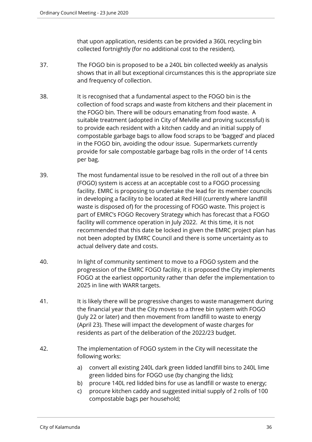that upon application, residents can be provided a 360L recycling bin collected fortnightly (for no additional cost to the resident).

- 37. The FOGO bin is proposed to be a 240L bin collected weekly as analysis shows that in all but exceptional circumstances this is the appropriate size and frequency of collection.
- 38. It is recognised that a fundamental aspect to the FOGO bin is the collection of food scraps and waste from kitchens and their placement in the FOGO bin. There will be odours emanating from food waste. A suitable treatment (adopted in City of Melville and proving successful) is to provide each resident with a kitchen caddy and an initial supply of compostable garbage bags to allow food scraps to be 'bagged' and placed in the FOGO bin, avoiding the odour issue. Supermarkets currently provide for sale compostable garbage bag rolls in the order of 14 cents per bag.
- 39. The most fundamental issue to be resolved in the roll out of a three bin (FOGO) system is access at an acceptable cost to a FOGO processing facility. EMRC is proposing to undertake the lead for its member councils in developing a facility to be located at Red Hill (currently where landfill waste is disposed of) for the processing of FOGO waste. This project is part of EMRC's FOGO Recovery Strategy which has forecast that a FOGO facility will commence operation in July 2022. At this time, it is not recommended that this date be locked in given the EMRC project plan has not been adopted by EMRC Council and there is some uncertainty as to actual delivery date and costs.
- 40. In light of community sentiment to move to a FOGO system and the progression of the EMRC FOGO facility, it is proposed the City implements FOGO at the earliest opportunity rather than defer the implementation to 2025 in line with WARR targets.
- 41. It is likely there will be progressive changes to waste management during the financial year that the City moves to a three bin system with FOGO (July 22 or later) and then movement from landfill to waste to energy (April 23). These will impact the development of waste charges for residents as part of the deliberation of the 2022/23 budget.
- 42. The implementation of FOGO system in the City will necessitate the following works:
	- a) convert all existing 240L dark green lidded landfill bins to 240L lime green lidded bins for FOGO use (by changing the lids);
	- b) procure 140L red lidded bins for use as landfill or waste to energy;
	- c) procure kitchen caddy and suggested initial supply of 2 rolls of 100 compostable bags per household;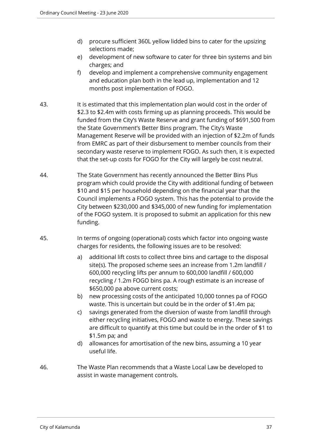- d) procure sufficient 360L yellow lidded bins to cater for the upsizing selections made;
- e) development of new software to cater for three bin systems and bin charges; and
- f) develop and implement a comprehensive community engagement and education plan both in the lead up, implementation and 12 months post implementation of FOGO.
- 43. It is estimated that this implementation plan would cost in the order of \$2.3 to \$2.4m with costs firming up as planning proceeds. This would be funded from the City's Waste Reserve and grant funding of \$691,500 from the State Government's Better Bins program. The City's Waste Management Reserve will be provided with an injection of \$2.2m of funds from EMRC as part of their disbursement to member councils from their secondary waste reserve to implement FOGO. As such then, it is expected that the set-up costs for FOGO for the City will largely be cost neutral.
- 44. The State Government has recently announced the Better Bins Plus program which could provide the City with additional funding of between \$10 and \$15 per household depending on the financial year that the Council implements a FOGO system. This has the potential to provide the City between \$230,000 and \$345,000 of new funding for implementation of the FOGO system. It is proposed to submit an application for this new funding.
- 45. In terms of ongoing (operational) costs which factor into ongoing waste charges for residents, the following issues are to be resolved:
	- a) additional lift costs to collect three bins and cartage to the disposal site(s). The proposed scheme sees an increase from 1.2m landfill / 600,000 recycling lifts per annum to 600,000 landfill / 600,000 recycling / 1.2m FOGO bins pa. A rough estimate is an increase of \$650,000 pa above current costs;
	- b) new processing costs of the anticipated 10,000 tonnes pa of FOGO waste. This is uncertain but could be in the order of \$1.4m pa;
	- c) savings generated from the diversion of waste from landfill through either recycling initiatives, FOGO and waste to energy. These savings are difficult to quantify at this time but could be in the order of \$1 to \$1.5m pa; and
	- d) allowances for amortisation of the new bins, assuming a 10 year useful life.
- 46. The Waste Plan recommends that a Waste Local Law be developed to assist in waste management controls.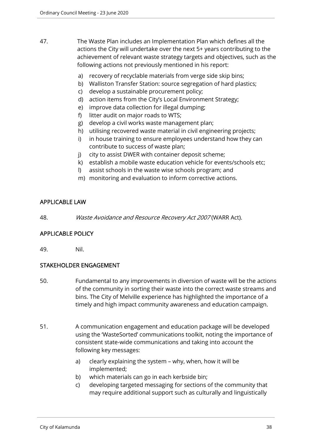- 47. The Waste Plan includes an Implementation Plan which defines all the actions the City will undertake over the next 5+ years contributing to the achievement of relevant waste strategy targets and objectives, such as the following actions not previously mentioned in his report:
	- a) recovery of recyclable materials from verge side skip bins;
	- b) Walliston Transfer Station: source segregation of hard plastics;
	- c) develop a sustainable procurement policy;
	- d) action items from the City's Local Environment Strategy;
	- e) improve data collection for illegal dumping;
	- f) litter audit on major roads to WTS;
	- g) develop a civil works waste management plan;
	- h) utilising recovered waste material in civil engineering projects;
	- i) in house training to ensure employees understand how they can contribute to success of waste plan;
	- j) city to assist DWER with container deposit scheme;
	- k) establish a mobile waste education vehicle for events/schools etc;
	- l) assist schools in the waste wise schools program; and
	- m) monitoring and evaluation to inform corrective actions.

## APPLICABLE LAW

48. Waste Avoidance and Resource Recovery Act 2007 (WARR Act).

## APPLICABLE POLICY

49. Nil.

## STAKEHOLDER ENGAGEMENT

- 50. Fundamental to any improvements in diversion of waste will be the actions of the community in sorting their waste into the correct waste streams and bins. The City of Melville experience has highlighted the importance of a timely and high impact community awareness and education campaign.
- 51. A communication engagement and education package will be developed using the 'WasteSorted' communications toolkit, noting the importance of consistent state-wide communications and taking into account the following key messages:
	- a) clearly explaining the system why, when, how it will be implemented;
	- b) which materials can go in each kerbside bin;
	- c) developing targeted messaging for sections of the community that may require additional support such as culturally and linguistically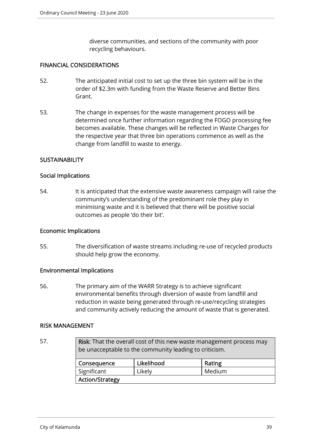diverse communities, and sections of the community with poor recycling behaviours.

### FINANCIAL CONSIDERATIONS

- 52. The anticipated initial cost to set up the three bin system will be in the order of \$2.3m with funding from the Waste Reserve and Better Bins Grant.
- 53. The change in expenses for the waste management process will be determined once further information regarding the FOGO processing fee becomes available. These changes will be reflected in Waste Charges for the respective year that three bin operations commence as well as the change from landfill to waste to energy.

## **SUSTAINABILITY**

### Social Implications

54. It is anticipated that the extensive waste awareness campaign will raise the community's understanding of the predominant role they play in minimising waste and it is believed that there will be positive social outcomes as people 'do their bit'.

### Economic Implications

55. The diversification of waste streams including re-use of recycled products should help grow the economy.

### Environmental Implications

56. The primary aim of the WARR Strategy is to achieve significant environmental benefits through diversion of waste from landfill and reduction in waste being generated through re-use/recycling strategies and community actively reducing the amount of waste that is generated.

### RISK MANAGEMENT

57. Risk: That the overall cost of this new waste management process may be unacceptable to the community leading to criticism.

| Consequence            | Likelihood | Rating |
|------------------------|------------|--------|
| Significant            | Likely     | Medium |
| <b>Action/Strategy</b> |            |        |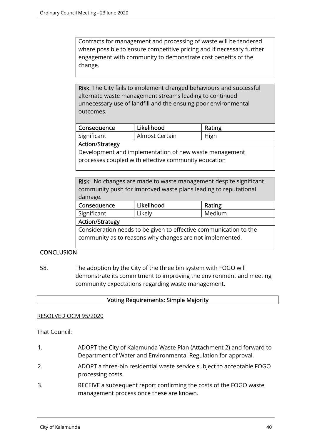Contracts for management and processing of waste will be tendered where possible to ensure competitive pricing and if necessary further engagement with community to demonstrate cost benefits of the change.

Risk: The City fails to implement changed behaviours and successful alternate waste management streams leading to continued unnecessary use of landfill and the ensuing poor environmental outcomes.

| Consequence | Likelihood     | Rating |
|-------------|----------------|--------|
| Significant | Almost Certain | High   |
|             |                |        |

### Action/Strategy

Development and implementation of new waste management processes coupled with effective community education

| Risk: No changes are made to waste management despite significant |  |
|-------------------------------------------------------------------|--|
| community push for improved waste plans leading to reputational   |  |
| damage.                                                           |  |
|                                                                   |  |

| Likelihood<br>Consequence                                         |        | Rating |  |
|-------------------------------------------------------------------|--------|--------|--|
| Significant                                                       | Likely | Medium |  |
| <b>Action/Strategy</b>                                            |        |        |  |
| Consideration needs to be given to effective communication to the |        |        |  |
| community as to reasons why changes are not implemented.          |        |        |  |

## **CONCLUSION**

58. The adoption by the City of the three bin system with FOGO will demonstrate its commitment to improving the environment and meeting community expectations regarding waste management.

## Voting Requirements: Simple Majority

## RESOLVED OCM 95/2020

## That Council:

- 1. ADOPT the City of Kalamunda Waste Plan (Attachment 2) and forward to Department of Water and Environmental Regulation for approval.
- 2. ADOPT a three-bin residential waste service subject to acceptable FOGO processing costs.
- 3. RECEIVE a subsequent report confirming the costs of the FOGO waste management process once these are known.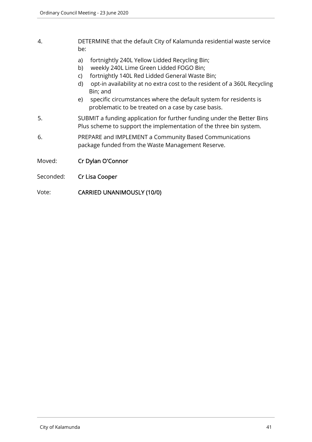- 4. DETERMINE that the default City of Kalamunda residential waste service be:
	- a) fortnightly 240L Yellow Lidded Recycling Bin;
	- b) weekly 240L Lime Green Lidded FOGO Bin;
	- c) fortnightly 140L Red Lidded General Waste Bin;
	- d) opt-in availability at no extra cost to the resident of a 360L Recycling Bin; and
	- e) specific circumstances where the default system for residents is problematic to be treated on a case by case basis.
- 5. SUBMIT a funding application for further funding under the Better Bins Plus scheme to support the implementation of the three bin system.
- 6. PREPARE and IMPLEMENT a Community Based Communications package funded from the Waste Management Reserve.
- Moved: Cr Dylan O'Connor
- Seconded: Cr Lisa Cooper
- Vote: CARRIED UNANIMOUSLY (10/0)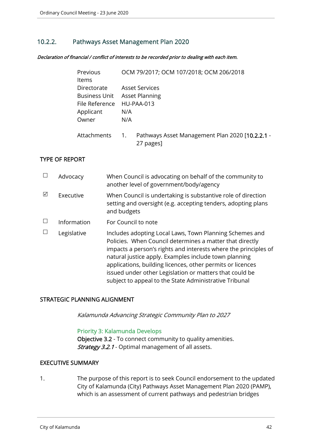## 10.2.2. Pathways Asset Management Plan 2020

#### Declaration of financial / conflict of interests to be recorded prior to dealing with each item.

| Previous             |     | OCM 79/2017; OCM 107/2018; OCM 206/2018                      |
|----------------------|-----|--------------------------------------------------------------|
| <b>Items</b>         |     |                                                              |
| Directorate          |     | <b>Asset Services</b>                                        |
| <b>Business Unit</b> |     | <b>Asset Planning</b>                                        |
| File Reference       |     | HU-PAA-013                                                   |
| Applicant            | N/A |                                                              |
| Owner                | N/A |                                                              |
| Attachments          | 1.  | Pathways Asset Management Plan 2020 [10.2.2.1 -<br>27 pages] |

### TYPE OF REPORT

|   | Advocacy    | When Council is advocating on behalf of the community to<br>another level of government/body/agency                                                                                                                                                                                                                                                                                                                                |
|---|-------------|------------------------------------------------------------------------------------------------------------------------------------------------------------------------------------------------------------------------------------------------------------------------------------------------------------------------------------------------------------------------------------------------------------------------------------|
| ⊠ | Executive   | When Council is undertaking is substantive role of direction<br>setting and oversight (e.g. accepting tenders, adopting plans<br>and budgets                                                                                                                                                                                                                                                                                       |
|   | Information | For Council to note                                                                                                                                                                                                                                                                                                                                                                                                                |
|   | Legislative | Includes adopting Local Laws, Town Planning Schemes and<br>Policies. When Council determines a matter that directly<br>impacts a person's rights and interests where the principles of<br>natural justice apply. Examples include town planning<br>applications, building licences, other permits or licences<br>issued under other Legislation or matters that could be<br>subject to appeal to the State Administrative Tribunal |

### STRATEGIC PLANNING ALIGNMENT

Kalamunda Advancing Strategic Community Plan to 2027

### Priority 3: Kalamunda Develops

Objective 3.2 - To connect community to quality amenities. Strategy 3.2.1 - Optimal management of all assets.

### EXECUTIVE SUMMARY

1. The purpose of this report is to seek Council endorsement to the updated City of Kalamunda (City) Pathways Asset Management Plan 2020 (PAMP), which is an assessment of current pathways and pedestrian bridges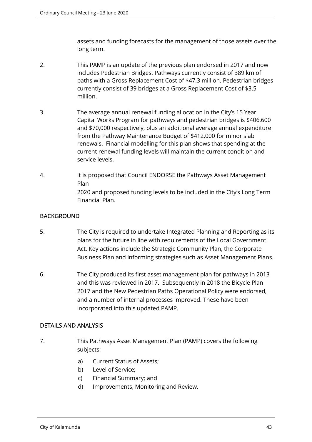assets and funding forecasts for the management of those assets over the long term.

- 2. This PAMP is an update of the previous plan endorsed in 2017 and now includes Pedestrian Bridges. Pathways currently consist of 389 km of paths with a Gross Replacement Cost of \$47.3 million. Pedestrian bridges currently consist of 39 bridges at a Gross Replacement Cost of \$3.5 million.
- 3. The average annual renewal funding allocation in the City's 15 Year Capital Works Program for pathways and pedestrian bridges is \$406,600 and \$70,000 respectively, plus an additional average annual expenditure from the Pathway Maintenance Budget of \$412,000 for minor slab renewals. Financial modelling for this plan shows that spending at the current renewal funding levels will maintain the current condition and service levels.
- 4. It is proposed that Council ENDORSE the Pathways Asset Management Plan 2020 and proposed funding levels to be included in the City's Long Term Financial Plan.

## **BACKGROUND**

- 5. The City is required to undertake Integrated Planning and Reporting as its plans for the future in line with requirements of the Local Government Act. Key actions include the Strategic Community Plan, the Corporate Business Plan and informing strategies such as Asset Management Plans.
- 6. The City produced its first asset management plan for pathways in 2013 and this was reviewed in 2017. Subsequently in 2018 the Bicycle Plan 2017 and the New Pedestrian Paths Operational Policy were endorsed, and a number of internal processes improved. These have been incorporated into this updated PAMP.

## DETAILS AND ANALYSIS

- 7. This Pathways Asset Management Plan (PAMP) covers the following subjects:
	- a) Current Status of Assets;
	- b) Level of Service;
	- c) Financial Summary; and
	- d) Improvements, Monitoring and Review.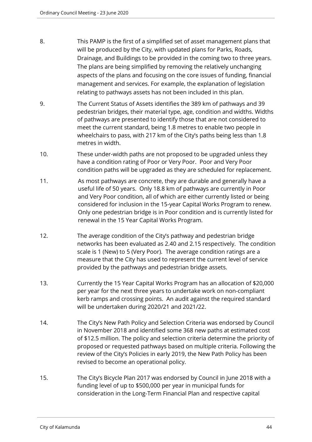- 8. This PAMP is the first of a simplified set of asset management plans that will be produced by the City, with updated plans for Parks, Roads, Drainage, and Buildings to be provided in the coming two to three years. The plans are being simplified by removing the relatively unchanging aspects of the plans and focusing on the core issues of funding, financial management and services. For example, the explanation of legislation relating to pathways assets has not been included in this plan.
- 9. The Current Status of Assets identifies the 389 km of pathways and 39 pedestrian bridges, their material type, age, condition and widths. Widths of pathways are presented to identify those that are not considered to meet the current standard, being 1.8 metres to enable two people in wheelchairs to pass, with 217 km of the City's paths being less than 1.8 metres in width.
- 10. These under-width paths are not proposed to be upgraded unless they have a condition rating of Poor or Very Poor. Poor and Very Poor condition paths will be upgraded as they are scheduled for replacement.
- 11. As most pathways are concrete, they are durable and generally have a useful life of 50 years. Only 18.8 km of pathways are currently in Poor and Very Poor condition, all of which are either currently listed or being considered for inclusion in the 15-year Capital Works Program to renew. Only one pedestrian bridge is in Poor condition and is currently listed for renewal in the 15 Year Capital Works Program.
- 12. The average condition of the City's pathway and pedestrian bridge networks has been evaluated as 2.40 and 2.15 respectively. The condition scale is 1 (New) to 5 (Very Poor). The average condition ratings are a measure that the City has used to represent the current level of service provided by the pathways and pedestrian bridge assets.
- 13. Currently the 15 Year Capital Works Program has an allocation of \$20,000 per year for the next three years to undertake work on non-compliant kerb ramps and crossing points. An audit against the required standard will be undertaken during 2020/21 and 2021/22.
- 14. The City's New Path Policy and Selection Criteria was endorsed by Council in November 2018 and identified some 368 new paths at estimated cost of \$12.5 million. The policy and selection criteria determine the priority of proposed or requested pathways based on multiple criteria. Following the review of the City's Policies in early 2019, the New Path Policy has been revised to become an operational policy.
- 15. The City's Bicycle Plan 2017 was endorsed by Council in June 2018 with a funding level of up to \$500,000 per year in municipal funds for consideration in the Long-Term Financial Plan and respective capital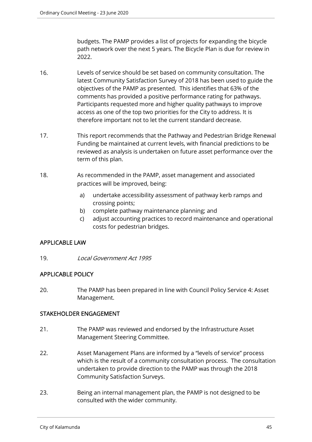budgets. The PAMP provides a list of projects for expanding the bicycle path network over the next 5 years. The Bicycle Plan is due for review in 2022.

- 16. Levels of service should be set based on community consultation. The latest Community Satisfaction Survey of 2018 has been used to guide the objectives of the PAMP as presented. This identifies that 63% of the comments has provided a positive performance rating for pathways. Participants requested more and higher quality pathways to improve access as one of the top two priorities for the City to address. It is therefore important not to let the current standard decrease.
- 17. This report recommends that the Pathway and Pedestrian Bridge Renewal Funding be maintained at current levels, with financial predictions to be reviewed as analysis is undertaken on future asset performance over the term of this plan.
- 18. As recommended in the PAMP, asset management and associated practices will be improved, being:
	- a) undertake accessibility assessment of pathway kerb ramps and crossing points;
	- b) complete pathway maintenance planning; and
	- c) adjust accounting practices to record maintenance and operational costs for pedestrian bridges.

## APPLICABLE LAW

19. Local Government Act 1995

## APPLICABLE POLICY

20. The PAMP has been prepared in line with Council Policy Service 4: Asset Management.

## STAKEHOLDER ENGAGEMENT

- 21. The PAMP was reviewed and endorsed by the Infrastructure Asset Management Steering Committee.
- 22. Asset Management Plans are informed by a "levels of service" process which is the result of a community consultation process. The consultation undertaken to provide direction to the PAMP was through the 2018 Community Satisfaction Surveys.
- 23. Being an internal management plan, the PAMP is not designed to be consulted with the wider community.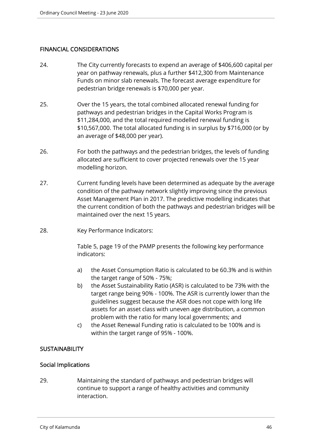## FINANCIAL CONSIDERATIONS

- 24. The City currently forecasts to expend an average of \$406,600 capital per year on pathway renewals, plus a further \$412,300 from Maintenance Funds on minor slab renewals. The forecast average expenditure for pedestrian bridge renewals is \$70,000 per year.
- 25. Over the 15 years, the total combined allocated renewal funding for pathways and pedestrian bridges in the Capital Works Program is \$11,284,000, and the total required modelled renewal funding is \$10,567,000. The total allocated funding is in surplus by \$716,000 (or by an average of \$48,000 per year).
- 26. For both the pathways and the pedestrian bridges, the levels of funding allocated are sufficient to cover projected renewals over the 15 year modelling horizon.
- 27. Current funding levels have been determined as adequate by the average condition of the pathway network slightly improving since the previous Asset Management Plan in 2017. The predictive modelling indicates that the current condition of both the pathways and pedestrian bridges will be maintained over the next 15 years.
- 28. Key Performance Indicators:

Table 5, page 19 of the PAMP presents the following key performance indicators:

- a) the Asset Consumption Ratio is calculated to be 60.3% and is within the target range of 50% - 75%;
- b) the Asset Sustainability Ratio (ASR) is calculated to be 73% with the target range being 90% - 100%. The ASR is currently lower than the guidelines suggest because the ASR does not cope with long life assets for an asset class with uneven age distribution, a common problem with the ratio for many local governments; and
- c) the Asset Renewal Funding ratio is calculated to be 100% and is within the target range of 95% - 100%.

## **SUSTAINABILITY**

## Social Implications

29. Maintaining the standard of pathways and pedestrian bridges will continue to support a range of healthy activities and community interaction.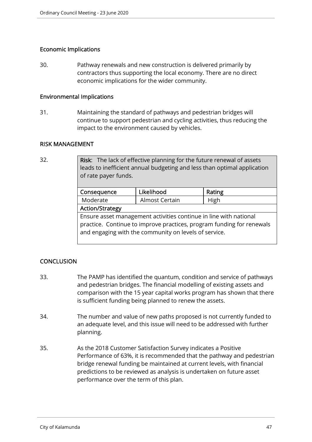## Economic Implications

30. Pathway renewals and new construction is delivered primarily by contractors thus supporting the local economy. There are no direct economic implications for the wider community.

### Environmental Implications

31. Maintaining the standard of pathways and pedestrian bridges will continue to support pedestrian and cycling activities, thus reducing the impact to the environment caused by vehicles.

### RISK MANAGEMENT

| 32. | Risk: The lack of effective planning for the future renewal of assets<br>leads to inefficient annual budgeting and less than optimal application<br>of rate payer funds.                            |                |        |  |
|-----|-----------------------------------------------------------------------------------------------------------------------------------------------------------------------------------------------------|----------------|--------|--|
|     | Consequence                                                                                                                                                                                         | Likelihood     | Rating |  |
|     | Moderate                                                                                                                                                                                            | Almost Certain | High   |  |
|     | <b>Action/Strategy</b>                                                                                                                                                                              |                |        |  |
|     | Ensure asset management activities continue in line with national<br>practice. Continue to improve practices, program funding for renewals<br>and engaging with the community on levels of service. |                |        |  |

## **CONCLUSION**

- 33. The PAMP has identified the quantum, condition and service of pathways and pedestrian bridges. The financial modelling of existing assets and comparison with the 15 year capital works program has shown that there is sufficient funding being planned to renew the assets.
- 34. The number and value of new paths proposed is not currently funded to an adequate level, and this issue will need to be addressed with further planning.
- 35. As the 2018 Customer Satisfaction Survey indicates a Positive Performance of 63%, it is recommended that the pathway and pedestrian bridge renewal funding be maintained at current levels, with financial predictions to be reviewed as analysis is undertaken on future asset performance over the term of this plan.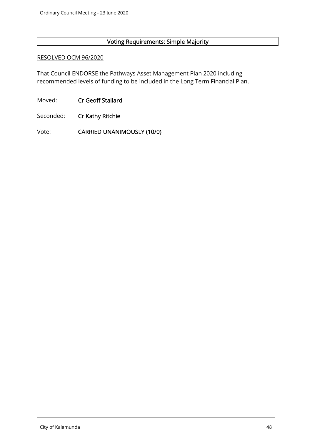## Voting Requirements: Simple Majority

### RESOLVED OCM 96/2020

That Council ENDORSE the Pathways Asset Management Plan 2020 including recommended levels of funding to be included in the Long Term Financial Plan.

Moved: Cr Geoff Stallard

Seconded: Cr Kathy Ritchie

Vote: CARRIED UNANIMOUSLY (10/0)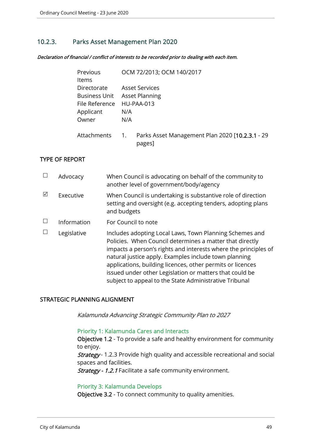## 10.2.3. Parks Asset Management Plan 2020

Declaration of financial / conflict of interests to be recorded prior to dealing with each item.

| Previous             | OCM 72/2013; OCM 140/2017                                       |
|----------------------|-----------------------------------------------------------------|
| Items                |                                                                 |
| Directorate          | <b>Asset Services</b>                                           |
| <b>Business Unit</b> | <b>Asset Planning</b>                                           |
| File Reference       | HU-PAA-013                                                      |
| Applicant            | N/A                                                             |
| Owner                | N/A                                                             |
| Attachments          | Parks Asset Management Plan 2020 [10.2.3.1 - 29<br>1.<br>pages] |

### TYPE OF REPORT

|   | Advocacy    | When Council is advocating on behalf of the community to<br>another level of government/body/agency                                                                                                                                                                                                                                                                                                                                |
|---|-------------|------------------------------------------------------------------------------------------------------------------------------------------------------------------------------------------------------------------------------------------------------------------------------------------------------------------------------------------------------------------------------------------------------------------------------------|
| ⊠ | Executive   | When Council is undertaking is substantive role of direction<br>setting and oversight (e.g. accepting tenders, adopting plans<br>and budgets                                                                                                                                                                                                                                                                                       |
|   | Information | For Council to note                                                                                                                                                                                                                                                                                                                                                                                                                |
|   | Legislative | Includes adopting Local Laws, Town Planning Schemes and<br>Policies. When Council determines a matter that directly<br>impacts a person's rights and interests where the principles of<br>natural justice apply. Examples include town planning<br>applications, building licences, other permits or licences<br>issued under other Legislation or matters that could be<br>subject to appeal to the State Administrative Tribunal |

### STRATEGIC PLANNING ALIGNMENT

Kalamunda Advancing Strategic Community Plan to 2027

#### Priority 1: Kalamunda Cares and Interacts

Objective 1.2 - To provide a safe and healthy environment for community to enjoy.

Strategy- 1.2.3 Provide high quality and accessible recreational and social spaces and facilities.

Strategy - 1.2.1 Facilitate a safe community environment.

### Priority 3: Kalamunda Develops

Objective 3.2 - To connect community to quality amenities.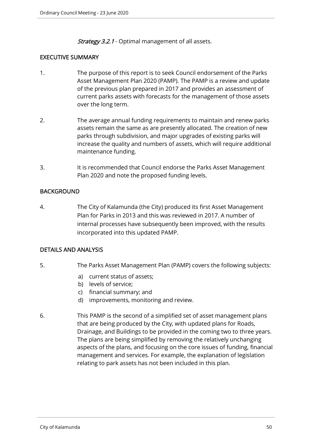**Strategy 3.2.1 - Optimal management of all assets.** 

## EXECUTIVE SUMMARY

- 1. The purpose of this report is to seek Council endorsement of the Parks Asset Management Plan 2020 (PAMP). The PAMP is a review and update of the previous plan prepared in 2017 and provides an assessment of current parks assets with forecasts for the management of those assets over the long term.
- 2. The average annual funding requirements to maintain and renew parks assets remain the same as are presently allocated. The creation of new parks through subdivision, and major upgrades of existing parks will increase the quality and numbers of assets, which will require additional maintenance funding.
- 3. It is recommended that Council endorse the Parks Asset Management Plan 2020 and note the proposed funding levels.

## BACKGROUND

4. The City of Kalamunda (the City) produced its first Asset Management Plan for Parks in 2013 and this was reviewed in 2017. A number of internal processes have subsequently been improved, with the results incorporated into this updated PAMP.

## DETAILS AND ANALYSIS

- 5. The Parks Asset Management Plan (PAMP) covers the following subjects:
	- a) current status of assets;
	- b) levels of service;
	- c) financial summary; and
	- d) improvements, monitoring and review.
- 6. This PAMP is the second of a simplified set of asset management plans that are being produced by the City, with updated plans for Roads, Drainage, and Buildings to be provided in the coming two to three years. The plans are being simplified by removing the relatively unchanging aspects of the plans, and focusing on the core issues of funding, financial management and services. For example, the explanation of legislation relating to park assets has not been included in this plan.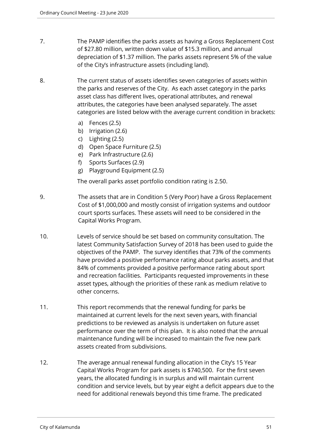- 7. The PAMP identifies the parks assets as having a Gross Replacement Cost of \$27.80 million, written down value of \$15.3 million, and annual depreciation of \$1.37 million. The parks assets represent 5% of the value of the City's infrastructure assets (including land).
- 8. The current status of assets identifies seven categories of assets within the parks and reserves of the City. As each asset category in the parks asset class has different lives, operational attributes, and renewal attributes, the categories have been analysed separately. The asset categories are listed below with the average current condition in brackets:
	- a) Fences (2.5)
	- b) Irrigation (2.6)
	- c) Lighting (2.5)
	- d) Open Space Furniture (2.5)
	- e) Park Infrastructure (2.6)
	- f) Sports Surfaces (2.9)
	- g) Playground Equipment (2.5)

The overall parks asset portfolio condition rating is 2.50.

- 9. The assets that are in Condition 5 (Very Poor) have a Gross Replacement Cost of \$1,000,000 and mostly consist of irrigation systems and outdoor court sports surfaces. These assets will need to be considered in the Capital Works Program.
- 10. Levels of service should be set based on community consultation. The latest Community Satisfaction Survey of 2018 has been used to guide the objectives of the PAMP. The survey identifies that 73% of the comments have provided a positive performance rating about parks assets, and that 84% of comments provided a positive performance rating about sport and recreation facilities. Participants requested improvements in these asset types, although the priorities of these rank as medium relative to other concerns.
- 11. This report recommends that the renewal funding for parks be maintained at current levels for the next seven years, with financial predictions to be reviewed as analysis is undertaken on future asset performance over the term of this plan. It is also noted that the annual maintenance funding will be increased to maintain the five new park assets created from subdivisions.
- 12. The average annual renewal funding allocation in the City's 15 Year Capital Works Program for park assets is \$740,500. For the first seven years, the allocated funding is in surplus and will maintain current condition and service levels, but by year eight a deficit appears due to the need for additional renewals beyond this time frame. The predicated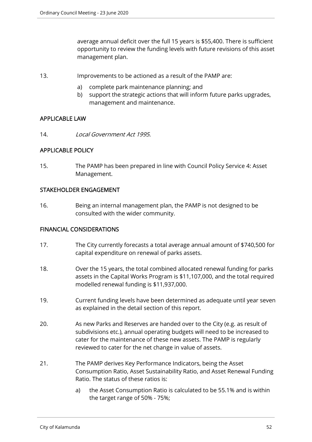average annual deficit over the full 15 years is \$55,400. There is sufficient opportunity to review the funding levels with future revisions of this asset management plan.

- 13. Improvements to be actioned as a result of the PAMP are:
	- a) complete park maintenance planning; and
	- b) support the strategic actions that will inform future parks upgrades, management and maintenance.

## APPLICABLE LAW

14. Local Government Act 1995.

## APPLICABLE POLICY

15. The PAMP has been prepared in line with Council Policy Service 4: Asset Management.

## STAKEHOLDER ENGAGEMENT

16. Being an internal management plan, the PAMP is not designed to be consulted with the wider community.

## FINANCIAL CONSIDERATIONS

- 17. The City currently forecasts a total average annual amount of \$740,500 for capital expenditure on renewal of parks assets.
- 18. Over the 15 years, the total combined allocated renewal funding for parks assets in the Capital Works Program is \$11,107,000, and the total required modelled renewal funding is \$11,937,000.
- 19. Current funding levels have been determined as adequate until year seven as explained in the detail section of this report.
- 20. As new Parks and Reserves are handed over to the City (e.g. as result of subdivisions etc.), annual operating budgets will need to be increased to cater for the maintenance of these new assets. The PAMP is regularly reviewed to cater for the net change in value of assets.
- 21. The PAMP derives Key Performance Indicators, being the Asset Consumption Ratio, Asset Sustainability Ratio, and Asset Renewal Funding Ratio. The status of these ratios is:
	- a) the Asset Consumption Ratio is calculated to be 55.1% and is within the target range of 50% - 75%;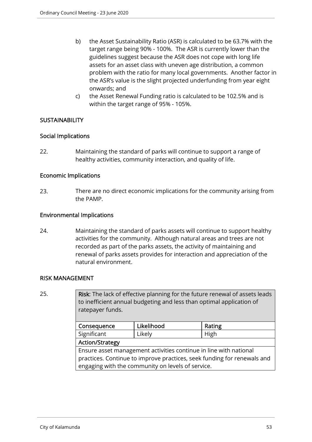- b) the Asset Sustainability Ratio (ASR) is calculated to be 63.7% with the target range being 90% - 100%. The ASR is currently lower than the guidelines suggest because the ASR does not cope with long life assets for an asset class with uneven age distribution, a common problem with the ratio for many local governments. Another factor in the ASR's value is the slight projected underfunding from year eight onwards; and
- c) the Asset Renewal Funding ratio is calculated to be 102.5% and is within the target range of 95% - 105%.

## **SUSTAINABILITY**

## Social Implications

22. Maintaining the standard of parks will continue to support a range of healthy activities, community interaction, and quality of life.

## Economic Implications

23. There are no direct economic implications for the community arising from the PAMP.

### Environmental Implications

24. Maintaining the standard of parks assets will continue to support healthy activities for the community. Although natural areas and trees are not recorded as part of the parks assets, the activity of maintaining and renewal of parks assets provides for interaction and appreciation of the natural environment.

### RISK MANAGEMENT

| 25. | Risk: The lack of effective planning for the future renewal of assets leads<br>to inefficient annual budgeting and less than optimal application of<br>ratepayer funds. |            |        |  |
|-----|-------------------------------------------------------------------------------------------------------------------------------------------------------------------------|------------|--------|--|
|     | Consequence                                                                                                                                                             | Likelihood | Rating |  |
|     | Significant                                                                                                                                                             | Likely     | High   |  |
|     | <b>Action/Strategy</b>                                                                                                                                                  |            |        |  |
|     | Ensure asset management activities continue in line with national                                                                                                       |            |        |  |
|     | practices. Continue to improve practices, seek funding for renewals and                                                                                                 |            |        |  |
|     | engaging with the community on levels of service.                                                                                                                       |            |        |  |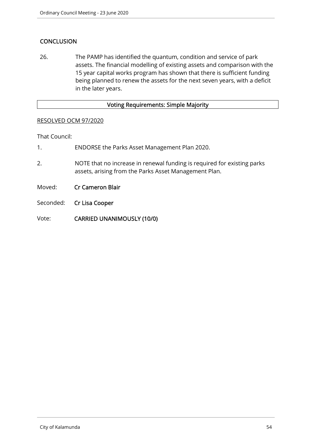## **CONCLUSION**

26. The PAMP has identified the quantum, condition and service of park assets. The financial modelling of existing assets and comparison with the 15 year capital works program has shown that there is sufficient funding being planned to renew the assets for the next seven years, with a deficit in the later years.

### Voting Requirements: Simple Majority

#### RESOLVED OCM 97/2020

That Council:

- 1. ENDORSE the Parks Asset Management Plan 2020.
- 2. NOTE that no increase in renewal funding is required for existing parks assets, arising from the Parks Asset Management Plan.
- Moved: Cr Cameron Blair
- Seconded: **Cr Lisa Cooper**
- Vote: CARRIED UNANIMOUSLY (10/0)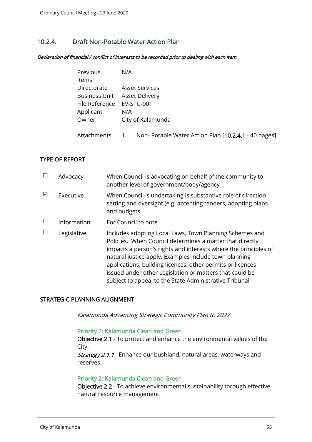## 10.2.4. Draft Non-Potable Water Action Plan

Declaration of financial / conflict of interests to be recorded prior to dealing with each item.

| Previous<br>N/A                      |  |
|--------------------------------------|--|
|                                      |  |
| Directorate<br><b>Asset Services</b> |  |
| Business Unit Asset Delivery         |  |
| File Reference EV-STU-001            |  |
| Applicant<br>N/A                     |  |
| City of Kalamunda                    |  |
|                                      |  |
|                                      |  |

# Attachments 1. Non- Potable Water Action Plan [10.2.4.1 - 40 pages]

### TYPE OF REPORT

|   | Advocacy    | When Council is advocating on behalf of the community to<br>another level of government/body/agency                                                                                                                                                                                                                                                                                                                                |
|---|-------------|------------------------------------------------------------------------------------------------------------------------------------------------------------------------------------------------------------------------------------------------------------------------------------------------------------------------------------------------------------------------------------------------------------------------------------|
| ⊠ | Executive   | When Council is undertaking is substantive role of direction<br>setting and oversight (e.g. accepting tenders, adopting plans<br>and budgets                                                                                                                                                                                                                                                                                       |
|   | Information | For Council to note                                                                                                                                                                                                                                                                                                                                                                                                                |
|   | Legislative | Includes adopting Local Laws, Town Planning Schemes and<br>Policies. When Council determines a matter that directly<br>impacts a person's rights and interests where the principles of<br>natural justice apply. Examples include town planning<br>applications, building licences, other permits or licences<br>issued under other Legislation or matters that could be<br>subject to appeal to the State Administrative Tribunal |

### STRATEGIC PLANNING ALIGNMENT

Kalamunda Advancing Strategic Community Plan to 2027

## Priority 2: Kalamunda Clean and Green

Objective 2.1 - To protect and enhance the environmental values of the City.

Strategy 2.1.1 - Enhance our bushland, natural areas, waterways and reserves.

### Priority 2: Kalamunda Clean and Green

Objective 2.2 - To achieve environmental sustainability through effective natural resource management.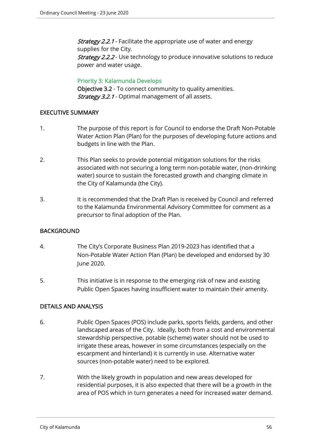**Strategy 2.2.1** - Facilitate the appropriate use of water and energy supplies for the City. **Strategy 2.2.2** - Use technology to produce innovative solutions to reduce power and water usage.

Priority 3: Kalamunda Develops Objective 3.2 - To connect community to quality amenities. **Strategy 3.2.1** - Optimal management of all assets.

## EXECUTIVE SUMMARY

- 1. The purpose of this report is for Council to endorse the Draft Non-Potable Water Action Plan (Plan) for the purposes of developing future actions and budgets in line with the Plan.
- 2. This Plan seeks to provide potential mitigation solutions for the risks associated with not securing a long term non-potable water, (non-drinking water) source to sustain the forecasted growth and changing climate in the City of Kalamunda (the City).
- 3. It is recommended that the Draft Plan is received by Council and referred to the Kalamunda Environmental Advisory Committee for comment as a precursor to final adoption of the Plan.

## BACKGROUND

- 4. The City's Corporate Business Plan 2019-2023 has identified that a Non-Potable Water Action Plan (Plan) be developed and endorsed by 30 June 2020.
- 5. This initiative is in response to the emerging risk of new and existing Public Open Spaces having insufficient water to maintain their amenity.

## DETAILS AND ANALYSIS

- 6. Public Open Spaces (POS) include parks, sports fields, gardens, and other landscaped areas of the City. Ideally, both from a cost and environmental stewardship perspective, potable (scheme) water should not be used to irrigate these areas, however in some circumstances (especially on the escarpment and hinterland) it is currently in use. Alternative water sources (non-potable water) need to be explored.
- 7. With the likely growth in population and new areas developed for residential purposes, it is also expected that there will be a growth in the area of POS which in turn generates a need for increased water demand.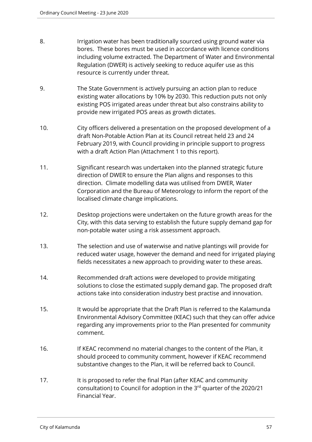- 8. Irrigation water has been traditionally sourced using ground water via bores. These bores must be used in accordance with licence conditions including volume extracted. The Department of Water and Environmental Regulation (DWER) is actively seeking to reduce aquifer use as this resource is currently under threat.
- 9. The State Government is actively pursuing an action plan to reduce existing water allocations by 10% by 2030. This reduction puts not only existing POS irrigated areas under threat but also constrains ability to provide new irrigated POS areas as growth dictates.
- 10. City officers delivered a presentation on the proposed development of a draft Non-Potable Action Plan at its Council retreat held 23 and 24 February 2019, with Council providing in principle support to progress with a draft Action Plan (Attachment 1 to this report).
- 11. Significant research was undertaken into the planned strategic future direction of DWER to ensure the Plan aligns and responses to this direction. Climate modelling data was utilised from DWER, Water Corporation and the Bureau of Meteorology to inform the report of the localised climate change implications.
- 12. Desktop projections were undertaken on the future growth areas for the City, with this data serving to establish the future supply demand gap for non-potable water using a risk assessment approach.
- 13. The selection and use of waterwise and native plantings will provide for reduced water usage, however the demand and need for irrigated playing fields necessitates a new approach to providing water to these areas.
- 14. Recommended draft actions were developed to provide mitigating solutions to close the estimated supply demand gap. The proposed draft actions take into consideration industry best practise and innovation.
- 15. It would be appropriate that the Draft Plan is referred to the Kalamunda Environmental Advisory Committee (KEAC) such that they can offer advice regarding any improvements prior to the Plan presented for community comment.
- 16. If KEAC recommend no material changes to the content of the Plan, it should proceed to community comment, however if KEAC recommend substantive changes to the Plan, it will be referred back to Council.
- 17. It is proposed to refer the final Plan (after KEAC and community consultation) to Council for adoption in the 3rd quarter of the 2020/21 Financial Year.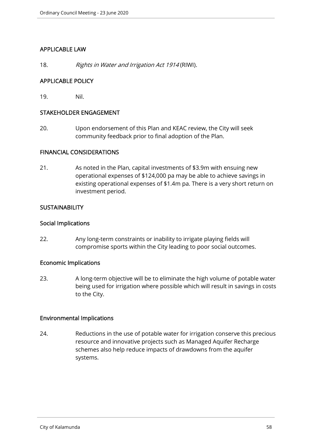## APPLICABLE LAW

18. Rights in Water and Irrigation Act 1914 (RIWI).

## APPLICABLE POLICY

19. Nil.

## STAKEHOLDER ENGAGEMENT

20. Upon endorsement of this Plan and KEAC review, the City will seek community feedback prior to final adoption of the Plan.

### FINANCIAL CONSIDERATIONS

21. As noted in the Plan, capital investments of \$3.9m with ensuing new operational expenses of \$124,000 pa may be able to achieve savings in existing operational expenses of \$1.4m pa. There is a very short return on investment period.

## **SUSTAINABILITY**

### Social Implications

22. Any long-term constraints or inability to irrigate playing fields will compromise sports within the City leading to poor social outcomes.

### Economic Implications

23. A long-term objective will be to eliminate the high volume of potable water being used for irrigation where possible which will result in savings in costs to the City.

### Environmental Implications

24. Reductions in the use of potable water for irrigation conserve this precious resource and innovative projects such as Managed Aquifer Recharge schemes also help reduce impacts of drawdowns from the aquifer systems.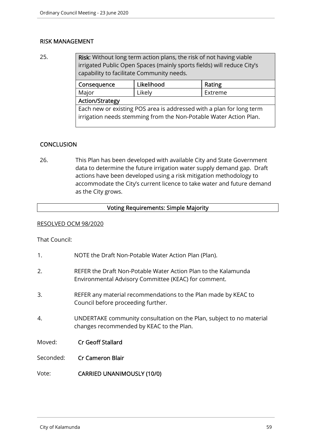## RISK MANAGEMENT

25. Risk: Without long term action plans, the risk of not having viable irrigated Public Open Spaces (mainly sports fields) will reduce City's capability to facilitate Community needs.

| Consequence                                                          | Likelihood | Rating  |
|----------------------------------------------------------------------|------------|---------|
| Major                                                                | Likely     | Extreme |
| <b>Action/Strategy</b>                                               |            |         |
| Each new or existing POS area is addressed with a plan for long term |            |         |
| irrigation needs stemming from the Non-Potable Water Action Plan.    |            |         |
|                                                                      |            |         |

## **CONCLUSION**

26. This Plan has been developed with available City and State Government data to determine the future irrigation water supply demand gap. Draft actions have been developed using a risk mitigation methodology to accommodate the City's current licence to take water and future demand as the City grows.

## Voting Requirements: Simple Majority

## RESOLVED OCM 98/2020

That Council:

| NOTE the Draft Non-Potable Water Action Plan (Plan). |  |
|------------------------------------------------------|--|
|------------------------------------------------------|--|

- 2. REFER the Draft Non-Potable Water Action Plan to the Kalamunda Environmental Advisory Committee (KEAC) for comment.
- 3. REFER any material recommendations to the Plan made by KEAC to Council before proceeding further.
- 4. UNDERTAKE community consultation on the Plan, subject to no material changes recommended by KEAC to the Plan.

Moved: Cr Geoff Stallard

- Seconded: Cr Cameron Blair
- Vote: CARRIED UNANIMOUSLY (10/0)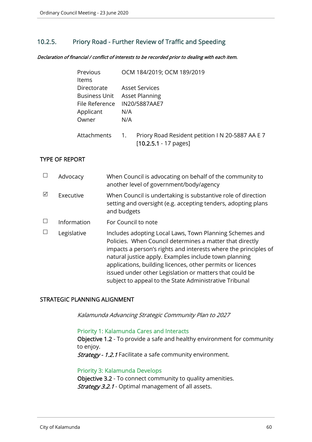## 10.2.5. Priory Road - Further Review of Traffic and Speeding

Declaration of financial / conflict of interests to be recorded prior to dealing with each item.

| Previous             | OCM 184/2019; OCM 189/2019                                                                              |
|----------------------|---------------------------------------------------------------------------------------------------------|
| <b>Items</b>         |                                                                                                         |
| Directorate          | <b>Asset Services</b>                                                                                   |
| <b>Business Unit</b> | <b>Asset Planning</b>                                                                                   |
| File Reference       | IN20/5887AAE7                                                                                           |
| Applicant            | N/A                                                                                                     |
| Owner                | N/A                                                                                                     |
| Attachments          | Priory Road Resident petition I N 20-5887 AA E 7<br>$\overline{1}$ .<br>$[10.2.5.1 - 17 \text{ pages}]$ |

### TYPE OF REPORT

|   | Advocacy    | When Council is advocating on behalf of the community to<br>another level of government/body/agency                                                                                                                                                                                                                                                                                                                                |
|---|-------------|------------------------------------------------------------------------------------------------------------------------------------------------------------------------------------------------------------------------------------------------------------------------------------------------------------------------------------------------------------------------------------------------------------------------------------|
| ⊠ | Executive   | When Council is undertaking is substantive role of direction<br>setting and oversight (e.g. accepting tenders, adopting plans<br>and budgets                                                                                                                                                                                                                                                                                       |
|   | Information | For Council to note                                                                                                                                                                                                                                                                                                                                                                                                                |
|   | Legislative | Includes adopting Local Laws, Town Planning Schemes and<br>Policies. When Council determines a matter that directly<br>impacts a person's rights and interests where the principles of<br>natural justice apply. Examples include town planning<br>applications, building licences, other permits or licences<br>issued under other Legislation or matters that could be<br>subject to appeal to the State Administrative Tribunal |

### STRATEGIC PLANNING ALIGNMENT

Kalamunda Advancing Strategic Community Plan to 2027

### Priority 1: Kalamunda Cares and Interacts

Objective 1.2 - To provide a safe and healthy environment for community to enjoy.

Strategy - 1.2.1 Facilitate a safe community environment.

## Priority 3: Kalamunda Develops

Objective 3.2 - To connect community to quality amenities. Strategy 3.2.1 - Optimal management of all assets.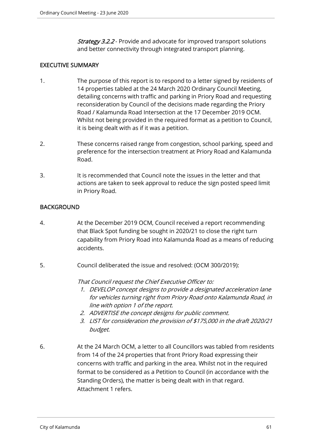**Strategy 3.2.2** - Provide and advocate for improved transport solutions and better connectivity through integrated transport planning.

## EXECUTIVE SUMMARY

- 1. The purpose of this report is to respond to a letter signed by residents of 14 properties tabled at the 24 March 2020 Ordinary Council Meeting, detailing concerns with traffic and parking in Priory Road and requesting reconsideration by Council of the decisions made regarding the Priory Road / Kalamunda Road Intersection at the 17 December 2019 OCM. Whilst not being provided in the required format as a petition to Council, it is being dealt with as if it was a petition.
- 2. These concerns raised range from congestion, school parking, speed and preference for the intersection treatment at Priory Road and Kalamunda Road.
- 3. It is recommended that Council note the issues in the letter and that actions are taken to seek approval to reduce the sign posted speed limit in Priory Road.

## BACKGROUND

- 4. At the December 2019 OCM, Council received a report recommending that Black Spot funding be sought in 2020/21 to close the right turn capability from Priory Road into Kalamunda Road as a means of reducing accidents.
- 5. Council deliberated the issue and resolved: (OCM 300/2019):

That Council request the Chief Executive Officer to:

- 1. DEVELOP concept designs to provide a designated acceleration lane for vehicles turning right from Priory Road onto Kalamunda Road, in line with option 1 of the report.
- 2. ADVERTISE the concept designs for public comment.
- 3. LIST for consideration the provision of \$175,000 in the draft 2020/21 budget.
- 6. At the 24 March OCM, a letter to all Councillors was tabled from residents from 14 of the 24 properties that front Priory Road expressing their concerns with traffic and parking in the area. Whilst not in the required format to be considered as a Petition to Council (in accordance with the Standing Orders), the matter is being dealt with in that regard. Attachment 1 refers.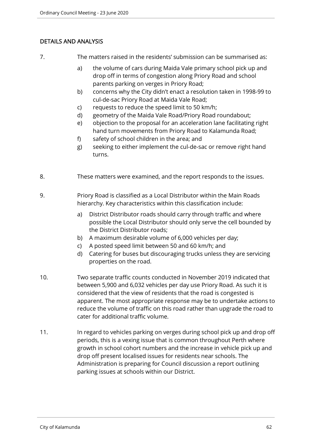## DETAILS AND ANALYSIS

7. The matters raised in the residents' submission can be summarised as:

- a) the volume of cars during Maida Vale primary school pick up and drop off in terms of congestion along Priory Road and school parents parking on verges in Priory Road;
- b) concerns why the City didn't enact a resolution taken in 1998-99 to cul-de-sac Priory Road at Maida Vale Road;
- c) requests to reduce the speed limit to 50 km/h;
- d) geometry of the Maida Vale Road/Priory Road roundabout;
- e) objection to the proposal for an acceleration lane facilitating right hand turn movements from Priory Road to Kalamunda Road;
- f) safety of school children in the area; and
- g) seeking to either implement the cul-de-sac or remove right hand turns.
- 8. These matters were examined, and the report responds to the issues.
- 9. Priory Road is classified as a Local Distributor within the Main Roads hierarchy. Key characteristics within this classification include:
	- a) District Distributor roads should carry through traffic and where possible the Local Distributor should only serve the cell bounded by the District Distributor roads;
	- b) A maximum desirable volume of 6,000 vehicles per day;
	- c) A posted speed limit between 50 and 60 km/h; and
	- d) Catering for buses but discouraging trucks unless they are servicing properties on the road.
- 10. Two separate traffic counts conducted in November 2019 indicated that between 5,900 and 6,032 vehicles per day use Priory Road. As such it is considered that the view of residents that the road is congested is apparent. The most appropriate response may be to undertake actions to reduce the volume of traffic on this road rather than upgrade the road to cater for additional traffic volume.
- 11. In regard to vehicles parking on verges during school pick up and drop off periods, this is a vexing issue that is common throughout Perth where growth in school cohort numbers and the increase in vehicle pick up and drop off present localised issues for residents near schools. The Administration is preparing for Council discussion a report outlining parking issues at schools within our District.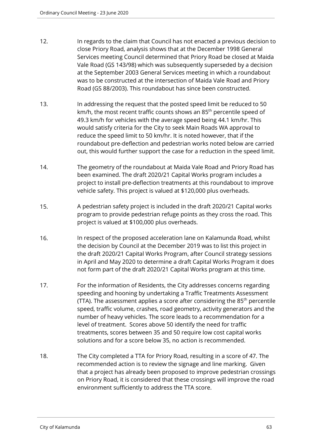- 12. In regards to the claim that Council has not enacted a previous decision to close Priory Road, analysis shows that at the December 1998 General Services meeting Council determined that Priory Road be closed at Maida Vale Road (GS 143/98) which was subsequently superseded by a decision at the September 2003 General Services meeting in which a roundabout was to be constructed at the intersection of Maida Vale Road and Priory Road (GS 88/2003). This roundabout has since been constructed.
- 13. In addressing the request that the posted speed limit be reduced to 50 km/h, the most recent traffic counts shows an 85<sup>th</sup> percentile speed of 49.3 km/h for vehicles with the average speed being 44.1 km/hr. This would satisfy criteria for the City to seek Main Roads WA approval to reduce the speed limit to 50 km/hr. It is noted however, that if the roundabout pre-deflection and pedestrian works noted below are carried out, this would further support the case for a reduction in the speed limit.
- 14. The geometry of the roundabout at Maida Vale Road and Priory Road has been examined. The draft 2020/21 Capital Works program includes a project to install pre-deflection treatments at this roundabout to improve vehicle safety. This project is valued at \$120,000 plus overheads.
- 15. A pedestrian safety project is included in the draft 2020/21 Capital works program to provide pedestrian refuge points as they cross the road. This project is valued at \$100,000 plus overheads.
- 16. In respect of the proposed acceleration lane on Kalamunda Road, whilst the decision by Council at the December 2019 was to list this project in the draft 2020/21 Capital Works Program, after Council strategy sessions in April and May 2020 to determine a draft Capital Works Program it does not form part of the draft 2020/21 Capital Works program at this time.
- 17. For the information of Residents, the City addresses concerns regarding speeding and hooning by undertaking a Traffic Treatments Assessment (TTA). The assessment applies a score after considering the  $85<sup>th</sup>$  percentile speed, traffic volume, crashes, road geometry, activity generators and the number of heavy vehicles. The score leads to a recommendation for a level of treatment. Scores above 50 identify the need for traffic treatments, scores between 35 and 50 require low cost capital works solutions and for a score below 35, no action is recommended.
- 18. The City completed a TTA for Priory Road, resulting in a score of 47. The recommended action is to review the signage and line marking. Given that a project has already been proposed to improve pedestrian crossings on Priory Road, it is considered that these crossings will improve the road environment sufficiently to address the TTA score.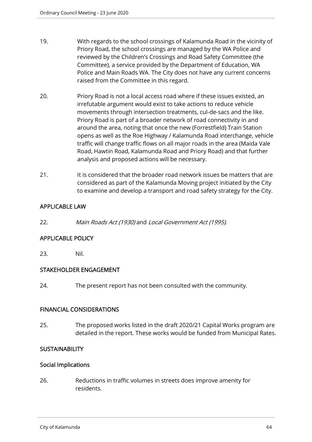- 19. With regards to the school crossings of Kalamunda Road in the vicinity of Priory Road, the school crossings are managed by the WA Police and reviewed by the Children's Crossings and Road Safety Committee (the Committee), a service provided by the Department of Education, WA Police and Main Roads WA. The City does not have any current concerns raised from the Committee in this regard.
- 20. Priory Road is not a local access road where if these issues existed, an irrefutable argument would exist to take actions to reduce vehicle movements through intersection treatments, cul-de-sacs and the like. Priory Road is part of a broader network of road connectivity in and around the area, noting that once the new (Forrestfield) Train Station opens as well as the Roe Highway / Kalamunda Road interchange, vehicle traffic will change traffic flows on all major roads in the area (Maida Vale Road, Hawtin Road, Kalamunda Road and Priory Road) and that further analysis and proposed actions will be necessary.
- 21. It is considered that the broader road network issues be matters that are considered as part of the Kalamunda Moving project initiated by the City to examine and develop a transport and road safety strategy for the City.

## APPLICABLE LAW

22. Main Roads Act (1930) and Local Government Act (1995).

## APPLICABLE POLICY

23. Nil.

## STAKEHOLDER ENGAGEMENT

24. The present report has not been consulted with the community.

## FINANCIAL CONSIDERATIONS

25. The proposed works listed in the draft 2020/21 Capital Works program are detailed in the report. These works would be funded from Municipal Rates.

## **SUSTAINABILITY**

## Social Implications

26. Reductions in traffic volumes in streets does improve amenity for residents.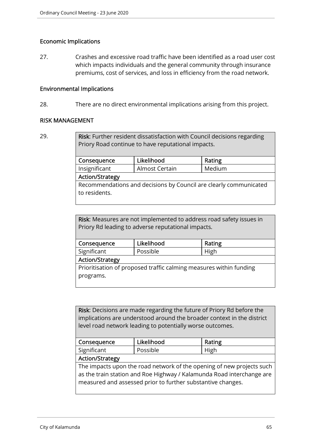## Economic Implications

27. Crashes and excessive road traffic have been identified as a road user cost which impacts individuals and the general community through insurance premiums, cost of services, and loss in efficiency from the road network.

### Environmental Implications

28. There are no direct environmental implications arising from this project.

### RISK MANAGEMENT

Risk: Further resident dissatisfaction with Council decisions regarding Priory Road continue to have reputational impacts.

| Consequence                                                       | Likelihood     | Rating |
|-------------------------------------------------------------------|----------------|--------|
| Insignificant                                                     | Almost Certain | Medium |
| <b>Action/Strategy</b>                                            |                |        |
| Recommendations and decisions by Council are clearly communicated |                |        |
| to residents.                                                     |                |        |
|                                                                   |                |        |

Risk: Measures are not implemented to address road safety issues in Priory Rd leading to adverse reputational impacts.

| Consequence                                                        | Likelihood | Rating |
|--------------------------------------------------------------------|------------|--------|
| Significant                                                        | Possible   | High   |
| <b>Action/Strategy</b>                                             |            |        |
| Prioritisation of proposed traffic calming measures within funding |            |        |
| programs.                                                          |            |        |
|                                                                    |            |        |

Risk: Decisions are made regarding the future of Priory Rd before the implications are understood around the broader context in the district level road network leading to potentially worse outcomes.

| Consequence                                                           | Likelihood | Rating |
|-----------------------------------------------------------------------|------------|--------|
| Significant                                                           | Possible   | High   |
| <b>Action/Strategy</b>                                                |            |        |
| The impacts upon the road network of the opening of new projects such |            |        |
| as the train station and Roe Highway / Kalamunda Road interchange are |            |        |
| measured and assessed prior to further substantive changes.           |            |        |
|                                                                       |            |        |

<sup>29.</sup>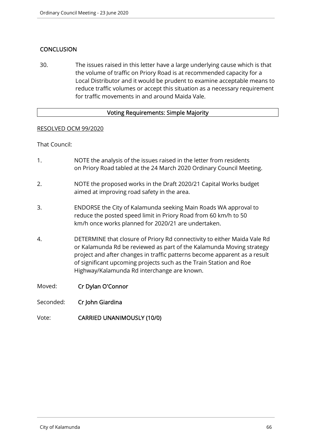## **CONCLUSION**

30. The issues raised in this letter have a large underlying cause which is that the volume of traffic on Priory Road is at recommended capacity for a Local Distributor and it would be prudent to examine acceptable means to reduce traffic volumes or accept this situation as a necessary requirement for traffic movements in and around Maida Vale.

### Voting Requirements: Simple Majority

### RESOLVED OCM 99/2020

### That Council:

- 1. NOTE the analysis of the issues raised in the letter from residents on Priory Road tabled at the 24 March 2020 Ordinary Council Meeting.
- 2. NOTE the proposed works in the Draft 2020/21 Capital Works budget aimed at improving road safety in the area.
- 3. ENDORSE the City of Kalamunda seeking Main Roads WA approval to reduce the posted speed limit in Priory Road from 60 km/h to 50 km/h once works planned for 2020/21 are undertaken.
- 4. DETERMINE that closure of Priory Rd connectivity to either Maida Vale Rd or Kalamunda Rd be reviewed as part of the Kalamunda Moving strategy project and after changes in traffic patterns become apparent as a result of significant upcoming projects such as the Train Station and Roe Highway/Kalamunda Rd interchange are known.
- Moved: Cr Dylan O'Connor
- Seconded: Cr John Giardina
- Vote: CARRIED UNANIMOUSLY (10/0)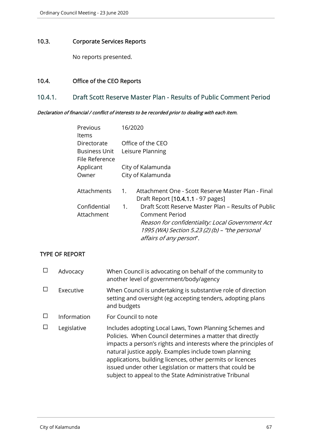## 10.3. Corporate Services Reports

No reports presented.

## 10.4. Office of the CEO Reports

## 10.4.1. Draft Scott Reserve Master Plan - Results of Public Comment Period

Declaration of financial / conflict of interests to be recorded prior to dealing with each item.

| Previous<br>ltems                      | 16/2020     |                                                                                                                                |
|----------------------------------------|-------------|--------------------------------------------------------------------------------------------------------------------------------|
| Directorate                            |             | Office of the CEO                                                                                                              |
| <b>Business Unit</b><br>File Reference |             | Leisure Planning                                                                                                               |
| Applicant                              |             | City of Kalamunda                                                                                                              |
| Owner                                  |             | City of Kalamunda                                                                                                              |
| Attachments                            | 1.          | Attachment One - Scott Reserve Master Plan - Final<br>Draft Report [10.4.1.1 - 97 pages]                                       |
| Confidential<br>Attachment             | $1_{\cdot}$ | Draft Scott Reserve Master Plan – Results of Public<br><b>Comment Period</b>                                                   |
|                                        |             | Reason for confidentiality: Local Government Act<br>1995 (WA) Section 5.23 (2) (b) - "the personal<br>affairs of any person''. |

## TYPE OF REPORT

| Advocacy    | When Council is advocating on behalf of the community to<br>another level of government/body/agency                                                                                                                                                                                                                                                                                                                                |
|-------------|------------------------------------------------------------------------------------------------------------------------------------------------------------------------------------------------------------------------------------------------------------------------------------------------------------------------------------------------------------------------------------------------------------------------------------|
| Executive   | When Council is undertaking is substantive role of direction<br>setting and oversight (eg accepting tenders, adopting plans<br>and budgets                                                                                                                                                                                                                                                                                         |
| Information | For Council to note                                                                                                                                                                                                                                                                                                                                                                                                                |
| Legislative | Includes adopting Local Laws, Town Planning Schemes and<br>Policies. When Council determines a matter that directly<br>impacts a person's rights and interests where the principles of<br>natural justice apply. Examples include town planning<br>applications, building licences, other permits or licences<br>issued under other Legislation or matters that could be<br>subject to appeal to the State Administrative Tribunal |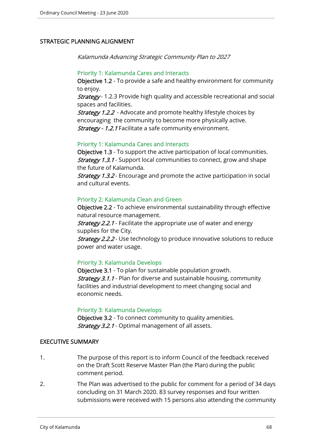## STRATEGIC PLANNING ALIGNMENT

Kalamunda Advancing Strategic Community Plan to 2027

#### Priority 1: Kalamunda Cares and Interacts

Objective 1.2 - To provide a safe and healthy environment for community to enjoy.

**Strategy** - 1.2.3 Provide high quality and accessible recreational and social spaces and facilities.

**Strategy 1.2.2** - Advocate and promote healthy lifestyle choices by encouraging the community to become more physically active. Strategy - 1.2.1 Facilitate a safe community environment.

### Priority 1: Kalamunda Cares and Interacts

Objective 1.3 - To support the active participation of local communities. **Strategy 1.3.1** - Support local communities to connect, grow and shape the future of Kalamunda.

**Strategy 1.3.2** - Encourage and promote the active participation in social and cultural events.

### Priority 2: Kalamunda Clean and Green

Objective 2.2 - To achieve environmental sustainability through effective natural resource management.

**Strategy 2.2.1** - Facilitate the appropriate use of water and energy supplies for the City.

**Strategy 2.2.2** - Use technology to produce innovative solutions to reduce power and water usage.

### Priority 3: Kalamunda Develops

Objective 3.1 - To plan for sustainable population growth. **Strategy 3.1.1** - Plan for diverse and sustainable housing, community facilities and industrial development to meet changing social and economic needs.

#### Priority 3: Kalamunda Develops

Objective 3.2 - To connect community to quality amenities. Strategy 3.2.1 - Optimal management of all assets.

### EXECUTIVE SUMMARY

- 1. The purpose of this report is to inform Council of the feedback received on the Draft Scott Reserve Master Plan (the Plan) during the public comment period.
- 2. The Plan was advertised to the public for comment for a period of 34 days concluding on 31 March 2020. 83 survey responses and four written submissions were received with 15 persons also attending the community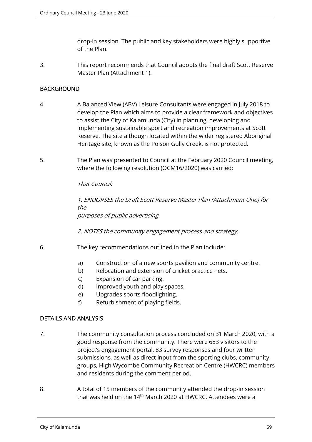drop-in session. The public and key stakeholders were highly supportive of the Plan.

3. This report recommends that Council adopts the final draft Scott Reserve Master Plan (Attachment 1).

## **BACKGROUND**

- 4. A Balanced View (ABV) Leisure Consultants were engaged in July 2018 to develop the Plan which aims to provide a clear framework and objectives to assist the City of Kalamunda (City) in planning, developing and implementing sustainable sport and recreation improvements at Scott Reserve. The site although located within the wider registered Aboriginal Heritage site, known as the Poison Gully Creek, is not protected.
- 5. The Plan was presented to Council at the February 2020 Council meeting, where the following resolution (OCM16/2020) was carried:

That Council:

1. ENDORSES the Draft Scott Reserve Master Plan (Attachment One) for the purposes of public advertising.

2. NOTES the community engagement process and strategy.

- 6. The key recommendations outlined in the Plan include:
	- a) Construction of a new sports pavilion and community centre.
	- b) Relocation and extension of cricket practice nets.
	- c) Expansion of car parking.
	- d) Improved youth and play spaces.
	- e) Upgrades sports floodlighting.
	- f) Refurbishment of playing fields.

## DETAILS AND ANALYSIS

- 7. The community consultation process concluded on 31 March 2020, with a good response from the community. There were 683 visitors to the project's engagement portal, 83 survey responses and four written submissions, as well as direct input from the sporting clubs, community groups, High Wycombe Community Recreation Centre (HWCRC) members and residents during the comment period.
- 8. A total of 15 members of the community attended the drop-in session that was held on the 14<sup>th</sup> March 2020 at HWCRC. Attendees were a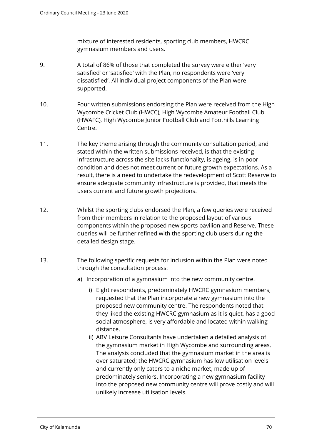mixture of interested residents, sporting club members, HWCRC gymnasium members and users.

- 9. A total of 86% of those that completed the survey were either 'very satisfied' or 'satisfied' with the Plan, no respondents were 'very dissatisfied'. All individual project components of the Plan were supported.
- 10. Four written submissions endorsing the Plan were received from the High Wycombe Cricket Club (HWCC), High Wycombe Amateur Football Club (HWAFC), High Wycombe Junior Football Club and Foothills Learning Centre.
- 11. The key theme arising through the community consultation period, and stated within the written submissions received, is that the existing infrastructure across the site lacks functionality, is ageing, is in poor condition and does not meet current or future growth expectations. As a result, there is a need to undertake the redevelopment of Scott Reserve to ensure adequate community infrastructure is provided, that meets the users current and future growth projections.
- 12. Whilst the sporting clubs endorsed the Plan, a few queries were received from their members in relation to the proposed layout of various components within the proposed new sports pavilion and Reserve. These queries will be further refined with the sporting club users during the detailed design stage.
- 13. The following specific requests for inclusion within the Plan were noted through the consultation process:
	- a) Incorporation of a gymnasium into the new community centre.
		- i) Eight respondents, predominately HWCRC gymnasium members, requested that the Plan incorporate a new gymnasium into the proposed new community centre. The respondents noted that they liked the existing HWCRC gymnasium as it is quiet, has a good social atmosphere, is very affordable and located within walking distance.
		- ii) ABV Leisure Consultants have undertaken a detailed analysis of the gymnasium market in High Wycombe and surrounding areas. The analysis concluded that the gymnasium market in the area is over saturated; the HWCRC gymnasium has low utilisation levels and currently only caters to a niche market, made up of predominately seniors. Incorporating a new gymnasium facility into the proposed new community centre will prove costly and will unlikely increase utilisation levels.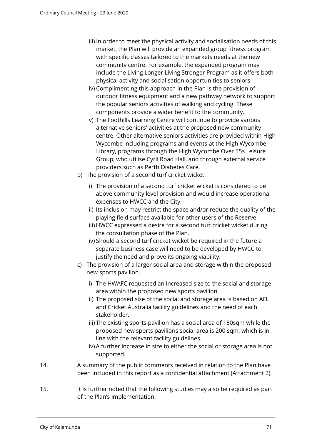- iii) In order to meet the physical activity and socialisation needs of this market, the Plan will provide an expanded group fitness program with specific classes tailored to the markets needs at the new community centre. For example, the expanded program may include the Living Longer Living Stronger Program as it offers both physical activity and socialisation opportunities to seniors.
- iv) Complimenting this approach in the Plan is the provision of outdoor fitness equipment and a new pathway network to support the popular seniors activities of walking and cycling. These components provide a wider benefit to the community.
- v) The Foothills Learning Centre will continue to provide various alternative seniors' activities at the proposed new community centre. Other alternative seniors activities are provided within High Wycombe including programs and events at the High Wycombe Library, programs through the High Wycombe Over 55s Leisure Group, who utilise Cyril Road Hall, and through external service providers such as Perth Diabetes Care.
- b) The provision of a second turf cricket wicket.
	- i) The provision of a second turf cricket wicket is considered to be above community level provision and would increase operational expenses to HWCC and the City.
	- ii) Its inclusion may restrict the space and/or reduce the quality of the playing field surface available for other users of the Reserve.
	- iii) HWCC expressed a desire for a second turf cricket wicket during the consultation phase of the Plan.
	- iv) Should a second turf cricket wicket be required in the future a separate business case will need to be developed by HWCC to justify the need and prove its ongoing viability.
- c) The provision of a larger social area and storage within the proposed new sports pavilion.
	- i) The HWAFC requested an increased size to the social and storage area within the proposed new sports pavilion.
	- ii) The proposed size of the social and storage area is based on AFL and Cricket Australia facility guidelines and the need of each stakeholder.
	- iii) The existing sports pavilion has a social area of 150sqm while the proposed new sports pavilions social area is 200 sqm, which is in line with the relevant facility guidelines.
	- iv) A further increase in size to either the social or storage area is not supported.
- 14. A summary of the public comments received in relation to the Plan have been included in this report as a confidential attachment (Attachment 2).
- 15. It is further noted that the following studies may also be required as part of the Plan's implementation: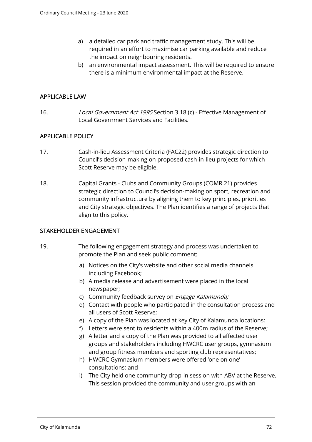- a) a detailed car park and traffic management study. This will be required in an effort to maximise car parking available and reduce the impact on neighbouring residents.
- b) an environmental impact assessment. This will be required to ensure there is a minimum environmental impact at the Reserve.

## APPLICABLE LAW

16. Local Government Act 1995 Section 3.18 (c) - Effective Management of Local Government Services and Facilities.

## APPLICABLE POLICY

- 17. Cash-in-lieu Assessment Criteria (FAC22) provides strategic direction to Council's decision-making on proposed cash-in-lieu projects for which Scott Reserve may be eligible.
- 18. Capital Grants Clubs and Community Groups (COMR 21) provides strategic direction to Council's decision-making on sport, recreation and community infrastructure by aligning them to key principles, priorities and City strategic objectives. The Plan identifies a range of projects that align to this policy.

## STAKEHOLDER ENGAGEMENT

- 19. The following engagement strategy and process was undertaken to promote the Plan and seek public comment:
	- a) Notices on the City's website and other social media channels including Facebook;
	- b) A media release and advertisement were placed in the local newspaper;
	- c) Community feedback survey on *Engage Kalamunda;*
	- d) Contact with people who participated in the consultation process and all users of Scott Reserve;
	- e) A copy of the Plan was located at key City of Kalamunda locations;
	- f) Letters were sent to residents within a 400m radius of the Reserve;
	- g) A letter and a copy of the Plan was provided to all affected user groups and stakeholders including HWCRC user groups, gymnasium and group fitness members and sporting club representatives;
	- h) HWCRC Gymnasium members were offered 'one on one' consultations; and
	- i) The City held one community drop-in session with ABV at the Reserve. This session provided the community and user groups with an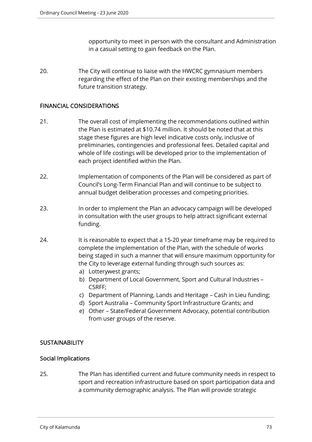opportunity to meet in person with the consultant and Administration in a casual setting to gain feedback on the Plan.

20. The City will continue to liaise with the HWCRC gymnasium members regarding the effect of the Plan on their existing memberships and the future transition strategy.

# FINANCIAL CONSIDERATIONS

- 21. The overall cost of implementing the recommendations outlined within the Plan is estimated at \$10.74 million. It should be noted that at this stage these figures are high level indicative costs only, inclusive of preliminaries, contingencies and professional fees. Detailed capital and whole of life costings will be developed prior to the implementation of each project identified within the Plan.
- 22. Implementation of components of the Plan will be considered as part of Council's Long-Term Financial Plan and will continue to be subject to annual budget deliberation processes and competing priorities.
- 23. In order to implement the Plan an advocacy campaign will be developed in consultation with the user groups to help attract significant external funding.
- 24. It is reasonable to expect that a 15-20 year timeframe may be required to complete the implementation of the Plan, with the schedule of works being staged in such a manner that will ensure maximum opportunity for the City to leverage external funding through such sources as:
	- a) Lotterywest grants;
	- b) Department of Local Government, Sport and Cultural Industries CSRFF;
	- c) Department of Planning, Lands and Heritage Cash in Lieu funding;
	- d) Sport Australia Community Sport Infrastructure Grants; and
	- e) Other State/Federal Government Advocacy, potential contribution from user groups of the reserve.

# **SUSTAINABILITY**

# Social Implications

25. The Plan has identified current and future community needs in respect to sport and recreation infrastructure based on sport participation data and a community demographic analysis. The Plan will provide strategic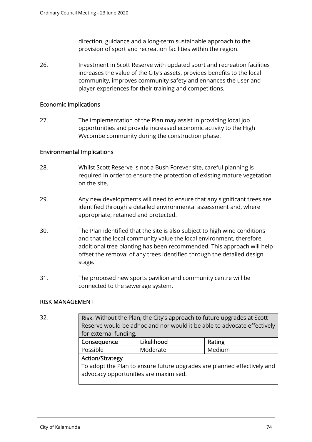direction, guidance and a long-term sustainable approach to the provision of sport and recreation facilities within the region.

26. Investment in Scott Reserve with updated sport and recreation facilities increases the value of the City's assets, provides benefits to the local community, improves community safety and enhances the user and player experiences for their training and competitions.

## Economic Implications

27. The implementation of the Plan may assist in providing local job opportunities and provide increased economic activity to the High Wycombe community during the construction phase.

## Environmental Implications

- 28. Whilst Scott Reserve is not a Bush Forever site, careful planning is required in order to ensure the protection of existing mature vegetation on the site.
- 29. Any new developments will need to ensure that any significant trees are identified through a detailed environmental assessment and, where appropriate, retained and protected.
- 30. The Plan identified that the site is also subject to high wind conditions and that the local community value the local environment, therefore additional tree planting has been recommended. This approach will help offset the removal of any trees identified through the detailed design stage.
- 31. The proposed new sports pavilion and community centre will be connected to the sewerage system.

## RISK MANAGEMENT

32. **Risk:** Without the Plan, the City's approach to future upgrades at Scott Reserve would be adhoc and nor would it be able to advocate effectively for external funding. Consequence | Likelihood | Rating Possible Moderate Medium Action/Strategy

To adopt the Plan to ensure future upgrades are planned effectively and advocacy opportunities are maximised.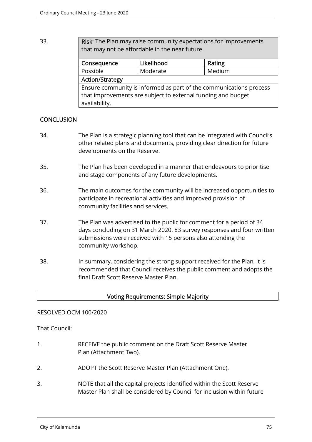33. Risk: The Plan may raise community expectations for improvements that may not be affordable in the near future.

| Consequence                                                        | Likelihood | Rating |  |  |  |
|--------------------------------------------------------------------|------------|--------|--|--|--|
| Possible                                                           | Moderate   | Medium |  |  |  |
| <b>Action/Strategy</b>                                             |            |        |  |  |  |
| Ensure community is informed as part of the communications process |            |        |  |  |  |
| that improvements are subject to external funding and budget       |            |        |  |  |  |
| availability.                                                      |            |        |  |  |  |

# **CONCLUSION**

- 34. The Plan is a strategic planning tool that can be integrated with Council's other related plans and documents, providing clear direction for future developments on the Reserve.
- 35. The Plan has been developed in a manner that endeavours to prioritise and stage components of any future developments.
- 36. The main outcomes for the community will be increased opportunities to participate in recreational activities and improved provision of community facilities and services.
- 37. The Plan was advertised to the public for comment for a period of 34 days concluding on 31 March 2020. 83 survey responses and four written submissions were received with 15 persons also attending the community workshop.
- 38. In summary, considering the strong support received for the Plan, it is recommended that Council receives the public comment and adopts the final Draft Scott Reserve Master Plan.

## Voting Requirements: Simple Majority

#### RESOLVED OCM 100/2020

#### That Council:

- 1. RECEIVE the public comment on the Draft Scott Reserve Master Plan (Attachment Two).
- 2. ADOPT the Scott Reserve Master Plan (Attachment One).
- 3. NOTE that all the capital projects identified within the Scott Reserve Master Plan shall be considered by Council for inclusion within future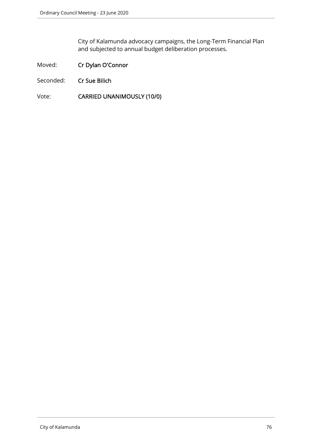City of Kalamunda advocacy campaigns, the Long-Term Financial Plan and subjected to annual budget deliberation processes.

- Moved: Cr Dylan O'Connor
- Seconded: Cr Sue Bilich
- Vote: CARRIED UNANIMOUSLY (10/0)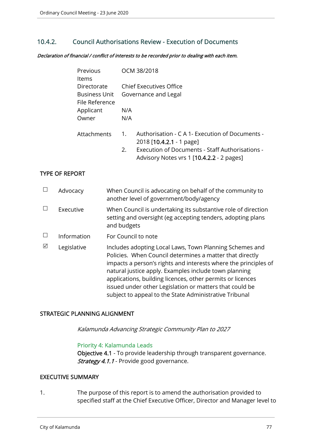# 10.4.2. Council Authorisations Review - Execution of Documents

Declaration of financial / conflict of interests to be recorded prior to dealing with each item.

| Previous<br><b>Items</b>                              |                      | OCM 38/2018                                                                                                                                                                 |
|-------------------------------------------------------|----------------------|-----------------------------------------------------------------------------------------------------------------------------------------------------------------------------|
| Directorate<br><b>Business Unit</b><br>File Reference |                      | <b>Chief Executives Office</b><br>Governance and Legal                                                                                                                      |
| Applicant<br>Owner                                    | N/A<br>N/A           |                                                                                                                                                                             |
| Attachments                                           | $\mathbf{1}$ .<br>2. | Authorisation - C A 1- Execution of Documents -<br>2018 [10.4.2.1 - 1 page]<br>Execution of Documents - Staff Authorisations -<br>Advisory Notes vrs 1 [10.4.2.2 - 2 pages] |
|                                                       |                      |                                                                                                                                                                             |

# TYPE OF REPORT

|   | Advocacy    | When Council is advocating on behalf of the community to<br>another level of government/body/agency                                                                                                                                                                                                                                                                                                                                |
|---|-------------|------------------------------------------------------------------------------------------------------------------------------------------------------------------------------------------------------------------------------------------------------------------------------------------------------------------------------------------------------------------------------------------------------------------------------------|
|   | Executive   | When Council is undertaking its substantive role of direction<br>setting and oversight (eg accepting tenders, adopting plans<br>and budgets                                                                                                                                                                                                                                                                                        |
|   | Information | For Council to note                                                                                                                                                                                                                                                                                                                                                                                                                |
| ⊠ | Legislative | Includes adopting Local Laws, Town Planning Schemes and<br>Policies. When Council determines a matter that directly<br>impacts a person's rights and interests where the principles of<br>natural justice apply. Examples include town planning<br>applications, building licences, other permits or licences<br>issued under other Legislation or matters that could be<br>subject to appeal to the State Administrative Tribunal |

## STRATEGIC PLANNING ALIGNMENT

Kalamunda Advancing Strategic Community Plan to 2027

#### Priority 4: Kalamunda Leads

Objective 4.1 - To provide leadership through transparent governance. Strategy 4.1.1 - Provide good governance.

# EXECUTIVE SUMMARY

1. The purpose of this report is to amend the authorisation provided to specified staff at the Chief Executive Officer, Director and Manager level to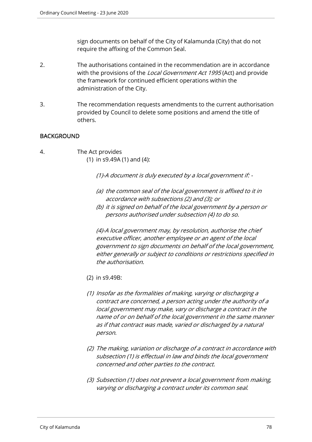sign documents on behalf of the City of Kalamunda (City) that do not require the affixing of the Common Seal.

- 2. The authorisations contained in the recommendation are in accordance with the provisions of the Local Government Act 1995 (Act) and provide the framework for continued efficient operations within the administration of the City.
- 3. The recommendation requests amendments to the current authorisation provided by Council to delete some positions and amend the title of others.

# BACKGROUND

- 4. The Act provides
	- (1) in s9.49A (1) and (4):

(1)-A document is duly executed by a local government if: -

- (a) the common seal of the local government is affixed to it in accordance with subsections (2) and (3); or
- (b) it is signed on behalf of the local government by a person or persons authorised under subsection (4) to do so.

(4)-A local government may, by resolution, authorise the chief executive officer, another employee or an agent of the local government to sign documents on behalf of the local government, either generally or subject to conditions or restrictions specified in the authorisation.

- (2) in s9.49B:
- (1) Insofar as the formalities of making, varying or discharging a contract are concerned, a person acting under the authority of a local government may make, vary or discharge a contract in the name of or on behalf of the local government in the same manner as if that contract was made, varied or discharged by a natural person.
- (2) The making, variation or discharge of a contract in accordance with subsection (1) is effectual in law and binds the local government concerned and other parties to the contract.
- (3) Subsection (1) does not prevent a local government from making, varying or discharging a contract under its common seal.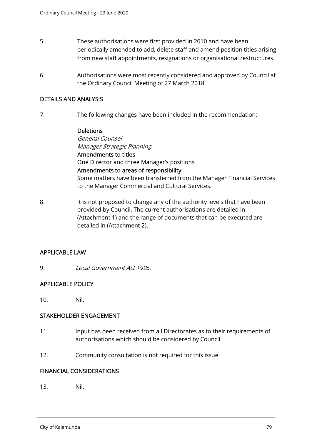- 5. These authorisations were first provided in 2010 and have been periodically amended to add, delete staff and amend position titles arising from new staff appointments, resignations or organisational restructures.
- 6. Authorisations were most recently considered and approved by Council at the Ordinary Council Meeting of 27 March 2018.

# DETAILS AND ANALYSIS

7. The following changes have been included in the recommendation:

**Deletions** General Counsel Manager Strategic Planning Amendments to titles One Director and three Manager's positions Amendments to areas of responsibility Some matters have been transferred from the Manager Financial Services to the Manager Commercial and Cultural Services.

8. It is not proposed to change any of the authority levels that have been provided by Council. The current authorisations are detailed in (Attachment 1) and the range of documents that can be executed are detailed in (Attachment 2).

## APPLICABLE LAW

9. Local Government Act 1995.

# APPLICABLE POLICY

10. Nil.

## STAKEHOLDER ENGAGEMENT

- 11. Input has been received from all Directorates as to their requirements of authorisations which should be considered by Council.
- 12. Community consultation is not required for this issue.

## FINANCIAL CONSIDERATIONS

13. Nil.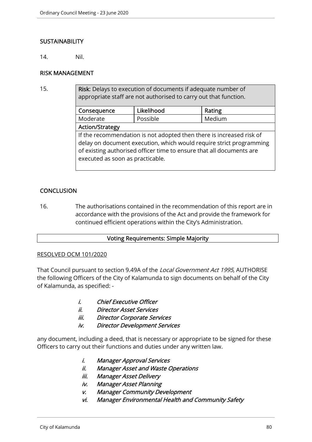# **SUSTAINABILITY**

14. Nil.

## RISK MANAGEMENT

15. **Risk:** Delays to execution of documents if adequate number of appropriate staff are not authorised to carry out that function. Consequence | Likelihood | Rating Moderate Possible Medium Action/Strategy If the recommendation is not adopted then there is increased risk of delay on document execution, which would require strict programming of existing authorised officer time to ensure that all documents are executed as soon as practicable.

# **CONCLUSION**

16. The authorisations contained in the recommendation of this report are in accordance with the provisions of the Act and provide the framework for continued efficient operations within the City's Administration.

#### Voting Requirements: Simple Majority

#### RESOLVED OCM 101/2020

That Council pursuant to section 9.49A of the *Local Government Act 1995*, AUTHORISE the following Officers of the City of Kalamunda to sign documents on behalf of the City of Kalamunda, as specified: -

- i. Chief Executive Officer
- ii. Director Asset Services
- iii. Director Corporate Services
- iv. Director Development Services

any document, including a deed, that is necessary or appropriate to be signed for these Officers to carry out their functions and duties under any written law.

- i. Manager Approval Services
- ii. Manager Asset and Waste Operations
- iii. Manager Asset Delivery
- iv. Manager Asset Planning
- v. Manager Community Development
- vi. Manager Environmental Health and Community Safety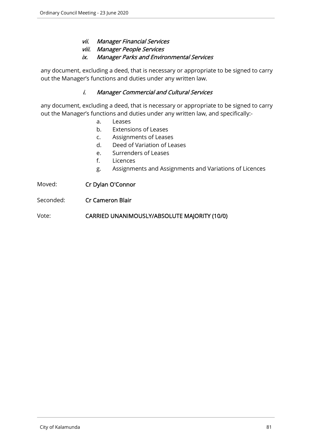- vii. Manager Financial Services
- viii. Manager People Services
- ix. Manager Parks and Environmental Services

any document, excluding a deed, that is necessary or appropriate to be signed to carry out the Manager's functions and duties under any written law.

## i. Manager Commercial and Cultural Services

any document, excluding a deed, that is necessary or appropriate to be signed to carry out the Manager's functions and duties under any written law, and specifically:-

- a. Leases
- b. Extensions of Leases
- c. Assignments of Leases
- d. Deed of Variation of Leases
- e. Surrenders of Leases
- f. Licences
- g. Assignments and Assignments and Variations of Licences

Moved: Cr Dylan O'Connor

Seconded: Cr Cameron Blair

Vote: CARRIED UNANIMOUSLY/ABSOLUTE MAJORITY (10/0)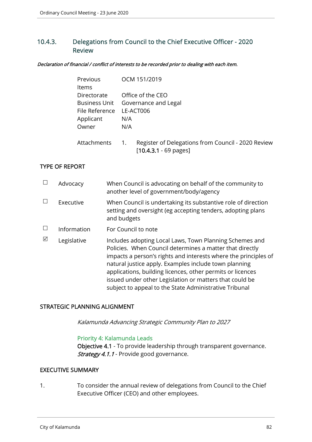# 10.4.3. Delegations from Council to the Chief Executive Officer - 2020 Review

Declaration of financial / conflict of interests to be recorded prior to dealing with each item.

| Previous                 | OCM 151/2019                       |
|--------------------------|------------------------------------|
| <b>Items</b>             |                                    |
|                          | Directorate Office of the CEO      |
|                          | Business Unit Governance and Legal |
| File Reference LE-ACT006 |                                    |
| Applicant                | N/A                                |
| Owner                    | N/A                                |
|                          |                                    |
|                          | $\mathbf{A}$                       |

 Attachments 1. Register of Delegations from Council - 2020 Review [10.4.3.1 - 69 pages]

# TYPE OF REPORT

|   | Advocacy    | When Council is advocating on behalf of the community to<br>another level of government/body/agency                                                                                                                                                                                                                                                                                                                                |
|---|-------------|------------------------------------------------------------------------------------------------------------------------------------------------------------------------------------------------------------------------------------------------------------------------------------------------------------------------------------------------------------------------------------------------------------------------------------|
|   | Executive   | When Council is undertaking its substantive role of direction<br>setting and oversight (eg accepting tenders, adopting plans<br>and budgets                                                                                                                                                                                                                                                                                        |
|   | Information | For Council to note                                                                                                                                                                                                                                                                                                                                                                                                                |
| ⊠ | Legislative | Includes adopting Local Laws, Town Planning Schemes and<br>Policies. When Council determines a matter that directly<br>impacts a person's rights and interests where the principles of<br>natural justice apply. Examples include town planning<br>applications, building licences, other permits or licences<br>issued under other Legislation or matters that could be<br>subject to appeal to the State Administrative Tribunal |

## STRATEGIC PLANNING ALIGNMENT

Kalamunda Advancing Strategic Community Plan to 2027

## Priority 4: Kalamunda Leads

Objective 4.1 - To provide leadership through transparent governance. Strategy 4.1.1 - Provide good governance.

#### EXECUTIVE SUMMARY

1. To consider the annual review of delegations from Council to the Chief Executive Officer (CEO) and other employees.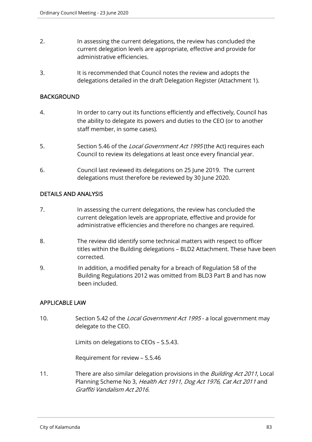- 2. In assessing the current delegations, the review has concluded the current delegation levels are appropriate, effective and provide for administrative efficiencies.
- 3. It is recommended that Council notes the review and adopts the delegations detailed in the draft Delegation Register (Attachment 1).

## **BACKGROUND**

- 4. In order to carry out its functions efficiently and effectively, Council has the ability to delegate its powers and duties to the CEO (or to another staff member, in some cases).
- 5. Section 5.46 of the Local Government Act 1995 (the Act) requires each Council to review its delegations at least once every financial year.
- 6. Council last reviewed its delegations on 25 June 2019. The current delegations must therefore be reviewed by 30 June 2020.

## DETAILS AND ANALYSIS

- 7. In assessing the current delegations, the review has concluded the current delegation levels are appropriate, effective and provide for administrative efficiencies and therefore no changes are required.
- 8. The review did identify some technical matters with respect to officer titles within the Building delegations – BLD2 Attachment. These have been corrected.
- 9. In addition, a modified penalty for a breach of Regulation 58 of the Building Regulations 2012 was omitted from BLD3 Part B and has now been included.

## APPLICABLE LAW

10. Section 5.42 of the Local Government Act 1995 - a local government may delegate to the CEO.

Limits on delegations to CEOs – S.5.43.

Requirement for review – S.5.46

11. There are also similar delegation provisions in the *Building Act 2011*, Local Planning Scheme No 3, Health Act 1911, Dog Act 1976, Cat Act 2011 and Graffiti Vandalism Act 2016.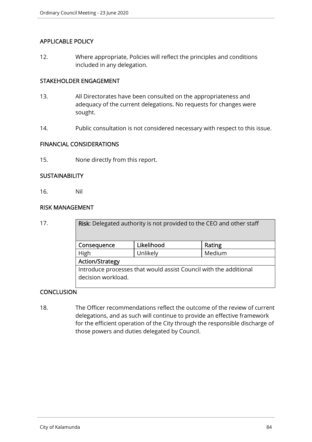## APPLICABLE POLICY

12. Where appropriate, Policies will reflect the principles and conditions included in any delegation.

#### STAKEHOLDER ENGAGEMENT

- 13. All Directorates have been consulted on the appropriateness and adequacy of the current delegations. No requests for changes were sought.
- 14. Public consultation is not considered necessary with respect to this issue.

## FINANCIAL CONSIDERATIONS

15. None directly from this report.

#### **SUSTAINABILITY**

16. Nil

#### RISK MANAGEMENT

17. **Risk:** Delegated authority is not provided to the CEO and other staff Consequence Likelihood Rating High | Unlikely | Medium Action/Strategy Introduce processes that would assist Council with the additional decision workload.

## **CONCLUSION**

18. The Officer recommendations reflect the outcome of the review of current delegations, and as such will continue to provide an effective framework for the efficient operation of the City through the responsible discharge of those powers and duties delegated by Council.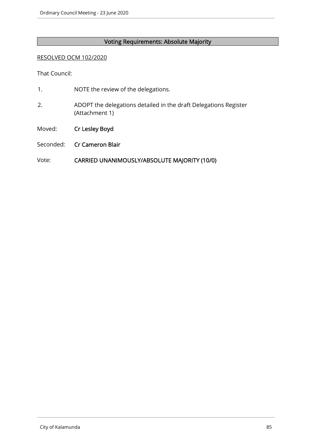# Voting Requirements: Absolute Majority

#### RESOLVED OCM 102/2020

That Council:

- 1. NOTE the review of the delegations.
- 2. ADOPT the delegations detailed in the draft Delegations Register (Attachment 1)
- Moved: Cr Lesley Boyd
- Seconded: Cr Cameron Blair

# Vote: CARRIED UNANIMOUSLY/ABSOLUTE MAJORITY (10/0)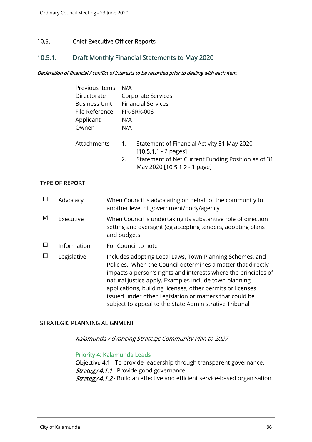## 10.5. Chief Executive Officer Reports

# 10.5.1. Draft Monthly Financial Statements to May 2020

#### Declaration of financial / conflict of interests to be recorded prior to dealing with each item.

| Previous Items       |                  |                                                                                    |
|----------------------|------------------|------------------------------------------------------------------------------------|
| Directorate          |                  | Corporate Services                                                                 |
| <b>Business Unit</b> |                  | <b>Financial Services</b>                                                          |
| File Reference       |                  | FIR-SRR-006                                                                        |
| Applicant            | N/A              |                                                                                    |
| Owner                | N/A              |                                                                                    |
| Attachments          | $\overline{1}$ . | Statement of Financial Activity 31 May 2020<br>$[10.5.1.1 - 2$ pages]              |
|                      | 2.               | Statement of Net Current Funding Position as of 31<br>May 2020 [10.5.1.2 - 1 page] |
|                      |                  | N/A                                                                                |

## TYPE OF REPORT

|   | Advocacy    | When Council is advocating on behalf of the community to<br>another level of government/body/agency                                                                                                                                                                                                                                                                                                                                     |
|---|-------------|-----------------------------------------------------------------------------------------------------------------------------------------------------------------------------------------------------------------------------------------------------------------------------------------------------------------------------------------------------------------------------------------------------------------------------------------|
| ☑ | Executive   | When Council is undertaking its substantive role of direction<br>setting and oversight (eg accepting tenders, adopting plans<br>and budgets                                                                                                                                                                                                                                                                                             |
|   | Information | For Council to note                                                                                                                                                                                                                                                                                                                                                                                                                     |
|   | Legislative | Includes adopting Local Laws, Town Planning Schemes, and<br>Policies. When the Council determines a matter that directly<br>impacts a person's rights and interests where the principles of<br>natural justice apply. Examples include town planning<br>applications, building licenses, other permits or licenses<br>issued under other Legislation or matters that could be<br>subject to appeal to the State Administrative Tribunal |

#### STRATEGIC PLANNING ALIGNMENT

Kalamunda Advancing Strategic Community Plan to 2027

## Priority 4: Kalamunda Leads

Objective 4.1 - To provide leadership through transparent governance. Strategy 4.1.1 - Provide good governance. Strategy 4.1.2 - Build an effective and efficient service-based organisation.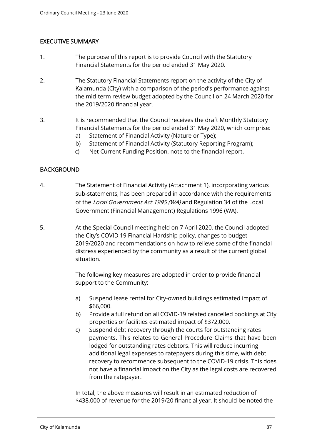## EXECUTIVE SUMMARY

- 1. The purpose of this report is to provide Council with the Statutory Financial Statements for the period ended 31 May 2020.
- 2. The Statutory Financial Statements report on the activity of the City of Kalamunda (City) with a comparison of the period's performance against the mid-term review budget adopted by the Council on 24 March 2020 for the 2019/2020 financial year.
- 3. It is recommended that the Council receives the draft Monthly Statutory Financial Statements for the period ended 31 May 2020, which comprise:
	- a) Statement of Financial Activity (Nature or Type);
	- b) Statement of Financial Activity (Statutory Reporting Program);
	- c) Net Current Funding Position, note to the financial report.

## BACKGROUND

- 4. The Statement of Financial Activity (Attachment 1), incorporating various sub-statements, has been prepared in accordance with the requirements of the Local Government Act 1995 (WA) and Regulation 34 of the Local Government (Financial Management) Regulations 1996 (WA).
- 5. At the Special Council meeting held on 7 April 2020, the Council adopted the City's COVID 19 Financial Hardship policy, changes to budget 2019/2020 and recommendations on how to relieve some of the financial distress experienced by the community as a result of the current global situation.

The following key measures are adopted in order to provide financial support to the Community:

- a) Suspend lease rental for City-owned buildings estimated impact of \$66,000.
- b) Provide a full refund on all COVID-19 related cancelled bookings at City properties or facilities estimated impact of \$372,000.
- c) Suspend debt recovery through the courts for outstanding rates payments. This relates to General Procedure Claims that have been lodged for outstanding rates debtors. This will reduce incurring additional legal expenses to ratepayers during this time, with debt recovery to recommence subsequent to the COVID-19 crisis. This does not have a financial impact on the City as the legal costs are recovered from the ratepayer.

In total, the above measures will result in an estimated reduction of \$438,000 of revenue for the 2019/20 financial year. It should be noted the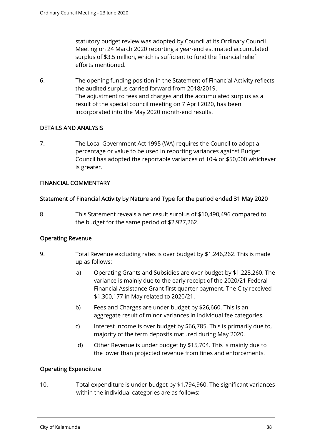statutory budget review was adopted by Council at its Ordinary Council Meeting on 24 March 2020 reporting a year-end estimated accumulated surplus of \$3.5 million, which is sufficient to fund the financial relief efforts mentioned.

6. The opening funding position in the Statement of Financial Activity reflects the audited surplus carried forward from 2018/2019. The adjustment to fees and charges and the accumulated surplus as a result of the special council meeting on 7 April 2020, has been incorporated into the May 2020 month-end results.

# DETAILS AND ANALYSIS

7. The Local Government Act 1995 (WA) requires the Council to adopt a percentage or value to be used in reporting variances against Budget. Council has adopted the reportable variances of 10% or \$50,000 whichever is greater.

## FINANCIAL COMMENTARY

# Statement of Financial Activity by Nature and Type for the period ended 31 May 2020

8. This Statement reveals a net result surplus of \$10,490,496 compared to the budget for the same period of \$2,927,262.

# Operating Revenue

- 9. Total Revenue excluding rates is over budget by \$1,246,262. This is made up as follows:
	- a) Operating Grants and Subsidies are over budget by \$1,228,260. The variance is mainly due to the early receipt of the 2020/21 Federal Financial Assistance Grant first quarter payment. The City received \$1,300,177 in May related to 2020/21.
	- b) Fees and Charges are under budget by \$26,660. This is an aggregate result of minor variances in individual fee categories.
	- c) Interest Income is over budget by \$66,785. This is primarily due to, majority of the term deposits matured during May 2020.
	- d) Other Revenue is under budget by \$15,704. This is mainly due to the lower than projected revenue from fines and enforcements.

## Operating Expenditure

10. Total expenditure is under budget by \$1,794,960. The significant variances within the individual categories are as follows: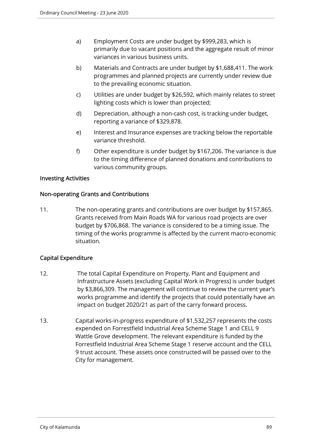- a) Employment Costs are under budget by \$999,283, which is primarily due to vacant positions and the aggregate result of minor variances in various business units.
- b) Materials and Contracts are under budget by \$1,688,411. The work programmes and planned projects are currently under review due to the prevailing economic situation.
- c) Utilities are under budget by \$26,592, which mainly relates to street lighting costs which is lower than projected;
- d) Depreciation, although a non-cash cost, is tracking under budget, reporting a variance of \$329,878.
- e) Interest and Insurance expenses are tracking below the reportable variance threshold.
- f) Other expenditure is under budget by \$167,206. The variance is due to the timing difference of planned donations and contributions to various community groups.

## Investing Activities

# Non-operating Grants and Contributions

11. The non-operating grants and contributions are over budget by \$157,865. Grants received from Main Roads WA for various road projects are over budget by \$706,868. The variance is considered to be a timing issue. The timing of the works programme is affected by the current macro-economic situation.

# Capital Expenditure

- 12. The total Capital Expenditure on Property, Plant and Equipment and Infrastructure Assets (excluding Capital Work in Progress) is under budget by \$3,866,309. The management will continue to review the current year's works programme and identify the projects that could potentially have an impact on budget 2020/21 as part of the carry forward process.
- 13. Capital works-in-progress expenditure of \$1,532,257 represents the costs expended on Forrestfield Industrial Area Scheme Stage 1 and CELL 9 Wattle Grove development. The relevant expenditure is funded by the Forrestfield Industrial Area Scheme Stage 1 reserve account and the CELL 9 trust account. These assets once constructed will be passed over to the City for management.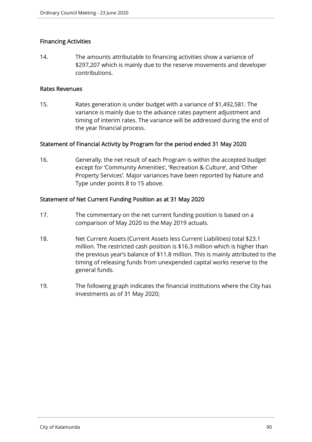## Financing Activities

14. The amounts attributable to financing activities show a variance of \$297,207 which is mainly due to the reserve movements and developer contributions.

#### Rates Revenues

15. Rates generation is under budget with a variance of \$1,492,581. The variance is mainly due to the advance rates payment adjustment and timing of interim rates. The variance will be addressed during the end of the year financial process.

## Statement of Financial Activity by Program for the period ended 31 May 2020

16. Generally, the net result of each Program is within the accepted budget except for 'Community Amenities', 'Recreation & Culture', and 'Other Property Services'. Major variances have been reported by Nature and Type under points 8 to 15 above.

## Statement of Net Current Funding Position as at 31 May 2020

- 17. The commentary on the net current funding position is based on a comparison of May 2020 to the May 2019 actuals.
- 18. Net Current Assets (Current Assets less Current Liabilities) total \$23.1 million. The restricted cash position is \$16.3 million which is higher than the previous year's balance of \$11.8 million. This is mainly attributed to the timing of releasing funds from unexpended capital works reserve to the general funds.
- 19. The following graph indicates the financial institutions where the City has investments as of 31 May 2020;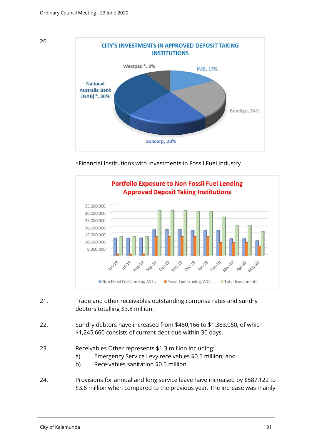



\*Financial Institutions with Investments in Fossil Fuel Industry



- 21. Trade and other receivables outstanding comprise rates and sundry debtors totalling \$3.8 million.
- 22. Sundry debtors have increased from \$450,166 to \$1,383,060, of which \$1,245,660 consists of current debt due within 30 days.
- 23. Receivables Other represents \$1.3 million including:
	- a) Emergency Service Levy receivables \$0.5 million; and
	- b) Receivables sanitation \$0.5 million.
- 24. Provisions for annual and long service leave have increased by \$587,122 to \$3.6 million when compared to the previous year. The increase was mainly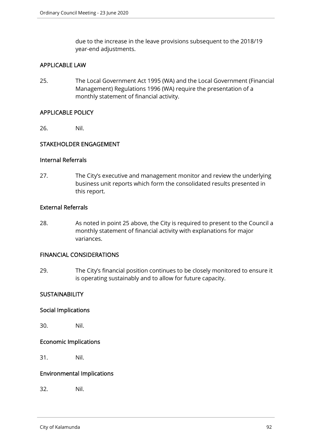due to the increase in the leave provisions subsequent to the 2018/19 year-end adjustments.

## APPLICABLE LAW

25. The Local Government Act 1995 (WA) and the Local Government (Financial Management) Regulations 1996 (WA) require the presentation of a monthly statement of financial activity.

## APPLICABLE POLICY

26. Nil.

## STAKEHOLDER ENGAGEMENT

## Internal Referrals

27. The City's executive and management monitor and review the underlying business unit reports which form the consolidated results presented in this report.

## External Referrals

28. As noted in point 25 above, the City is required to present to the Council a monthly statement of financial activity with explanations for major variances.

#### FINANCIAL CONSIDERATIONS

29. The City's financial position continues to be closely monitored to ensure it is operating sustainably and to allow for future capacity.

## **SUSTAINABILITY**

#### Social Implications

30. Nil.

#### Economic Implications

31. Nil.

## Environmental Implications

32. Nil.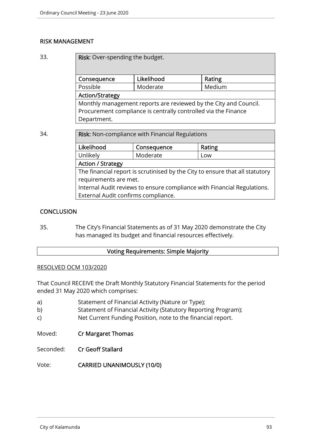## RISK MANAGEMENT

33. **Risk:** Over-spending the budget.

| Consequence                                                      | Likelihood | Rating |  |  |  |
|------------------------------------------------------------------|------------|--------|--|--|--|
| Possible                                                         | Moderate   | Medium |  |  |  |
| <b>Action/Strategy</b>                                           |            |        |  |  |  |
| Monthly management reports are reviewed by the City and Council. |            |        |  |  |  |
| Procurement compliance is centrally controlled via the Finance   |            |        |  |  |  |
| Department.                                                      |            |        |  |  |  |
|                                                                  |            |        |  |  |  |

34. **Risk:** Non-compliance with Financial Regulations

| Likelihood                                                                   | Consequence | Rating |  |  |  |
|------------------------------------------------------------------------------|-------------|--------|--|--|--|
| Unlikely                                                                     | Moderate    | Low    |  |  |  |
| <b>Action / Strategy</b>                                                     |             |        |  |  |  |
| The financial report is scrutinised by the City to ensure that all statutory |             |        |  |  |  |
| requirements are met.                                                        |             |        |  |  |  |
| Internal Audit reviews to ensure compliance with Financial Regulations.      |             |        |  |  |  |
| External Audit confirms compliance.                                          |             |        |  |  |  |

# **CONCLUSION**

35. The City's Financial Statements as of 31 May 2020 demonstrate the City has managed its budget and financial resources effectively.

## Voting Requirements: Simple Majority

## RESOLVED OCM 103/2020

That Council RECEIVE the Draft Monthly Statutory Financial Statements for the period ended 31 May 2020 which comprises:

- a) Statement of Financial Activity (Nature or Type);
- b) Statement of Financial Activity (Statutory Reporting Program);
- c) Net Current Funding Position, note to the financial report.
- Moved: Cr Margaret Thomas
- Seconded: Cr Geoff Stallard
- Vote: CARRIED UNANIMOUSLY (10/0)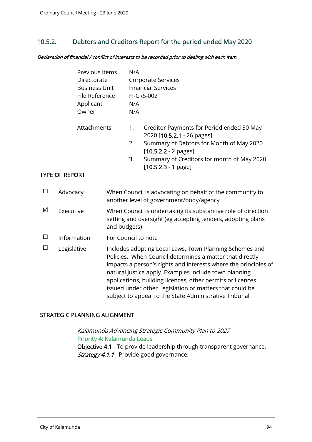# 10.5.2. Debtors and Creditors Report for the period ended May 2020

Declaration of financial / conflict of interests to be recorded prior to dealing with each item.

|   |                       | Previous Items<br>Directorate<br><b>Business Unit</b><br>File Reference<br>Applicant<br>Owner |                     | N/A<br>N/A<br>N/A | <b>Corporate Services</b><br><b>Financial Services</b><br><b>FI-CRS-002</b>                                                                                                                                                                                                                                                                                                                                                        |
|---|-----------------------|-----------------------------------------------------------------------------------------------|---------------------|-------------------|------------------------------------------------------------------------------------------------------------------------------------------------------------------------------------------------------------------------------------------------------------------------------------------------------------------------------------------------------------------------------------------------------------------------------------|
|   | <b>TYPE OF REPORT</b> | Attachments                                                                                   |                     | 1.<br>2.<br>3.    | Creditor Payments for Period ended 30 May<br>2020 [10.5.2.1 - 26 pages]<br>Summary of Debtors for Month of May 2020<br>$[10.5.2.2 - 2$ pages]<br>Summary of Creditors for month of May 2020<br>$[10.5.2.3 - 1$ page]                                                                                                                                                                                                               |
| □ | Advocacy              |                                                                                               |                     |                   | When Council is advocating on behalf of the community to<br>another level of government/body/agency                                                                                                                                                                                                                                                                                                                                |
| ☑ | Executive             |                                                                                               | and budgets)        |                   | When Council is undertaking its substantive role of direction<br>setting and oversight (eg accepting tenders, adopting plans                                                                                                                                                                                                                                                                                                       |
| □ | Information           |                                                                                               | For Council to note |                   |                                                                                                                                                                                                                                                                                                                                                                                                                                    |
| □ | Legislative           |                                                                                               |                     |                   | Includes adopting Local Laws, Town Planning Schemes and<br>Policies. When Council determines a matter that directly<br>impacts a person's rights and interests where the principles of<br>natural justice apply. Examples include town planning<br>applications, building licences, other permits or licences<br>issued under other Legislation or matters that could be<br>subject to appeal to the State Administrative Tribunal |

#### STRATEGIC PLANNING ALIGNMENT

Kalamunda Advancing Strategic Community Plan to 2027 Priority 4: Kalamunda Leads Objective 4.1 - To provide leadership through transparent governance. Strategy 4.1.1 - Provide good governance.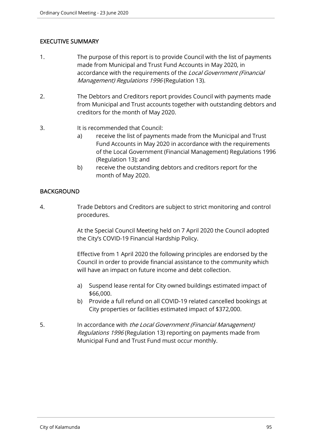# EXECUTIVE SUMMARY

- 1. The purpose of this report is to provide Council with the list of payments made from Municipal and Trust Fund Accounts in May 2020, in accordance with the requirements of the *Local Government (Financial*) Management) Regulations 1996 (Regulation 13).
- 2. The Debtors and Creditors report provides Council with payments made from Municipal and Trust accounts together with outstanding debtors and creditors for the month of May 2020.
- 3. It is recommended that Council:
	- a) receive the list of payments made from the Municipal and Trust Fund Accounts in May 2020 in accordance with the requirements of the Local Government (Financial Management) Regulations 1996 (Regulation 13); and
	- b) receive the outstanding debtors and creditors report for the month of May 2020.

## BACKGROUND

4. Trade Debtors and Creditors are subject to strict monitoring and control procedures.

> At the Special Council Meeting held on 7 April 2020 the Council adopted the City's COVID-19 Financial Hardship Policy.

> Effective from 1 April 2020 the following principles are endorsed by the Council in order to provide financial assistance to the community which will have an impact on future income and debt collection.

- a) Suspend lease rental for City owned buildings estimated impact of \$66,000.
- b) Provide a full refund on all COVID-19 related cancelled bookings at City properties or facilities estimated impact of \$372,000.
- 5. In accordance with the Local Government (Financial Management) Regulations 1996 (Regulation 13) reporting on payments made from Municipal Fund and Trust Fund must occur monthly.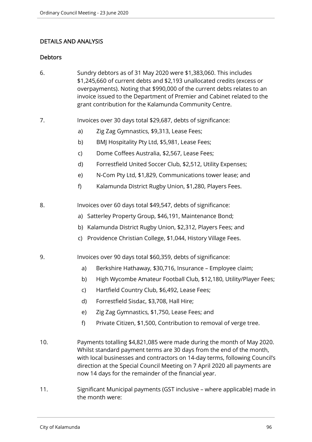# DETAILS AND ANALYSIS

## **Debtors**

- 6. Sundry debtors as of 31 May 2020 were \$1,383,060. This includes \$1,245,660 of current debts and \$2,193 unallocated credits (excess or overpayments). Noting that \$990,000 of the current debts relates to an invoice issued to the Department of Premier and Cabinet related to the grant contribution for the Kalamunda Community Centre.
- 7. Invoices over 30 days total \$29,687, debts of significance:
	- a) Zig Zag Gymnastics, \$9,313, Lease Fees;
	- b) BMJ Hospitality Pty Ltd, \$5,981, Lease Fees;
	- c) Dome Coffees Australia, \$2,567, Lease Fees;
	- d) Forrestfield United Soccer Club, \$2,512, Utility Expenses;
	- e) N-Com Pty Ltd, \$1,829, Communications tower lease; and
	- f) Kalamunda District Rugby Union, \$1,280, Players Fees.
- 8. Invoices over 60 days total \$49,547, debts of significance:
	- a) Satterley Property Group, \$46,191, Maintenance Bond;
	- b) Kalamunda District Rugby Union, \$2,312, Players Fees; and
	- c) Providence Christian College, \$1,044, History Village Fees.
- 9. Invoices over 90 days total \$60,359, debts of significance:
	- a) Berkshire Hathaway, \$30,716, Insurance Employee claim;
	- b) High Wycombe Amateur Football Club, \$12,180, Utility/Player Fees;
	- c) Hartfield Country Club, \$6,492, Lease Fees;
	- d) Forrestfield Sisdac, \$3,708, Hall Hire;
	- e) Zig Zag Gymnastics, \$1,750, Lease Fees; and
	- f) Private Citizen, \$1,500, Contribution to removal of verge tree.
- 10. Payments totalling \$4,821,085 were made during the month of May 2020. Whilst standard payment terms are 30 days from the end of the month, with local businesses and contractors on 14-day terms, following Council's direction at the Special Council Meeting on 7 April 2020 all payments are now 14 days for the remainder of the financial year.
- 11. Significant Municipal payments (GST inclusive where applicable) made in the month were: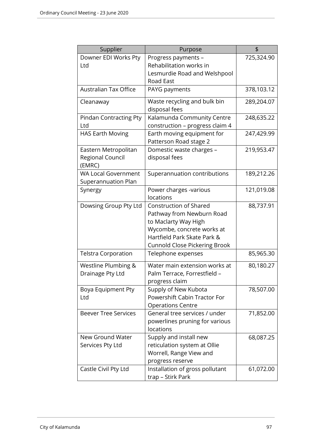| Supplier                     | Purpose                                              | \$         |
|------------------------------|------------------------------------------------------|------------|
| Downer EDI Works Pty         | Progress payments -                                  | 725,324.90 |
| Ltd                          | Rehabilitation works in                              |            |
|                              | Lesmurdie Road and Welshpool                         |            |
|                              | Road East                                            |            |
| <b>Australian Tax Office</b> | PAYG payments                                        | 378,103.12 |
| Cleanaway                    | Waste recycling and bulk bin                         | 289,204.07 |
|                              | disposal fees                                        |            |
| Pindan Contracting Pty       | Kalamunda Community Centre                           | 248,635.22 |
| Ltd                          | construction - progress claim 4                      |            |
| <b>HAS Earth Moving</b>      | Earth moving equipment for<br>Patterson Road stage 2 | 247,429.99 |
| Eastern Metropolitan         | Domestic waste charges -                             | 219,953.47 |
| Regional Council<br>(EMRC)   | disposal fees                                        |            |
| <b>WA Local Government</b>   | Superannuation contributions                         | 189,212.26 |
| <b>Superannuation Plan</b>   |                                                      |            |
| Synergy                      | Power charges -various                               | 121,019.08 |
|                              | locations                                            |            |
| Dowsing Group Pty Ltd        | <b>Construction of Shared</b>                        | 88,737.91  |
|                              | Pathway from Newburn Road                            |            |
|                              | to Maclarty Way High                                 |            |
|                              | Wycombe, concrete works at                           |            |
|                              | Hartfield Park Skate Park &                          |            |
|                              | <b>Cunnold Close Pickering Brook</b>                 |            |
| <b>Telstra Corporation</b>   | Telephone expenses                                   | 85,965.30  |
| Westline Plumbing &          | Water main extension works at                        | 80,180.27  |
| Drainage Pty Ltd             | Palm Terrace, Forrestfield -                         |            |
|                              | progress claim                                       |            |
| Boya Equipment Pty           | Supply of New Kubota                                 | 78,507.00  |
| Ltd                          | Powershift Cabin Tractor For                         |            |
|                              | <b>Operations Centre</b>                             |            |
| <b>Beever Tree Services</b>  | General tree services / under                        | 71,852.00  |
|                              | powerlines pruning for various                       |            |
|                              | locations                                            |            |
| New Ground Water             | Supply and install new                               | 68,087.25  |
| Services Pty Ltd             | reticulation system at Ollie                         |            |
|                              | Worrell, Range View and                              |            |
|                              | progress reserve                                     |            |
| Castle Civil Pty Ltd         | Installation of gross pollutant                      | 61,072.00  |
|                              | trap - Stirk Park                                    |            |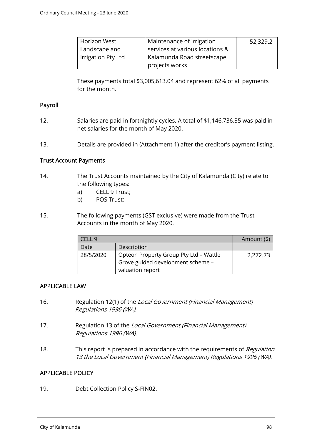| Horizon West       | Maintenance of irrigation       | 52,329.2 |
|--------------------|---------------------------------|----------|
| Landscape and      | services at various locations & |          |
| Irrigation Pty Ltd | Kalamunda Road streetscape      |          |
|                    | projects works                  |          |

These payments total \$3,005,613.04 and represent 62% of all payments for the month.

## Payroll

- 12. Salaries are paid in fortnightly cycles. A total of \$1,146,736.35 was paid in net salaries for the month of May 2020.
- 13. Details are provided in (Attachment 1) after the creditor's payment listing.

#### Trust Account Payments

- 14. The Trust Accounts maintained by the City of Kalamunda (City) relate to the following types:
	- a) CELL 9 Trust;
	- b) POS Trust;
- 15. The following payments (GST exclusive) were made from the Trust Accounts in the month of May 2020.

| `FII9                             |                                        | Amount (\$) |
|-----------------------------------|----------------------------------------|-------------|
| Date                              | Description                            |             |
| 28/5/2020                         | Opteon Property Group Pty Ltd - Wattle | 2,272.73    |
| Grove guided development scheme - |                                        |             |
|                                   | valuation report                       |             |

## APPLICABLE LAW

- 16. Regulation 12(1) of the Local Government (Financial Management) Regulations 1996 (WA).
- 17. Regulation 13 of the Local Government (Financial Management) Regulations 1996 (WA).
- 18. This report is prepared in accordance with the requirements of Regulation 13 the Local Government (Financial Management) Regulations 1996 (WA).

## APPLICABLE POLICY

19. Debt Collection Policy S-FIN02.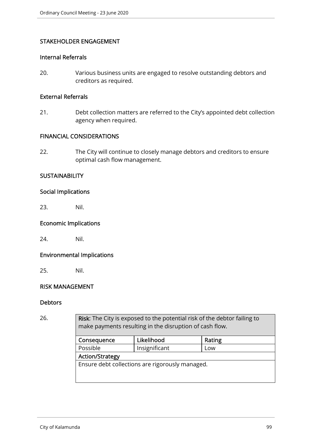## STAKEHOLDER ENGAGEMENT

## Internal Referrals

20. Various business units are engaged to resolve outstanding debtors and creditors as required.

## External Referrals

21. Debt collection matters are referred to the City's appointed debt collection agency when required.

## FINANCIAL CONSIDERATIONS

22. The City will continue to closely manage debtors and creditors to ensure optimal cash flow management.

## **SUSTAINABILITY**

#### Social Implications

23. Nil.

## Economic Implications

24. Nil.

## Environmental Implications

25. Nil.

### RISK MANAGEMENT

#### **Debtors**

26. **Risk:** The City is exposed to the potential risk of the debtor failing to make payments resulting in the disruption of cash flow.

| Consequence                                     | Likelihood    | Rating |
|-------------------------------------------------|---------------|--------|
| Possible                                        | Insignificant | Low    |
| <b>Action/Strategy</b>                          |               |        |
| Ensure debt collections are rigorously managed. |               |        |
|                                                 |               |        |
|                                                 |               |        |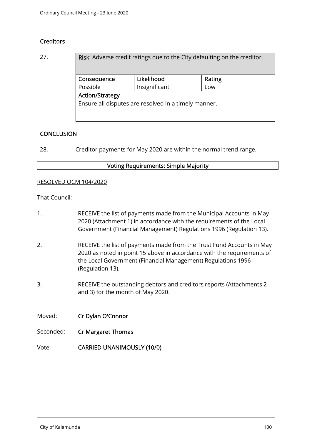# **Creditors**

27. Risk: Adverse credit ratings due to the City defaulting on the creditor. Consequence | Likelihood | Rating Possible Insignificant Low Action/Strategy Ensure all disputes are resolved in a timely manner.

# **CONCLUSION**

28. Creditor payments for May 2020 are within the normal trend range.

## Voting Requirements: Simple Majority

## RESOLVED OCM 104/2020

## That Council:

- 1. RECEIVE the list of payments made from the Municipal Accounts in May 2020 (Attachment 1) in accordance with the requirements of the Local Government (Financial Management) Regulations 1996 (Regulation 13).
- 2. RECEIVE the list of payments made from the Trust Fund Accounts in May 2020 as noted in point 15 above in accordance with the requirements of the Local Government (Financial Management) Regulations 1996 (Regulation 13).
- 3. RECEIVE the outstanding debtors and creditors reports (Attachments 2 and 3) for the month of May 2020.

Moved: Cr Dylan O'Connor

Seconded: Cr Margaret Thomas

Vote: CARRIED UNANIMOUSLY (10/0)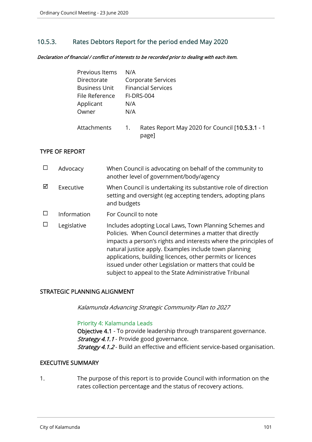# 10.5.3. Rates Debtors Report for the period ended May 2020

Declaration of financial / conflict of interests to be recorded prior to dealing with each item.

| Previous Items | N/A                                                                           |
|----------------|-------------------------------------------------------------------------------|
| Directorate    | Corporate Services                                                            |
| Business Unit  | <b>Financial Services</b>                                                     |
| File Reference | <b>FI-DRS-004</b>                                                             |
| Applicant      | N/A                                                                           |
| Owner          | N/A                                                                           |
| Attachments    | Rates Report May 2020 for Council [10.5.3.1 - 1]<br>$\overline{1}$ .<br>page] |

## TYPE OF REPORT

|   | Advocacy    | When Council is advocating on behalf of the community to<br>another level of government/body/agency                                                                                                                                                                                                                                                                                                                                |
|---|-------------|------------------------------------------------------------------------------------------------------------------------------------------------------------------------------------------------------------------------------------------------------------------------------------------------------------------------------------------------------------------------------------------------------------------------------------|
| ⊠ | Executive   | When Council is undertaking its substantive role of direction<br>setting and oversight (eg accepting tenders, adopting plans<br>and budgets                                                                                                                                                                                                                                                                                        |
|   | Information | For Council to note                                                                                                                                                                                                                                                                                                                                                                                                                |
|   | Legislative | Includes adopting Local Laws, Town Planning Schemes and<br>Policies. When Council determines a matter that directly<br>impacts a person's rights and interests where the principles of<br>natural justice apply. Examples include town planning<br>applications, building licences, other permits or licences<br>issued under other Legislation or matters that could be<br>subject to appeal to the State Administrative Tribunal |

#### STRATEGIC PLANNING ALIGNMENT

Kalamunda Advancing Strategic Community Plan to 2027

#### Priority 4: Kalamunda Leads

Objective 4.1 - To provide leadership through transparent governance. Strategy 4.1.1 - Provide good governance. Strategy 4.1.2 - Build an effective and efficient service-based organisation.

#### EXECUTIVE SUMMARY

1. The purpose of this report is to provide Council with information on the rates collection percentage and the status of recovery actions.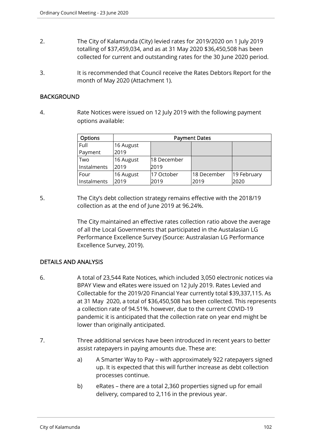- 2. The City of Kalamunda (City) levied rates for 2019/2020 on 1 July 2019 totalling of \$37,459,034, and as at 31 May 2020 \$36,450,508 has been collected for current and outstanding rates for the 30 June 2020 period.
- 3. It is recommended that Council receive the Rates Debtors Report for the month of May 2020 (Attachment 1).

## **BACKGROUND**

4. Rate Notices were issued on 12 July 2019 with the following payment options available:

| <b>Options</b> | <b>Payment Dates</b> |             |             |             |
|----------------|----------------------|-------------|-------------|-------------|
| Full           | 16 August            |             |             |             |
| Payment        | 2019                 |             |             |             |
| Two            | 16 August            | 18 December |             |             |
| Instalments    | 2019                 | 2019        |             |             |
| Four           | 16 August            | 17 October  | 18 December | 19 February |
| Instalments    | 2019                 | 2019        | 2019        | 2020        |

5. The City's debt collection strategy remains effective with the 2018/19 collection as at the end of June 2019 at 96.24%.

> The City maintained an effective rates collection ratio above the average of all the Local Governments that participated in the Austalasian LG Performance Excellence Survey (Source: Australasian LG Performance Excellence Survey, 2019).

## DETAILS AND ANALYSIS

- 6. A total of 23,544 Rate Notices, which included 3,050 electronic notices via BPAY View and eRates were issued on 12 July 2019. Rates Levied and Collectable for the 2019/20 Financial Year currently total \$39,337,115. As at 31 May 2020, a total of \$36,450,508 has been collected. This represents a collection rate of 94.51%. however, due to the current COVID-19 pandemic it is anticipated that the collection rate on year end might be lower than originally anticipated.
- 7. Three additional services have been introduced in recent years to better assist ratepayers in paying amounts due. These are:
	- a) A Smarter Way to Pay with approximately 922 ratepayers signed up. It is expected that this will further increase as debt collection processes continue.
	- b) eRates there are a total 2,360 properties signed up for email delivery, compared to 2,116 in the previous year.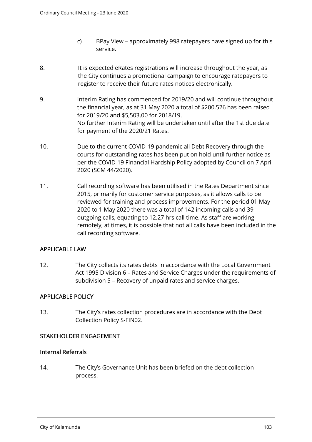- c) BPay View approximately 998 ratepayers have signed up for this service.
- 8. It is expected eRates registrations will increase throughout the year, as the City continues a promotional campaign to encourage ratepayers to register to receive their future rates notices electronically.
- 9. Interim Rating has commenced for 2019/20 and will continue throughout the financial year, as at 31 May 2020 a total of \$200,526 has been raised for 2019/20 and \$5,503.00 for 2018/19. No further Interim Rating will be undertaken until after the 1st due date for payment of the 2020/21 Rates.
- 10. Due to the current COVID-19 pandemic all Debt Recovery through the courts for outstanding rates has been put on hold until further notice as per the COVID-19 Financial Hardship Policy adopted by Council on 7 April 2020 (SCM 44/2020).
- 11. Call recording software has been utilised in the Rates Department since 2015, primarily for customer service purposes, as it allows calls to be reviewed for training and process improvements. For the period 01 May 2020 to 1 May 2020 there was a total of 142 incoming calls and 39 outgoing calls, equating to 12.27 hrs call time. As staff are working remotely, at times, it is possible that not all calls have been included in the call recording software.

# APPLICABLE LAW

12. The City collects its rates debts in accordance with the Local Government Act 1995 Division 6 – Rates and Service Charges under the requirements of subdivision 5 – Recovery of unpaid rates and service charges.

## APPLICABLE POLICY

13. The City's rates collection procedures are in accordance with the Debt Collection Policy S-FIN02.

## STAKEHOLDER ENGAGEMENT

## Internal Referrals

14. The City's Governance Unit has been briefed on the debt collection process.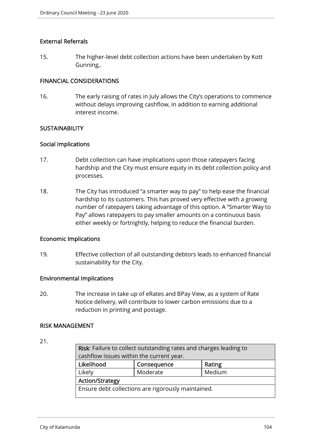## External Referrals

15. The higher-level debt collection actions have been undertaken by Kott Gunning,.

## FINANCIAL CONSIDERATIONS

16. The early raising of rates in July allows the City's operations to commence without delays improving cashflow, in addition to earning additional interest income.

## **SUSTAINABILITY**

## Social Implications

- 17. Debt collection can have implications upon those ratepayers facing hardship and the City must ensure equity in its debt collection policy and processes.
- 18. The City has introduced "a smarter way to pay" to help ease the financial hardship to its customers. This has proved very effective with a growing number of ratepayers taking advantage of this option. A "Smarter Way to Pay" allows ratepayers to pay smaller amounts on a continuous basis either weekly or fortnightly, helping to reduce the financial burden.

## Economic Implications

19. Effective collection of all outstanding debtors leads to enhanced financial sustainability for the City.

## Environmental Implications

20. The increase in take up of eRates and BPay View, as a system of Rate Notice delivery, will contribute to lower carbon emissions due to a reduction in printing and postage.

## RISK MANAGEMENT

#### 21.

| Risk: Failure to collect outstanding rates and charges leading to |             |        |
|-------------------------------------------------------------------|-------------|--------|
| cashflow issues within the current year.                          |             |        |
| Likelihood                                                        | Consequence | Rating |
| Likely                                                            | Moderate    | Medium |
| <b>Action/Strategy</b>                                            |             |        |
| Ensure debt collections are rigorously maintained.                |             |        |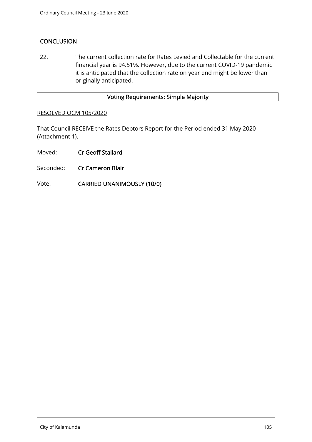# **CONCLUSION**

22. The current collection rate for Rates Levied and Collectable for the current financial year is 94.51%. However, due to the current COVID-19 pandemic it is anticipated that the collection rate on year end might be lower than originally anticipated.

# Voting Requirements: Simple Majority

#### RESOLVED OCM 105/2020

That Council RECEIVE the Rates Debtors Report for the Period ended 31 May 2020 (Attachment 1).

Moved: Cr Geoff Stallard

Seconded: Cr Cameron Blair

## Vote: CARRIED UNANIMOUSLY (10/0)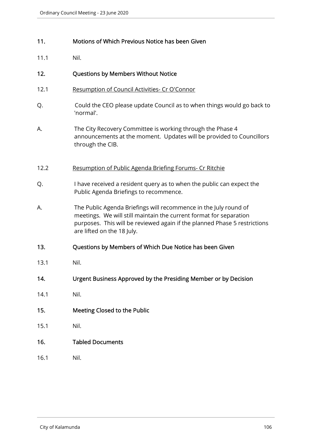## 11. Motions of Which Previous Notice has been Given

11.1 Nil.

# 12. Questions by Members Without Notice

- 12.1 Resumption of Council Activities- Cr O'Connor
- Q. Could the CEO please update Council as to when things would go back to 'normal'.
- A. The City Recovery Committee is working through the Phase 4 announcements at the moment. Updates will be provided to Councillors through the CIB.
- 12.2 Resumption of Public Agenda Briefing Forums- Cr Ritchie
- Q. I have received a resident query as to when the public can expect the Public Agenda Briefings to recommence.
- A. The Public Agenda Briefings will recommence in the July round of meetings. We will still maintain the current format for separation purposes. This will be reviewed again if the planned Phase 5 restrictions are lifted on the 18 July.
- 13. Questions by Members of Which Due Notice has been Given
- 13.1 Nil.
- 14. Urgent Business Approved by the Presiding Member or by Decision
- 14.1 Nil.
- 15. Meeting Closed to the Public
- 15.1 Nil.
- 16. Tabled Documents
- 16.1 Nil.